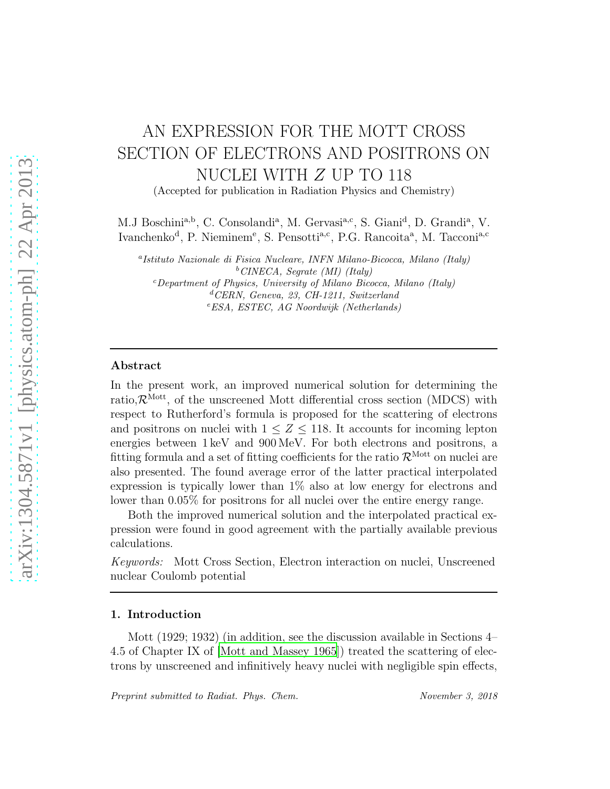# AN EXPRESSION FOR THE MOTT CROSS SECTION OF ELECTRONS AND POSITRONS ON NUCLEI WITH Z UP TO 118

(Accepted for publication in Radiation Physics and Chemistry)

M.J Boschini<sup>a,b</sup>, C. Consolandi<sup>a</sup>, M. Gervasi<sup>a,c</sup>, S. Giani<sup>d</sup>, D. Grandi<sup>a</sup>, V. Ivanchenko<sup>d</sup>, P. Nieminem<sup>e</sup>, S. Pensotti<sup>a,c</sup>, P.G. Rancoita<sup>a</sup>, M. Tacconi<sup>a,c</sup>

a Istituto Nazionale di Fisica Nucleare, INFN Milano-Bicocca, Milano (Italy)  $^{b}$  CINECA, Segrate (MI) (Italy)  $c$ Department of Physics, University of Milano Bicocca, Milano (Italy) <sup>d</sup>CERN, Geneva, 23, CH-1211, Switzerland <sup>e</sup>ESA, ESTEC, AG Noordwijk (Netherlands)

## Abstract

In the present work, an improved numerical solution for determining the ratio, $\mathcal{R}^{\text{Mott}}$ , of the unscreened Mott differential cross section (MDCS) with respect to Rutherford's formula is proposed for the scattering of electrons and positrons on nuclei with  $1 \leq Z \leq 118$ . It accounts for incoming lepton energies between 1 keV and 900 MeV. For both electrons and positrons, a fitting formula and a set of fitting coefficients for the ratio  $\mathcal{R}^{\text{Mott}}$  on nuclei are also presented. The found average error of the latter practical interpolated expression is typically lower than 1% also at low energy for electrons and lower than 0.05% for positrons for all nuclei over the entire energy range.

Both the improved numerical solution and the interpolated practical expression were found in good agreement with the partially available previous calculations.

Keywords: Mott Cross Section, Electron interaction on nuclei, Unscreened nuclear Coulomb potential

## 1. Introduction

Mott (1929; 1932) (in addition, see the discussion available in Sections 4– 4.5 of Chapter IX of [\[Mott and Massey 1965](#page-39-0)]) treated the scattering of electrons by unscreened and infinitively heavy nuclei with negligible spin effects,

Preprint submitted to Radiat. Phys. Chem. November 3, 2018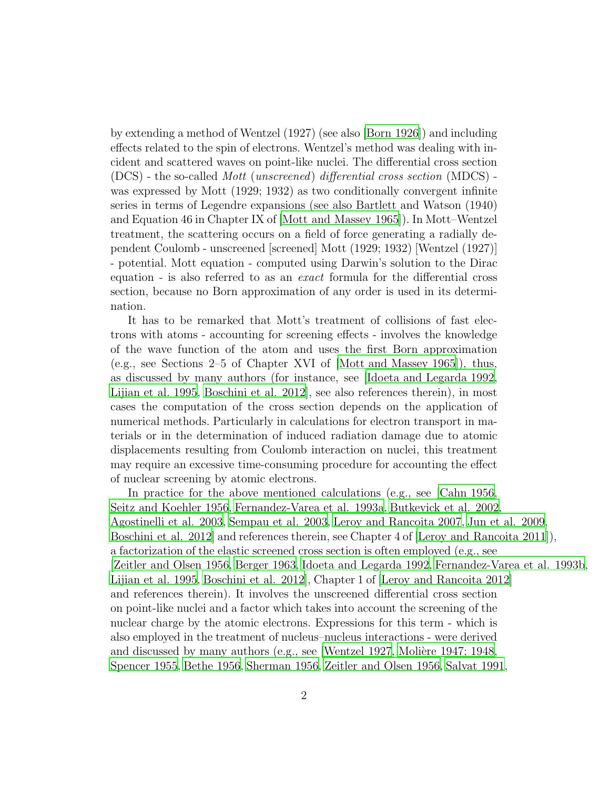by extending a method of Wentzel (1927) (see also [\[Born 1926](#page-37-0)]) and including effects related to the spin of electrons. Wentzel's method was dealing with incident and scattered waves on point-like nuclei. The differential cross section (DCS) - the so-called Mott (unscreened) differential cross section (MDCS) was expressed by Mott (1929; 1932) as two conditionally convergent infinite series in terms of Legendre expansions (see also Bartlett and Watson (1940) and Equation 46 in Chapter IX of [\[Mott and Massey 1965](#page-39-0)]). In Mott–Wentzel treatment, the scattering occurs on a field of force generating a radially dependent Coulomb - unscreened [screened] Mott (1929; 1932) [Wentzel (1927)] - potential. Mott equation - computed using Darwin's solution to the Dirac equation - is also referred to as an exact formula for the differential cross section, because no Born approximation of any order is used in its determination.

It has to be remarked that Mott's treatment of collisions of fast electrons with atoms - accounting for screening effects - involves the knowledge of the wave function of the atom and uses the first Born approximation (e.g., see Sections 2–5 of Chapter XVI of [\[Mott and Massey 1965](#page-39-0)]), thus, as discussed by many authors (for instance, see [\[Idoeta and Legarda 1992](#page-38-0), [Lijian et al. 1995,](#page-39-1) [Boschini et al. 2012\]](#page-37-1), see also references therein), in most cases the computation of the cross section depends on the application of numerical methods. Particularly in calculations for electron transport in materials or in the determination of induced radiation damage due to atomic displacements resulting from Coulomb interaction on nuclei, this treatment may require an excessive time-consuming procedure for accounting the effect of nuclear screening by atomic electrons.

In practice for the above mentioned calculations (e.g., see [\[Cahn 1956](#page-37-2), [Seitz and Koehler 1956,](#page-40-0) [Fernandez-Varea et al. 1993a,](#page-38-1) Butkevick [et al. 2002,](#page-37-3) [Agostinelli et al. 2003,](#page-36-0) [Sempau et al. 2003,](#page-40-1) [Leroy and Rancoita 2007](#page-39-2), [Jun et al. 2009,](#page-38-2) [Boschini et al. 2012\]](#page-37-1) and references therein, see Chapter 4 of [\[Leroy and Rancoita 2011](#page-39-3)]), a factorization of the elastic screened cross section is often employed (e.g., see [\[Zeitler and Olsen 1956,](#page-40-2) [Berger 1963](#page-36-1), [Idoeta and Legarda 1992,](#page-38-0) [Fernandez-Varea et al. 1993b](#page-38-3), [Lijian et al. 1995,](#page-39-1) [Boschini et al. 2012\]](#page-37-1), Chapter 1 of [\[Leroy and Rancoita 2012](#page-39-4)] and references therein). It involves the unscreened differential cross section on point-like nuclei and a factor which takes into account the screening of the nuclear charge by the atomic electrons. Expressions for this term - which is also employed in the treatment of nucleus–nucleus interactions - were derived and discussed by many authors (e.g., see [\[Wentzel 1927](#page-40-3), Molière [1947; 1948](#page-39-5), [Spencer 1955](#page-40-4), [Bethe 1956](#page-37-4), [Sherman 1956,](#page-40-5) [Zeitler and Olsen 1956,](#page-40-2) [Salvat 1991,](#page-40-6)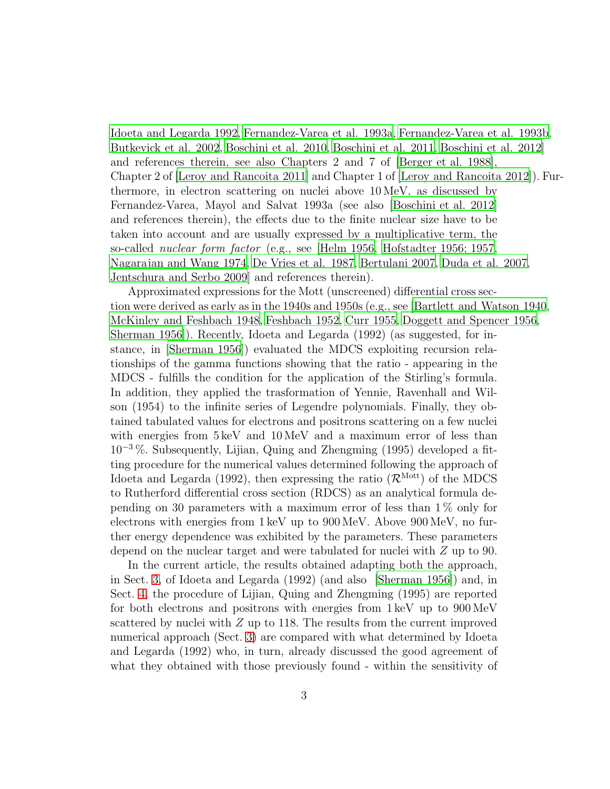[Idoeta and Legarda 1992,](#page-38-0) [Fernandez-Varea et al. 1993a](#page-38-1), [Fernandez-Varea et al. 1993b,](#page-38-3) [Butkevick et al. 2002](#page-37-3), [Boschini et al. 2010](#page-37-5), [Boschini et al. 2011,](#page-37-6) [Boschini et al. 2012\]](#page-37-1) and references therein, see also Chapters 2 and 7 of [\[Berger et al.](#page-36-2) 1988], Chapter 2 of [\[Leroy and Rancoita 2011](#page-39-3)] and Chapter 1 of [Leroy and [Rancoita 2012\]](#page-39-4)). Furthermore, in electron scattering on nuclei above 10 MeV, as discussed by Fernandez-Varea, Mayol and Salvat 1993a (see also [\[Boschini et al. 2012](#page-37-1)] and references therein), the effects due to the finite nuclear size have to be taken into account and are usually expressed by a multiplicative term, the so-called nuclear form factor (e.g., see [\[Helm 1956,](#page-38-4) [Hofstadter 1956; 1957](#page-38-5), [Nagarajan and Wang 1974,](#page-40-7) [De Vries et al. 1987,](#page-38-6) [Bertulani 2007,](#page-37-7) [Duda et al. 2007](#page-38-7), [Jentschura and Serbo 2009](#page-39-6)] and references therein).

Approximated expressions for the Mott (unscreened) differential cross section were derived as early as in the 1940s and 1950s (e.g., see [\[Bartlett and Watson 1940,](#page-36-3) [McKinley and Feshbach 1948,](#page-39-7) [Feshbach 1952,](#page-38-8) [Curr 1955,](#page-37-8) Doggett [and Spencer 1956,](#page-38-9) [Sherman 1956\]](#page-40-5)). Recently, Idoeta and Legarda (1992) (as suggested, for instance, in [\[Sherman 1956\]](#page-40-5)) evaluated the MDCS exploiting recursion relationships of the gamma functions showing that the ratio - appearing in the MDCS - fulfills the condition for the application of the Stirling's formula. In addition, they applied the trasformation of Yennie, Ravenhall and Wilson (1954) to the infinite series of Legendre polynomials. Finally, they obtained tabulated values for electrons and positrons scattering on a few nuclei with energies from  $5 \text{ keV}$  and  $10 \text{ MeV}$  and a maximum error of less than  $10^{-3}$ %. Subsequently, Lijian, Quing and Zhengming (1995) developed a fitting procedure for the numerical values determined following the approach of Idoeta and Legarda (1992), then expressing the ratio  $(\mathcal{R}^{\text{Mott}})$  of the MDCS to Rutherford differential cross section (RDCS) as an analytical formula depending on 30 parameters with a maximum error of less than 1 % only for electrons with energies from 1 keV up to 900 MeV. Above 900 MeV, no further energy dependence was exhibited by the parameters. These parameters depend on the nuclear target and were tabulated for nuclei with Z up to 90.

In the current article, the results obtained adapting both the approach, in Sect. [3,](#page-5-0) of Idoeta and Legarda (1992) (and also [\[Sherman 1956\]](#page-40-5)) and, in Sect. [4,](#page-12-0) the procedure of Lijian, Quing and Zhengming (1995) are reported for both electrons and positrons with energies from 1 keV up to 900 MeV scattered by nuclei with  $Z$  up to 118. The results from the current improved numerical approach (Sect. [3\)](#page-5-0) are compared with what determined by Idoeta and Legarda (1992) who, in turn, already discussed the good agreement of what they obtained with those previously found - within the sensitivity of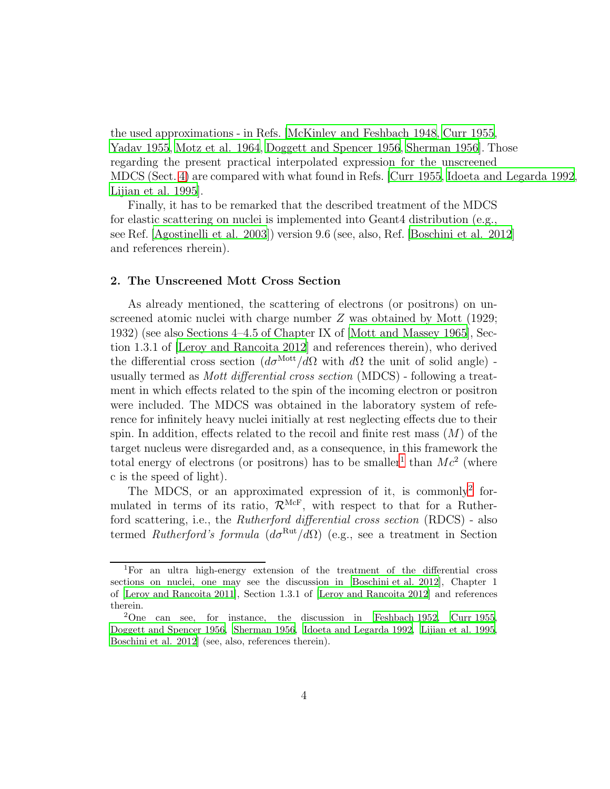the used approximations - in Refs. [\[McKinley and Feshbach 1948](#page-39-7), [Curr 1955](#page-37-8), [Yadav 1955](#page-40-8), [Motz et al. 1964,](#page-40-9) [Doggett and Spencer 1956,](#page-38-9) [Sherman 1956](#page-40-5)]. Those regarding the present practical interpolated expression for the unscreened MDCS (Sect. [4\)](#page-12-0) are compared with what found in Refs. [\[Curr 1955,](#page-37-8) [Idoeta and Legarda 1992,](#page-38-0) [Lijian et al. 1995\]](#page-39-1).

Finally, it has to be remarked that the described treatment of the MDCS for elastic scattering on nuclei is implemented into Geant4 distribution (e.g., see Ref. [\[Agostinelli et al. 2003\]](#page-36-0)) version 9.6 (see, also, Ref. [\[Boschini et al. 2012\]](#page-37-1) and references rherein).

#### <span id="page-3-2"></span>2. The Unscreened Mott Cross Section

As already mentioned, the scattering of electrons (or positrons) on unscreened atomic nuclei with charge number Z was obtained by Mott (1929; 1932) (see also Sections 4–4.5 of Chapter IX of [\[Mott and Massey 1965\]](#page-39-0), Section 1.3.1 of [\[Leroy and Rancoita 2012](#page-39-4)] and references therein), who derived the differential cross section  $(d\sigma^{\text{Mott}}/d\Omega)$  with d $\Omega$  the unit of solid angle) usually termed as Mott differential cross section (MDCS) - following a treatment in which effects related to the spin of the incoming electron or positron were included. The MDCS was obtained in the laboratory system of reference for infinitely heavy nuclei initially at rest neglecting effects due to their spin. In addition, effects related to the recoil and finite rest mass  $(M)$  of the target nucleus were disregarded and, as a consequence, in this framework the total energy of electrons (or positrons) has to be smaller<sup>[1](#page-3-0)</sup> than  $Mc^2$  (where c is the speed of light).

The MDCS, or an approximated expression of it, is commonly<sup>[2](#page-3-1)</sup> formulated in terms of its ratio,  $\mathcal{R}^{\text{McF}}$ , with respect to that for a Rutherford scattering, i.e., the Rutherford differential cross section (RDCS) - also termed Rutherford's formula  $(d\sigma^{\text{Rut}}/d\Omega)$  (e.g., see a treatment in Section

<span id="page-3-0"></span><sup>1</sup>For an ultra high-energy extension of the treatment of the differential cross sections on nuclei, one may see the discussion in [\[Boschini et al. 2012\]](#page-37-1), Chapter 1 of [\[Leroy and Rancoita 2011](#page-39-3)], Section 1.3.1 of [\[Leroy and Rancoita 2012\]](#page-39-4) and references therein.

<span id="page-3-1"></span><sup>&</sup>lt;sup>2</sup>One can see, for instance, the discussion in [\[Feshbach 1952,](#page-38-8) [Curr 1955,](#page-37-8) [Doggett and Spencer 1956,](#page-38-9) [Sherman 1956](#page-40-5), [Idoeta and Legarda 1992,](#page-38-0) [Lijian et al. 1995,](#page-39-1) [Boschini et al. 2012\]](#page-37-1) (see, also, references therein).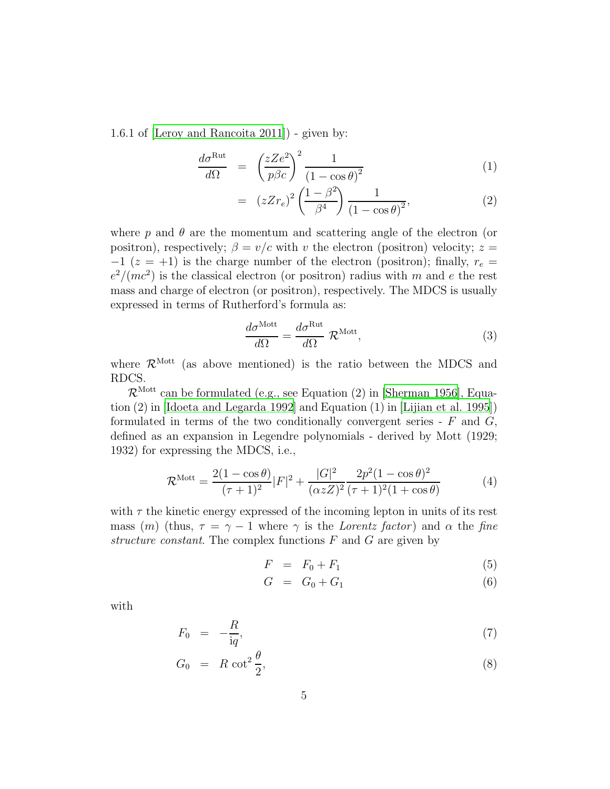1.6.1 of [\[Leroy and Rancoita 2011\]](#page-39-3)) - given by:

<span id="page-4-3"></span>
$$
\frac{d\sigma^{\text{Rut}}}{d\Omega} = \left(\frac{zZe^2}{p\beta c}\right)^2 \frac{1}{\left(1 - \cos\theta\right)^2} \tag{1}
$$

$$
= (zZr_e)^2 \left(\frac{1-\beta^2}{\beta^4}\right) \frac{1}{\left(1-\cos\theta\right)^2},\tag{2}
$$

where  $p$  and  $\theta$  are the momentum and scattering angle of the electron (or positron), respectively;  $\beta = v/c$  with v the electron (positron) velocity;  $z =$  $-1$  ( $z = +1$ ) is the charge number of the electron (positron); finally,  $r_e =$  $e^2/(mc^2)$  is the classical electron (or positron) radius with m and e the rest mass and charge of electron (or positron), respectively. The MDCS is usually expressed in terms of Rutherford's formula as:

<span id="page-4-0"></span>
$$
\frac{d\sigma^{\text{Mott}}}{d\Omega} = \frac{d\sigma^{\text{Rut}}}{d\Omega} \mathcal{R}^{\text{Mott}},\tag{3}
$$

where  $\mathcal{R}^{\text{Mott}}$  (as above mentioned) is the ratio between the MDCS and RDCS.

 $\mathcal{R}^{\text{Mott}}$  can be formulated (e.g., see Equation (2) in [\[Sherman 1956](#page-40-5)], Equation (2) in [\[Idoeta and Legarda 1992\]](#page-38-0) and Equation (1) in [\[Lijian et al. 1995\]](#page-39-1)) formulated in terms of the two conditionally convergent series -  $F$  and  $G$ , defined as an expansion in Legendre polynomials - derived by Mott (1929; 1932) for expressing the MDCS, i.e.,

<span id="page-4-1"></span>
$$
\mathcal{R}^{\text{Mott}} = \frac{2(1 - \cos \theta)}{(\tau + 1)^2} |F|^2 + \frac{|G|^2}{(\alpha z Z)^2} \frac{2p^2 (1 - \cos \theta)^2}{(\tau + 1)^2 (1 + \cos \theta)}
$$
(4)

with  $\tau$  the kinetic energy expressed of the incoming lepton in units of its rest mass (m) (thus,  $\tau = \gamma - 1$  where  $\gamma$  is the Lorentz factor) and  $\alpha$  the fine structure constant. The complex functions  $F$  and  $G$  are given by

<span id="page-4-2"></span>
$$
F = F_0 + F_1 \tag{5}
$$

$$
G = G_0 + G_1 \tag{6}
$$

with

<span id="page-4-4"></span>
$$
F_0 = -\frac{R}{\mathrm{i}q},\tag{7}
$$

$$
G_0 = R \cot^2 \frac{\theta}{2}, \tag{8}
$$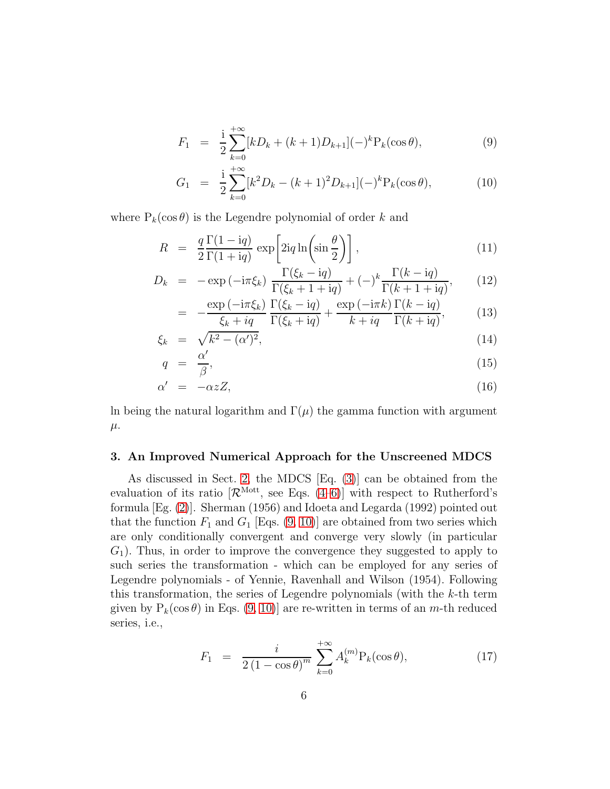$$
F_1 = \frac{1}{2} \sum_{k=0}^{+\infty} [kD_k + (k+1)D_{k+1}](-)^k P_k(\cos \theta), \tag{9}
$$

$$
G_1 = \frac{\mathrm{i}}{2} \sum_{k=0}^{+\infty} [k^2 D_k - (k+1)^2 D_{k+1}] (-)^k \mathcal{P}_k(\cos \theta), \tag{10}
$$

where  $P_k(\cos \theta)$  is the Legendre polynomial of order k and

$$
R = \frac{q}{2} \frac{\Gamma(1 - \mathrm{i}q)}{\Gamma(1 + \mathrm{i}q)} \exp\left[2\mathrm{i}q \ln\left(\sin\frac{\theta}{2}\right)\right],\tag{11}
$$

$$
D_k = -\exp\left(-i\pi\xi_k\right)\frac{\Gamma(\xi_k - iq)}{\Gamma(\xi_k + 1 + iq)} + (-)^k \frac{\Gamma(k - iq)}{\Gamma(k + 1 + iq)},\tag{12}
$$

$$
= -\frac{\exp\left(-i\pi\xi_k\right)}{\xi_k + iq} \frac{\Gamma(\xi_k - iq)}{\Gamma(\xi_k + iq)} + \frac{\exp\left(-i\pi k\right)}{k + iq} \frac{\Gamma(k - iq)}{\Gamma(k + iq)},\tag{13}
$$

$$
\xi_k = \sqrt{k^2 - (\alpha')^2},\tag{14}
$$

$$
q = \frac{\alpha'}{\beta},\tag{15}
$$

$$
\alpha' = -\alpha z Z, \tag{16}
$$

In being the natural logarithm and  $\Gamma(\mu)$  the gamma function with argument  $\mu$ .

## <span id="page-5-0"></span>3. An Improved Numerical Approach for the Unscreened MDCS

As discussed in Sect. [2,](#page-3-2) the MDCS [Eq. [\(3\)](#page-4-0)] can be obtained from the evaluation of its ratio  $\mathcal{R}^{\text{Mott}}$ , see Eqs. [\(4–](#page-4-1)[6\)](#page-4-2)] with respect to Rutherford's formula [Eg. [\(2\)](#page-4-3)]. Sherman (1956) and Idoeta and Legarda (1992) pointed out that the function  $F_1$  and  $G_1$  [Eqs.  $(9, 10)$ ] are obtained from two series which are only conditionally convergent and converge very slowly (in particular  $G_1$ ). Thus, in order to improve the convergence they suggested to apply to such series the transformation - which can be employed for any series of Legendre polynomials - of Yennie, Ravenhall and Wilson (1954). Following this transformation, the series of Legendre polynomials (with the  $k$ -th term given by  $P_k(\cos \theta)$  in Eqs. [\(9, 10\)](#page-4-4)] are re-written in terms of an m-th reduced series, i.e.,

$$
F_1 = \frac{i}{2(1 - \cos \theta)^m} \sum_{k=0}^{+\infty} A_k^{(m)} P_k(\cos \theta), \qquad (17)
$$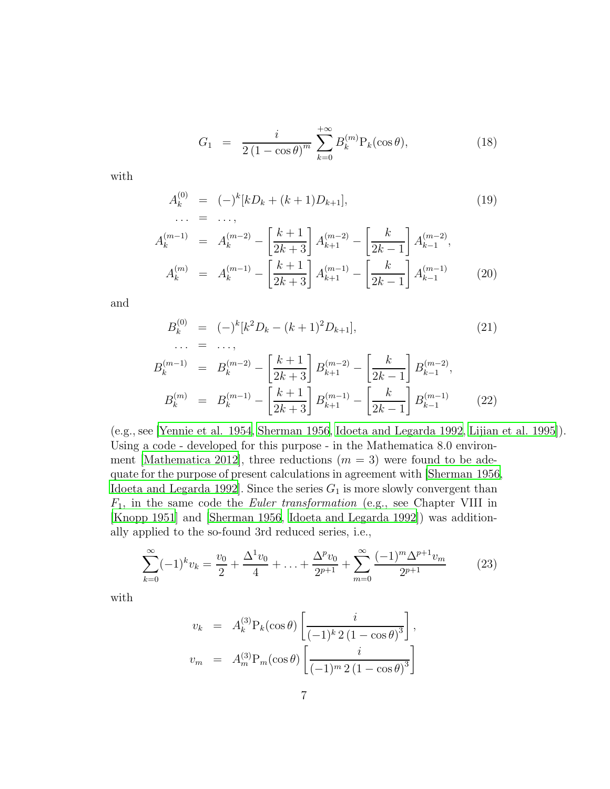$$
G_1 = \frac{i}{2(1 - \cos\theta)^m} \sum_{k=0}^{+\infty} B_k^{(m)} P_k(\cos\theta), \qquad (18)
$$

with

$$
A_k^{(0)} = (-)^k [kD_k + (k+1)D_{k+1}],
$$
  
... = ..., (19)

$$
A_k^{(m-1)} = A_k^{(m-2)} - \left[\frac{k+1}{2k+3}\right] A_{k+1}^{(m-2)} - \left[\frac{k}{2k-1}\right] A_{k-1}^{(m-2)},
$$
  
\n
$$
A_k^{(m)} = A_k^{(m-1)} - \left[\frac{k+1}{2k+3}\right] A_{k+1}^{(m-1)} - \left[\frac{k}{2k-1}\right] A_{k-1}^{(m-1)} \qquad (20)
$$

and

$$
B_k^{(0)} = (-)^k [k^2 D_k - (k+1)^2 D_{k+1}],
$$
\n
$$
\cdots = \cdots,
$$
\n
$$
B_k^{(m-1)} = B_k^{(m-2)} - \left[\frac{k+1}{2k+3}\right] B_{k+1}^{(m-2)} - \left[\frac{k}{2k-1}\right] B_{k-1}^{(m-2)},
$$
\n
$$
B_k^{(m)} = B_k^{(m-1)} - \left[\frac{k+1}{2k+3}\right] B_{k+1}^{(m-1)} - \left[\frac{k}{2k-1}\right] B_{k-1}^{(m-1)} \tag{22}
$$

(e.g., see [\[Yennie et al. 1954,](#page-40-10) [Sherman 1956,](#page-40-5) [Idoeta and Legarda 1992,](#page-38-0) [Lijian et al. 1995\]](#page-39-1)). Using a code - developed for this purpose - in the Mathematica 8.0 environ-ment [\[Mathematica 2012\]](#page-40-11), three reductions  $(m = 3)$  were found to be adequate for the purpose of present calculations in agreement with [\[Sherman 1956,](#page-40-5) [Idoeta and Legarda 1992\]](#page-38-0). Since the series  $G_1$  is more slowly convergent than  $F_1$ , in the same code the *Euler transformation* (e.g., see Chapter VIII in [\[Knopp 1951\]](#page-39-8) and [\[Sherman 1956](#page-40-5), [Idoeta and Legarda 1992\]](#page-38-0)) was additionally applied to the so-found 3rd reduced series, i.e.,

<span id="page-6-0"></span>
$$
\sum_{k=0}^{\infty} (-1)^k v_k = \frac{v_0}{2} + \frac{\Delta^1 v_0}{4} + \ldots + \frac{\Delta^p v_0}{2^{p+1}} + \sum_{m=0}^{\infty} \frac{(-1)^m \Delta^{p+1} v_m}{2^{p+1}} \tag{23}
$$

with

$$
v_k = A_k^{(3)} P_k(\cos \theta) \left[ \frac{i}{(-1)^k 2 (1 - \cos \theta)^3} \right],
$$
  

$$
v_m = A_m^{(3)} P_m(\cos \theta) \left[ \frac{i}{(-1)^m 2 (1 - \cos \theta)^3} \right]
$$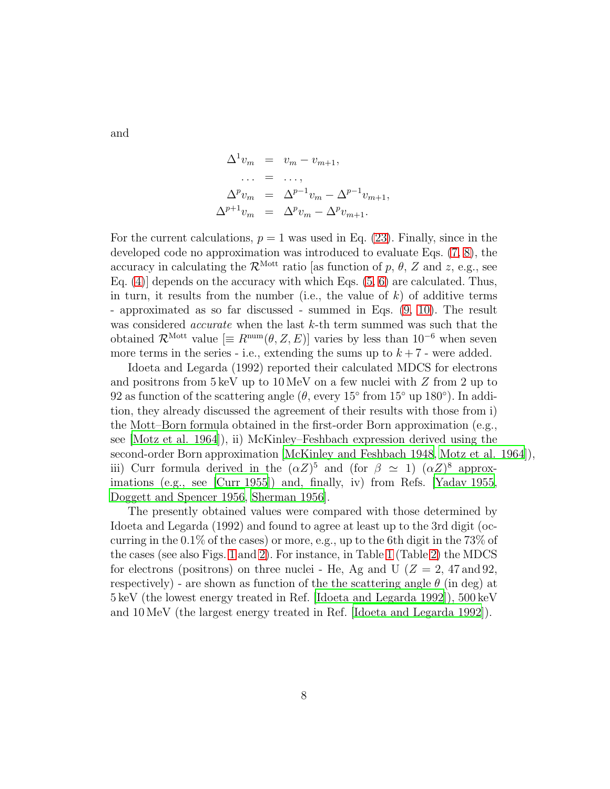and

$$
\Delta^1 v_m = v_m - v_{m+1},
$$
  
\n... = ...,  
\n
$$
\Delta^p v_m = \Delta^{p-1} v_m - \Delta^{p-1} v_{m+1},
$$
  
\n
$$
\Delta^{p+1} v_m = \Delta^p v_m - \Delta^p v_{m+1}.
$$

For the current calculations,  $p = 1$  was used in Eq. [\(23\)](#page-6-0). Finally, since in the developed code no approximation was introduced to evaluate Eqs. [\(7, 8\)](#page-4-4), the accuracy in calculating the  $\mathcal{R}^{\text{Mott}}$  ratio [as function of p,  $\theta$ , Z and z, e.g., see Eq.  $(4)$  depends on the accuracy with which Eqs.  $(5, 6)$  are calculated. Thus, in turn, it results from the number (i.e., the value of  $k$ ) of additive terms - approximated as so far discussed - summed in Eqs. [\(9, 10\)](#page-4-4). The result was considered *accurate* when the last  $k$ -th term summed was such that the obtained  $\mathcal{R}^{\text{Mott}}$  value  $[\equiv R^{\text{num}}(\theta, Z, E)]$  varies by less than 10<sup>-6</sup> when seven more terms in the series - i.e., extending the sums up to  $k + 7$  - were added.

Idoeta and Legarda (1992) reported their calculated MDCS for electrons and positrons from  $5 \text{ keV}$  up to  $10 \text{ MeV}$  on a few nuclei with Z from 2 up to 92 as function of the scattering angle ( $\theta$ , every 15 $\degree$  from 15 $\degree$  up 180 $\degree$ ). In addition, they already discussed the agreement of their results with those from i) the Mott–Born formula obtained in the first-order Born approximation (e.g., see [\[Motz et al. 1964](#page-40-9)]), ii) McKinley–Feshbach expression derived using the second-order Born approximation [\[McKinley and Feshbach 1948,](#page-39-7) [Motz et al. 1964\]](#page-40-9)), iii) Curr formula derived in the  $(\alpha Z)^5$  and (for  $\beta \simeq 1$ )  $(\alpha Z)^8$  approximations (e.g., see [\[Curr 1955\]](#page-37-8)) and, finally, iv) from Refs. [\[Yadav 1955](#page-40-8), [Doggett and Spencer 1956,](#page-38-9) [Sherman 1956\]](#page-40-5).

The presently obtained values were compared with those determined by Idoeta and Legarda (1992) and found to agree at least up to the 3rd digit (occurring in the 0.1% of the cases) or more, e.g., up to the 6th digit in the 73% of the cases (see also Figs. [1](#page-10-0) and [2\)](#page-11-0). For instance, in Table [1](#page-8-0) (Table [2\)](#page-9-0) the MDCS for electrons (positrons) on three nuclei - He, Ag and U ( $Z = 2$ , 47 and 92, respectively) - are shown as function of the the scattering angle  $\theta$  (in deg) at 5 keV (the lowest energy treated in Ref. [\[Idoeta and Legarda 1992\]](#page-38-0)), 500 keV and 10 MeV (the largest energy treated in Ref. [\[Idoeta and Legarda 1992](#page-38-0)]).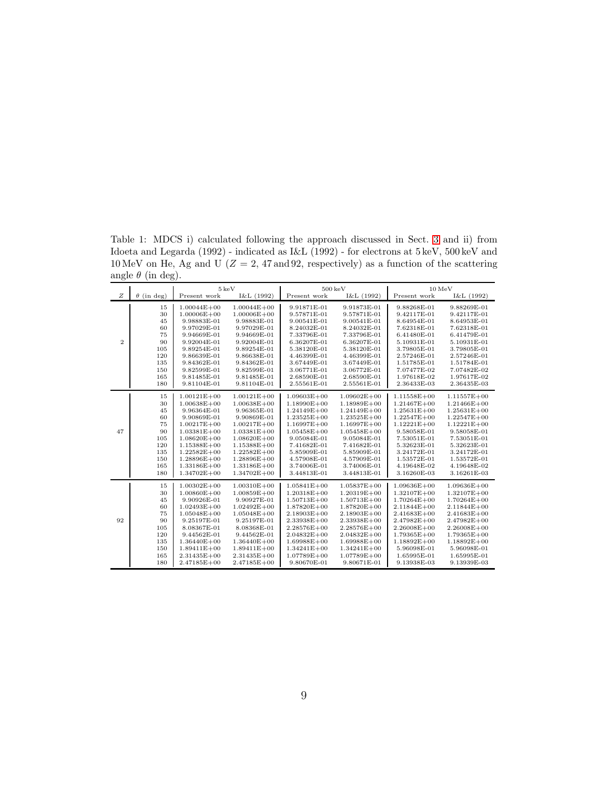<span id="page-8-0"></span>Table 1: MDCS i) calculated following the approach discussed in Sect. [3](#page-5-0) and ii) from Idoeta and Legarda (1992) - indicated as I&L (1992) - for electrons at 5 keV, 500 keV and 10 MeV on He, Ag and U ( $Z = 2$ , 47 and 92, respectively) as a function of the scattering angle  $\theta$  (in deg).  $\overline{\phantom{0}}$ 

|                |                   | $5 \,\mathrm{keV}$ |                 |                 | $500\,\mathrm{keV}$ |                 | $10\,\mathrm{MeV}$ |
|----------------|-------------------|--------------------|-----------------|-----------------|---------------------|-----------------|--------------------|
| Z              | $\theta$ (in deg) | Present work       | I&L (1992)      | Present work    | I&L (1992)          | Present work    | I&L (1992)         |
|                | 15                | $1.00044E + 00$    | $1.00044E + 00$ | 9.91871E-01     | 9.91873E-01         | 9.88268E-01     | 9.88269E-01        |
|                | 30                | $1.00006E + 00$    | $1.00006E + 00$ | 9.57871E-01     | 9.57871E-01         | 9.42117E-01     | 9.42117E-01        |
|                | 45                | 9.98883E-01        | 9.98883E-01     | 9.00541E-01     | 9.00541E-01         | 8.64954E-01     | 8.64953E-01        |
|                | 60                | 9.97029E-01        | 9.97029E-01     | 8.24032E-01     | 8.24032E-01         | 7.62318E-01     | 7.62318E-01        |
|                | 75                | 9.94669E-01        | 9.94669E-01     | 7.33796E-01     | 7.33796E-01         | 6.41480E-01     | 6.41479E-01        |
| $\overline{2}$ | 90                | 9.92004E-01        | 9.92004E-01     | 6.36207E-01     | 6.36207E-01         | 5.10931E-01     | 5.10931E-01        |
|                | 105               | 9.89254E-01        | 9.89254E-01     | 5.38120E-01     | 5.38120E-01         | 3.79805E-01     | 3.79805E-01        |
|                | 120               | 9.86639E-01        | 9.86638E-01     | 4.46399E-01     | 4.46399E-01         | 2.57246E-01     | 2.57246E-01        |
|                | 135               | 9.84362E-01        | 9.84362E-01     | 3.67449E-01     | 3.67449E-01         | 1.51785E-01     | 1.51784E-01        |
|                | 150               | 9.82599E-01        | 9.82599E-01     | 3.06771E-01     | 3.06772E-01         | 7.07477E-02     | 7.07482E-02        |
|                | 165               | 9.81485E-01        | 9.81485E-01     | 2.68590E-01     | 2.68590E-01         | 1.97618E-02     | 1.97617E-02        |
|                | 180               | 9.81104E-01        | 9.81104E-01     | 2.55561E-01     | 2.55561E-01         | 2.36433E-03     | 2.36435E-03        |
|                | 15                | $1.00121E + 00$    | $1.00121E + 00$ | $1.09603E + 00$ | $1.09602E + 00$     | $1.11558E + 00$ | $1.11557E + 00$    |
|                | 30                | $1.00638E + 00$    | $1.00638E + 00$ | 1.18990E+00     | $1.18989E + 00$     | $1.21467E + 00$ | $1.21466E + 00$    |
|                | 45                | 9.96364E-01        | 9.96365E-01     | $1.24149E + 00$ | $1.24149E + 00$     | $1.25631E + 00$ | $1.25631E + 00$    |
|                | 60                | 9.90869E-01        | 9.90869E-01     | $1.23525E + 00$ | $1.23525E + 00$     | $1.22547E + 00$ | $1.22547E + 00$    |
|                | 75                | $1.00217E + 00$    | $1.00217E + 00$ | $1.16997E + 00$ | $1.16997E + 00$     | $1.12221E + 00$ | $1.12221E + 00$    |
| 47             | 90                | $1.03381E + 00$    | 1.03381E+00     | $1.05458E + 00$ | $1.05458E + 00$     | 9.58058E-01     | 9.58058E-01        |
|                | 105               | $1.08620E + 00$    | $1.08620E + 00$ | 9.05084E-01     | 9.05084E-01         | 7.53051E-01     | 7.53051E-01        |
|                | 120               | $1.15388E + 00$    | $1.15388E + 00$ | 7.41682E-01     | 7.41682E-01         | 5.32623E-01     | 5.32623E-01        |
|                | 135               | $1.22582E + 00$    | $1.22582E + 00$ | 5.85909E-01     | 5.85909E-01         | 3.24172E-01     | 3.24172E-01        |
|                | 150               | $1.28896E + 00$    | $1.28896E + 00$ | 4.57908E-01     | 4.57909E-01         | 1.53572E-01     | 1.53572E-01        |
|                | 165               | $1.33186E + 00$    | $1.33186E + 00$ | 3.74006E-01     | 3.74006E-01         | 4.19648E-02     | 4.19648E-02        |
|                | 180               | $1.34702E + 00$    | $1.34702E + 00$ | 3.44813E-01     | 3.44813E-01         | 3.16260E-03     | 3.16261E-03        |
|                | 15                | $1.00302E + 00$    | $1.00310E + 00$ | $1.05841E + 00$ | $1.05837E + 00$     | $1.09636E + 00$ | $1.09636E + 00$    |
|                | 30                | $1.00860E + 00$    | $1.00859E + 00$ | $1.20318E + 00$ | $1.20319E + 00$     | $1.32107E + 00$ | $1.32107E + 00$    |
|                | 45                | 9.90926E-01        | 9.90927E-01     | $1.50713E + 00$ | $1.50713E + 00$     | $1.70264E + 00$ | $1.70264E + 00$    |
|                | 60                | $1.02493E + 00$    | $1.02492E + 00$ | $1.87820E + 00$ | $1.87820E + 00$     | $2.11844E + 00$ | $2.11844E + 00$    |
|                | 75                | $1.05048E + 00$    | $1.05048E + 00$ | $2.18903E + 00$ | $2.18903E + 00$     | $2.41683E + 00$ | $2.41683E + 00$    |
| 92             | 90                | 9.25197E-01        | 9.25197E-01     | 2.33938E+00     | 2.33938E+00         | $2.47982E + 00$ | $2.47982E + 00$    |
|                | 105               | 8.08367E-01        | 8.08368E-01     | 2.28576E+00     | $2.28576E + 00$     | $2.26008E + 00$ | $2.26008E + 00$    |
|                | 120               | 9.44562E-01        | 9.44562E-01     | $2.04832E + 00$ | $2.04832E + 00$     | $1.79365E + 00$ | $1.79365E + 00$    |
|                | 135               | $1.36440E + 00$    | $1.36440E + 00$ | $1.69988E + 00$ | $1.69988E + 00$     | $1.18892E + 00$ | $1.18892E + 00$    |
|                | 150               | $1.89411E + 00$    | $1.89411E + 00$ | $1.34241E + 00$ | $1.34241E + 00$     | 5.96098E-01     | 5.96098E-01        |
|                | 165               | $2.31435E + 00$    | $2.31435E + 00$ | $1.07789E + 00$ | $1.07789E + 00$     | 1.65995E-01     | 1.65995E-01        |
|                | 180               | $2.47185E + 00$    | $2.47185E + 00$ | 9.80670E-01     | 9.80671E-01         | 9.13938E-03     | 9.13939E-03        |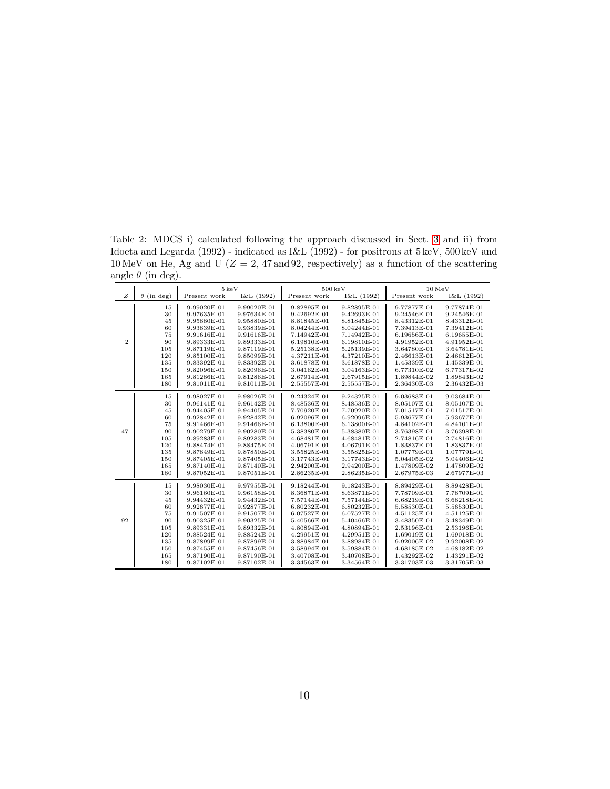<span id="page-9-0"></span>Table 2: MDCS i) calculated following the approach discussed in Sect. [3](#page-5-0) and ii) from Idoeta and Legarda (1992) - indicated as I&L (1992) - for positrons at 5 keV, 500 keV and 10 MeV on He, Ag and U ( $Z = 2$ , 47 and 92, respectively) as a function of the scattering angle  $\theta$  (in deg).

|                |                   | $5\,\mathrm{keV}$ |             | $500\,\mathrm{keV}$ |             | $10\,\mathrm{MeV}$ |             |
|----------------|-------------------|-------------------|-------------|---------------------|-------------|--------------------|-------------|
| Z              | $\theta$ (in deg) | Present work      | I&L (1992)  | Present work        | I&L (1992)  | Present work       | I&L (1992)  |
|                | 15                | 9.99020E-01       | 9.99020E-01 | 9.82895E-01         | 9.82895E-01 | 9.77877E-01        | 9.77874E-01 |
|                | 30                | 9.97635E-01       | 9.97634E-01 | 9.42692E-01         | 9.42693E-01 | 9.24546E-01        | 9.24546E-01 |
|                | 45                | 9.95880E-01       | 9.95880E-01 | 8.81845E-01         | 8.81845E-01 | 8.43312E-01        | 8.43312E-01 |
|                | 60                | 9.93839E-01       | 9.93839E-01 | 8.04244E-01         | 8.04244E-01 | 7.39413E-01        | 7.39412E-01 |
|                | 75                | 9.91616E-01       | 9.91616E-01 | 7.14942E-01         | 7.14942E-01 | 6.19656E-01        | 6.19655E-01 |
| $\overline{2}$ | 90                | 9.89333E-01       | 9.89333E-01 | 6.19810E-01         | 6.19810E-01 | 4.91952E-01        | 4.91952E-01 |
|                | 105               | 9.87119E-01       | 9.87119E-01 | 5.25138E-01         | 5.25139E-01 | 3.64780E-01        | 3.64781E-01 |
|                | 120               | 9.85100E-01       | 9.85099E-01 | 4.37211E-01         | 4.37210E-01 | 2.46613E-01        | 2.46612E-01 |
|                | 135               | 9.83392E-01       | 9.83392E-01 | 3.61878E-01         | 3.61878E-01 | 1.45339E-01        | 1.45339E-01 |
|                | 150               | 9.82096E-01       | 9.82096E-01 | 3.04162E-01         | 3.04163E-01 | 6.77310E-02        | 6.77317E-02 |
|                | 165               | 9.81286E-01       | 9.81286E-01 | 2.67914E-01         | 2.67915E-01 | 1.89844E-02        | 1.89843E-02 |
|                | 180               | 9.81011E-01       | 9.81011E-01 | 2.55557E-01         | 2.55557E-01 | 2.36430E-03        | 2.36432E-03 |
|                | 15                | 9.98027E-01       | 9.98026E-01 | 9.24324E-01         | 9.24325E-01 | 9.03683E-01        | 9.03684E-01 |
|                | 30                | 9.96141E-01       | 9.96142E-01 | 8.48536E-01         | 8.48536E-01 | 8.05107E-01        | 8.05107E-01 |
|                | 45                | 9.94405E-01       | 9.94405E-01 | 7.70920E-01         | 7.70920E-01 | 7.01517E-01        | 7.01517E-01 |
|                | 60                | 9.92842E-01       | 9.92842E-01 | 6.92096E-01         | 6.92096E-01 | 5.93677E-01        | 5.93677E-01 |
|                | 75                | 9.91466E-01       | 9.91466E-01 | 6.13800E-01         | 6.13800E-01 | 4.84102E-01        | 4.84101E-01 |
| 47             | 90                | 9.90279E-01       | 9.90280E-01 | 5.38380E-01         | 5.38380E-01 | 3.76398E-01        | 3.76398E-01 |
|                | 105               | 9.89283E-01       | 9.89283E-01 | 4.68481E-01         | 4.68481E-01 | 2.74816E-01        | 2.74816E-01 |
|                | 120               | 9.88474E-01       | 9.88475E-01 | 4.06791E-01         | 4.06791E-01 | 1.83837E-01        | 1.83837E-01 |
|                | 135               | 9.87849E-01       | 9.87850E-01 | 3.55825E-01         | 3.55825E-01 | 1.07779E-01        | 1.07779E-01 |
|                | 150               | 9.87405E-01       | 9.87405E-01 | 3.17743E-01         | 3.17743E-01 | 5.04405E-02        | 5.04406E-02 |
|                | 165               | 9.87140E-01       | 9.87140E-01 | 2.94200E-01         | 2.94200E-01 | 1.47809E-02        | 1.47809E-02 |
|                | 180               | 9.87052E-01       | 9.87051E-01 | 2.86235E-01         | 2.86235E-01 | 2.67975E-03        | 2.67977E-03 |
|                | 15                | 9.98030E-01       | 9.97955E-01 | 9.18244E-01         | 9.18243E-01 | 8.89429E-01        | 8.89428E-01 |
|                | 30                | 9.96160E-01       | 9.96158E-01 | 8.36871E-01         | 8.63871E-01 | 7.78709E-01        | 7.78709E-01 |
|                | 45                | 9.94432E-01       | 9.94432E-01 | 7.57144E-01         | 7.57144E-01 | 6.68219E-01        | 6.68218E-01 |
|                | 60                | 9.92877E-01       | 9.92877E-01 | 6.80232E-01         | 6.80232E-01 | 5.58530E-01        | 5.58530E-01 |
|                | 75                | 9.91507E-01       | 9.91507E-01 | 6.07527E-01         | 6.07527E-01 | 4.51125E-01        | 4.51125E-01 |
| 92             | 90                | 9.90325E-01       | 9.90325E-01 | 5.40566E-01         | 5.40466E-01 | 3.48350E-01        | 3.48349E-01 |
|                | 105               | 9.89331E-01       | 9.89332E-01 | 4.80894E-01         | 4.80894E-01 | 2.53196E-01        | 2.53196E-01 |
|                | 120               | 9.88524E-01       | 9.88524E-01 | 4.29951E-01         | 4.29951E-01 | 1.69019E-01        | 1.69018E-01 |
|                | 135               | 9.87899E-01       | 9.87899E-01 | 3.88984E-01         | 3.88984E-01 | 9.92006E-02        | 9.92008E-02 |
|                | 150               | 9.87455E-01       | 9.87456E-01 | 3.58994E-01         | 3.59884E-01 | 4.68185E-02        | 4.68182E-02 |
|                | 165               | 9.87190E-01       | 9.87190E-01 | 3.40708E-01         | 3.40708E-01 | 1.43292E-02        | 1.43291E-02 |
|                | 180               | 9.87102E-01       | 9.87102E-01 | 3.34563E-01         | 3.34564E-01 | 3.31703E-03        | 3.31705E-03 |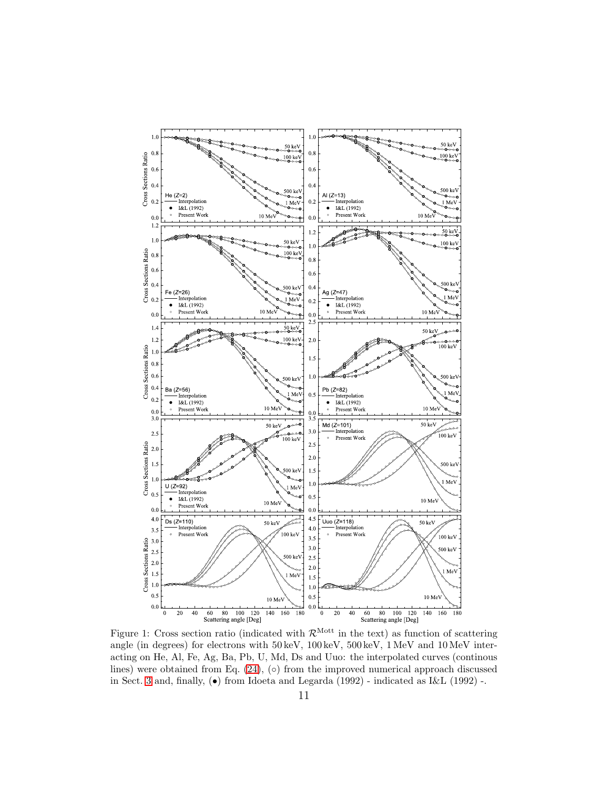

<span id="page-10-0"></span>Figure 1: Cross section ratio (indicated with  $\mathcal{R}^{\text{Mott}}$  in the text) as function of scattering angle (in degrees) for electrons with 50 keV, 100 keV, 500 keV, 1 MeV and 10 MeV interacting on He, Al, Fe, Ag, Ba, Pb, U, Md, Ds and Uuo: the interpolated curves (continous lines) were obtained from Eq.  $(24)$ ,  $(°)$  from the improved numerical approach discussed in Sect. [3](#page-5-0) and, finally,  $\left( \bullet \right)$  from Idoeta and Legarda (1992) - indicated as I&L (1992) -.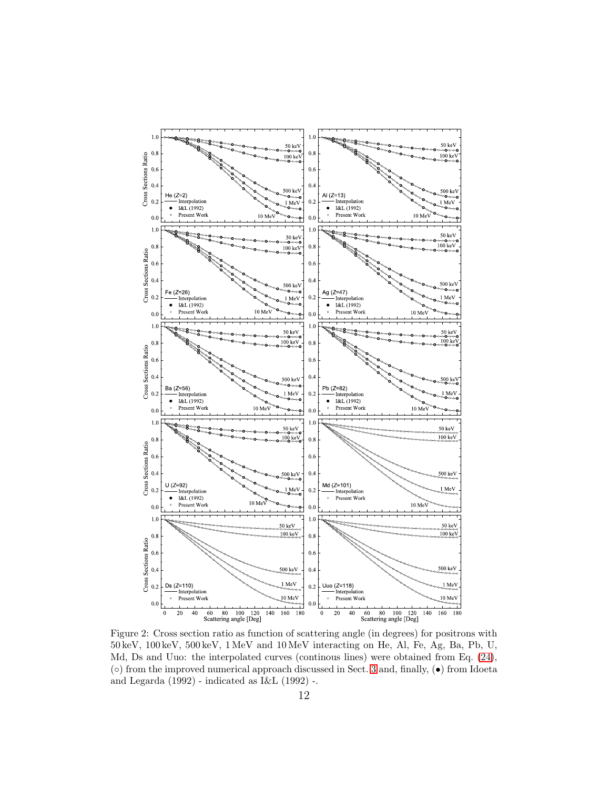

<span id="page-11-0"></span>Figure 2: Cross section ratio as function of scattering angle (in degrees) for positrons with 50 keV, 100 keV, 500 keV, 1 MeV and 10 MeV interacting on He, Al, Fe, Ag, Ba, Pb, U, Md, Ds and Uuo: the interpolated curves (continous lines) were obtained from Eq. [\(24\)](#page-12-1), (◦) from the improved numerical approach discussed in Sect. [3](#page-5-0) and, finally, (•) from Idoeta and Legarda (1992) - indicated as I&L (1992) -.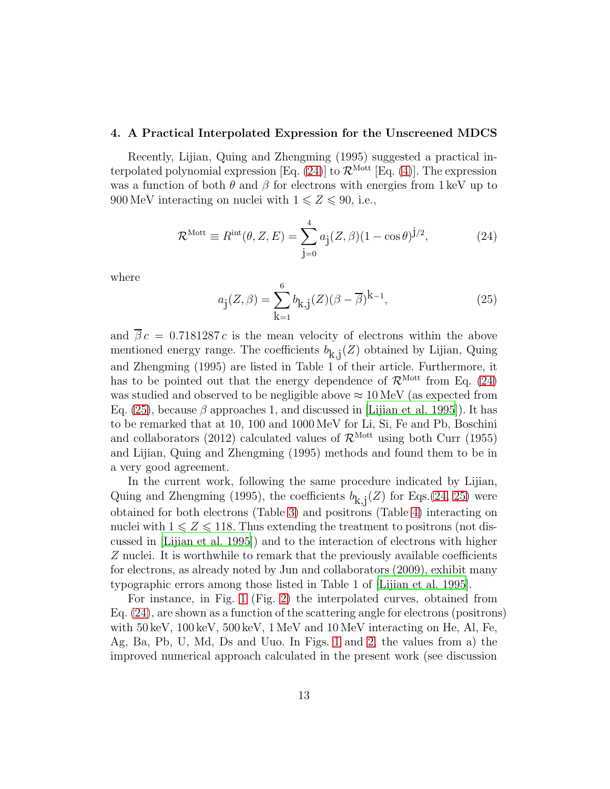#### <span id="page-12-0"></span>4. A Practical Interpolated Expression for the Unscreened MDCS

Recently, Lijian, Quing and Zhengming (1995) suggested a practical in-terpolated polynomial expression [Eq. [\(24\)](#page-12-1)] to  $\mathcal{R}^{\text{Mott}}$  [Eq. [\(4\)](#page-4-1)]. The expression was a function of both  $\theta$  and  $\beta$  for electrons with energies from 1 keV up to 900 MeV interacting on nuclei with  $1 \leq Z \leq 90$ , i.e.,

<span id="page-12-1"></span>
$$
\mathcal{R}^{\text{Mott}} \equiv R^{\text{int}}(\theta, Z, E) = \sum_{j=0}^{4} a_j (Z, \beta) (1 - \cos \theta)^{j/2}, \qquad (24)
$$

where

<span id="page-12-2"></span>
$$
a_{\mathbf{j}}(Z,\beta) = \sum_{\mathbf{k}=1}^{6} b_{\mathbf{k},\mathbf{j}}(Z)(\beta - \overline{\beta})^{\mathbf{k}-1},
$$
 (25)

and  $\overline{\beta} c = 0.7181287 c$  is the mean velocity of electrons within the above mentioned energy range. The coefficients  $b_{k,i}(Z)$  obtained by Lijian, Quing and Zhengming (1995) are listed in Table 1 of their article. Furthermore, it has to be pointed out that the energy dependence of  $\mathcal{R}^{\text{Mott}}$  from Eq. [\(24\)](#page-12-1) was studied and observed to be negligible above  $\approx 10 \,{\rm MeV}$  (as expected from Eq. [\(25\)](#page-12-2), because  $\beta$  approaches 1, and discussed in [\[Lijian et al. 1995\]](#page-39-1)). It has to be remarked that at 10, 100 and 1000 MeV for Li, Si, Fe and Pb, Boschini and collaborators (2012) calculated values of  $\mathcal{R}^{\text{Mott}}$  using both Curr (1955) and Lijian, Quing and Zhengming (1995) methods and found them to be in a very good agreement.

In the current work, following the same procedure indicated by Lijian, Quing and Zhengming (1995), the coefficients  $b_{k,j}(Z)$  for Eqs.[\(24,](#page-12-1) [25\)](#page-12-2) were obtained for both electrons (Table [3\)](#page-16-0) and positrons (Table [4\)](#page-26-0) interacting on nuclei with  $1 \leqslant Z \leqslant 118$ . Thus extending the treatment to positrons (not discussed in [\[Lijian et al. 1995](#page-39-1)]) and to the interaction of electrons with higher Z nuclei. It is worthwhile to remark that the previously available coefficients for electrons, as already noted by Jun and collaborators (2009), exhibit many typographic errors among those listed in Table 1 of [\[Lijian et al. 1995\]](#page-39-1).

For instance, in Fig. [1](#page-10-0) (Fig. [2\)](#page-11-0) the interpolated curves, obtained from Eq. [\(24\)](#page-12-1), are shown as a function of the scattering angle for electrons (positrons) with  $50 \,\text{keV}$ ,  $100 \,\text{keV}$ ,  $500 \,\text{keV}$ ,  $1 \,\text{MeV}$  and  $10 \,\text{MeV}$  interacting on He, Al, Fe, Ag, Ba, Pb, U, Md, Ds and Uuo. In Figs. [1](#page-10-0) and [2,](#page-11-0) the values from a) the improved numerical approach calculated in the present work (see discussion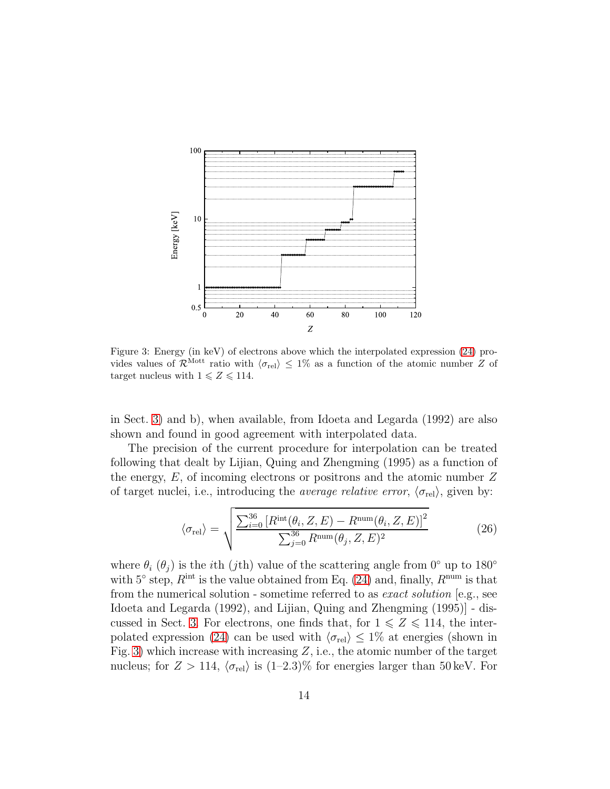

<span id="page-13-0"></span>Figure 3: Energy (in keV) of electrons above which the interpolated expression [\(24\)](#page-12-1) provides values of  $\mathcal{R}^{\text{Mott}}$  ratio with  $\langle \sigma_{rel} \rangle \leq 1\%$  as a function of the atomic number Z of target nucleus with  $1 \leq Z \leq 114$ .

in Sect. [3\)](#page-5-0) and b), when available, from Idoeta and Legarda (1992) are also shown and found in good agreement with interpolated data.

The precision of the current procedure for interpolation can be treated following that dealt by Lijian, Quing and Zhengming (1995) as a function of the energy,  $E$ , of incoming electrons or positrons and the atomic number  $Z$ of target nuclei, i.e., introducing the *average relative error*,  $\langle \sigma_{rel} \rangle$ , given by:

$$
\langle \sigma_{\text{rel}} \rangle = \sqrt{\frac{\sum_{i=0}^{36} \left[ R^{\text{int}}(\theta_i, Z, E) - R^{\text{num}}(\theta_i, Z, E) \right]^2}{\sum_{j=0}^{36} R^{\text{num}}(\theta_j, Z, E)^2}}
$$
(26)

where  $\theta_i$  ( $\theta_j$ ) is the *i*th (*j*th) value of the scattering angle from 0° up to 180° with 5 $\degree$  step,  $R^{\text{int}}$  is the value obtained from Eq. [\(24\)](#page-12-1) and, finally,  $R^{\text{num}}$  is that from the numerical solution - sometime referred to as exact solution [e.g., see Idoeta and Legarda (1992), and Lijian, Quing and Zhengming (1995)] - dis-cussed in Sect. [3.](#page-5-0) For electrons, one finds that, for  $1 \leq Z \leq 114$ , the inter-polated expression [\(24\)](#page-12-1) can be used with  $\langle \sigma_{rel} \rangle \leq 1\%$  at energies (shown in Fig. [3\)](#page-13-0) which increase with increasing  $Z$ , i.e., the atomic number of the target nucleus; for  $Z > 114$ ,  $\langle \sigma_{rel} \rangle$  is  $(1-2.3)\%$  for energies larger than 50 keV. For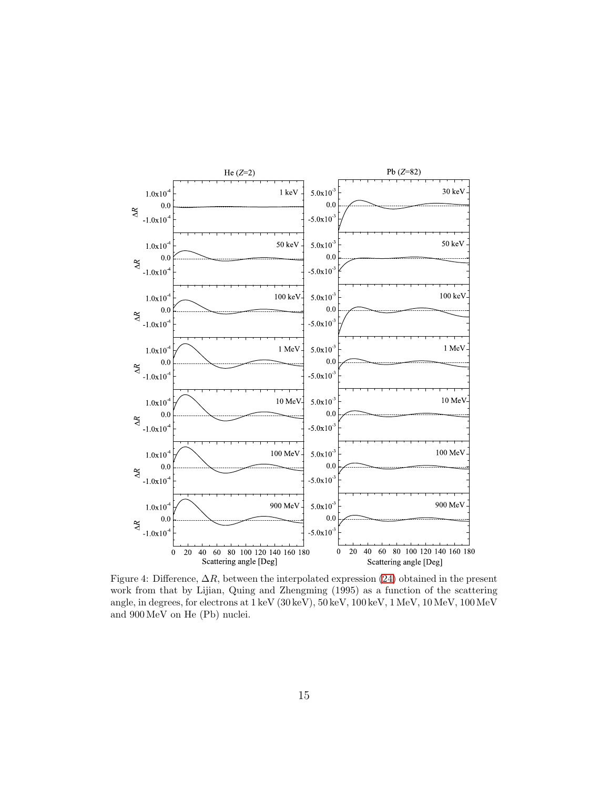

<span id="page-14-0"></span>Figure 4: Difference,  $\Delta R$ , between the interpolated expression [\(24\)](#page-12-1) obtained in the present work from that by Lijian, Quing and Zhengming (1995) as a function of the scattering angle, in degrees, for electrons at 1 keV (30 keV), 50 keV, 100 keV, 1 MeV, 10 MeV, 100MeV and 900 MeV on He (Pb) nuclei.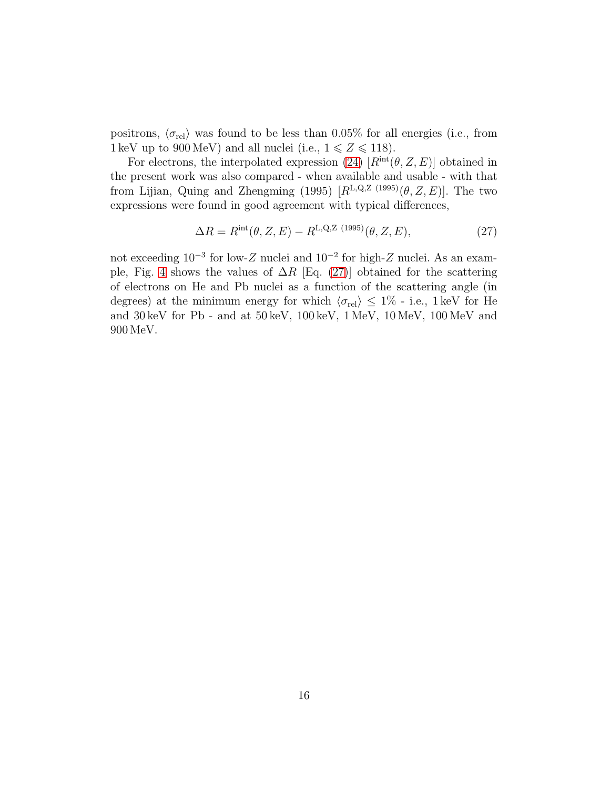positrons,  $\langle \sigma_{rel} \rangle$  was found to be less than 0.05% for all energies (i.e., from 1 keV up to 900 MeV) and all nuclei (i.e.,  $1 \le Z \le 118$ ).

For electrons, the interpolated expression [\(24\)](#page-12-1)  $[R<sup>int</sup>(\theta, Z, E)]$  obtained in the present work was also compared - when available and usable - with that from Lijian, Quing and Zhengming (1995)  $[R^{L,Q,Z(1995)}(\theta, Z, E)]$ . The two expressions were found in good agreement with typical differences,

<span id="page-15-0"></span>
$$
\Delta R = R^{\rm int}(\theta, Z, E) - R^{\rm L,Q,Z (1995)}(\theta, Z, E), \tag{27}
$$

not exceeding  $10^{-3}$  for low-Z nuclei and  $10^{-2}$  for high-Z nuclei. As an exam-ple, Fig. [4](#page-14-0) shows the values of  $\Delta R$  [Eq. [\(27\)](#page-15-0)] obtained for the scattering of electrons on He and Pb nuclei as a function of the scattering angle (in degrees) at the minimum energy for which  $\langle \sigma_{rel} \rangle \leq 1\%$  - i.e., 1 keV for He and 30 keV for Pb - and at 50 keV, 100 keV, 1 MeV, 10 MeV, 100 MeV and 900 MeV.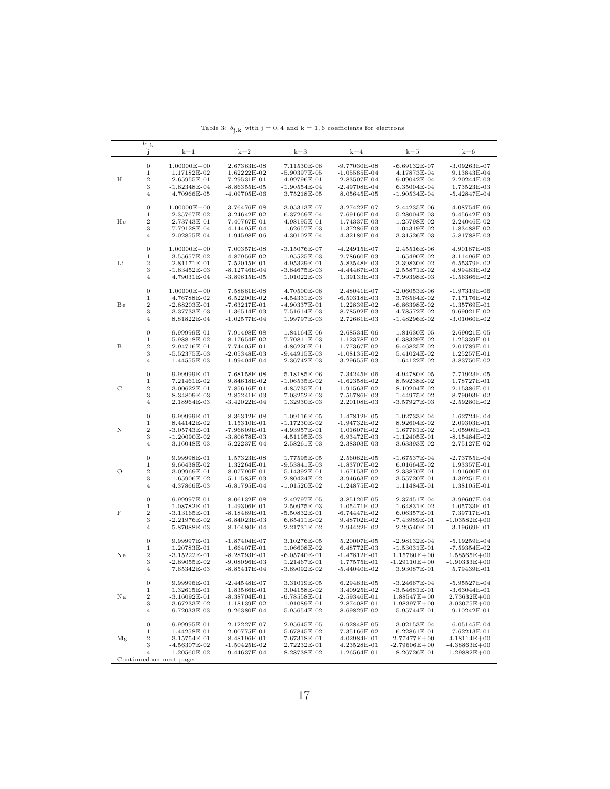<span id="page-16-0"></span>

|         | $b_{j,k}$                 |                                |                                    |                                  |                               |                                 |                                     |
|---------|---------------------------|--------------------------------|------------------------------------|----------------------------------|-------------------------------|---------------------------------|-------------------------------------|
|         |                           | $k=1$                          | $k=2$                              | $k=3$                            | $k=4$                         | $k=5$                           | $k=6$                               |
|         | $\boldsymbol{0}$          | $1.00000E + 00$                | 2.67363E-08                        | 7.11530E-08                      | $-9.77030E-08$                | $-6.69132E-07$                  | $-3.09263E-07$                      |
|         | $\mathbf 1$               | 1.17182E-02                    | 1.62222E-02                        | -5.90397E-05                     | $-1.05585E-04$                | 4.17873E-04                     | 9.13843E-04                         |
| H       | $\,2$                     | $-2.65955E-01$                 | $-7.29531E-01$                     | -4.99796E-01                     | 2.83507E-04                   | -9.09042E-04                    | $-2.20244E-03$                      |
|         | 3                         | $-1.82348E-04$                 | $-8.86355E-05$                     | $-1.90554E-04$                   | $-2.49708E-04$                | 6.35004E-04                     | 1.73523E-03                         |
|         | $\overline{4}$            | 4.70966E-05                    | $-4.09705E-06$                     | 3.75218E-05                      | 8.05645E-05                   | $-1.90534E-04$                  | $-5.42847E-04$                      |
|         | $\boldsymbol{0}$          | $1.00000E + 00$                | 3.76476E-08                        | $-3.05313E-07$                   | $-3.27422E-07$                | 2.44235E-06                     | 4.08754E-06                         |
|         | $\mathbf 1$               | 2.35767E-02                    | 3.24642E-02                        | -6.37269E-04                     | $-7.69160E-04$                | 5.28004E-03                     | 9.45642E-03                         |
| He      | $\,2$                     | $-2.73743E-01$                 | $-7.40767E-01$                     | $-4.98195E-01$                   | 1.74337E-03                   | -1.25798E-02                    | $-2.24046E-02$                      |
|         | 3                         | -7.79128E-04                   | -4.14495E-04                       | $-1.62657E-03$                   | -1.37286E-03                  | 1.04319E-02                     | 1.83488E-02                         |
|         | $\overline{4}$            | 2.02855E-04                    | 1.94598E-06                        | 4.30102E-04                      | 4.32180E-04                   | -3.31526E-03                    | $-5.81788E-03$                      |
|         | $\boldsymbol{0}$          | $1.00000E + 00$                | 7.00357E-08                        | $-3.15076E-07$                   | $-4.24915E-07$                | 2.45516E-06                     | 4.90187E-06                         |
|         | $\mathbf 1$               | 3.55657E-02                    | 4.87956E-02                        | $-1.95525E-03$                   | $-2.78660E-03$                | 1.65490E-02                     | 3.11496E-02                         |
| Li      | $\,2$<br>3                | $-2.81171E-01$                 | $-7.52015E-01$<br>$-8.12746E - 04$ | $-4.95329E-01$<br>$-3.84675E-03$ | 5.83548E-03                   | -3.39830E-02<br>2.55871E-02     | $-6.55379E-02$                      |
|         | $\overline{4}$            | -1.83452E-03<br>4.79031E-04    | $-3.89615E-05$                     | 1.01022E-03                      | -4.44467E-03<br>1.39133E-03   | -7.99398E-03                    | 4.99483E-02<br>$-1.56366E-02$       |
|         |                           |                                |                                    |                                  |                               |                                 |                                     |
|         | $\boldsymbol{0}$<br>$\,1$ | $1.00000E + 00$<br>4.76788E-02 | 7.58881E-08<br>6.52200E-02         | 4.70500E-08<br>-4.54331E-03      | 2.48041E-07<br>-6.50318E-03   | $-2.06053E-06$<br>3.76564E-02   | $-1.97319E-06$<br>7.17176E-02       |
| Be      | $\,2$                     | $-2.88203E-01$                 | $-7.63217E-01$                     | $-4.90337E-01$                   | 1.22839E-02                   | $-6.86398E-02$                  | $-1.35769E-01$                      |
|         | 3                         | -3.37733E-03                   | -1.36514E-03                       | -7.51614E-03                     | -8.78592E-03                  | 4.78572E-02                     | 9.69021E-02                         |
|         | $\overline{4}$            | 8.81822E-04                    | $-1.02577E-04$                     | 1.99797E-03                      | 2.72661E-03                   | -1.48296E-02                    | $-3.01060E-02$                      |
|         | $\boldsymbol{0}$          | 9.99999E-01                    | 7.91498E-08                        | 1.84164E-06                      | 2.68534E-06                   | $-1.81630E-05$                  | $-2.69021E-05$                      |
|         | $\mathbf 1$               | 5.98818E-02                    | 8.17654E-02                        | $-7.70811E-03$                   | $-1.12378E-02$                | 6.38329E-02                     | 1.25339E-01                         |
| B       | $\,2$                     | -2.94716E-01                   | -7.74405E-01                       | $-4.86220E-01$                   | 1.77367E-02                   | $-9.46825E-02$                  | $-2.01789E-01$                      |
|         | 3                         | $-5.52375E-03$                 | $-2.05348E-03$                     | $-9.44915E-03$                   | -1.08135E-02                  | 5.41024E-02                     | 1.25257E-01                         |
|         | $\overline{4}$            | 1.44555E-03                    | $-1.99404E-04$                     | 2.36742E-03                      | 3.29655E-03                   | $-1.64122E-02$                  | $-3.83750E-02$                      |
|         | $\boldsymbol{0}$          | 9.99999E-01                    | 7.68158E-08                        | 5.18185E-06                      | 7.34245E-06                   | -4.94780E-05                    | $-7.71923E-05$                      |
| C       | $\mathbf 1$<br>$\,2$      | 7.21461E-02<br>$-3.00622E-01$  | 9.84618E-02<br>$-7.85616E-01$      | $-1.06535E-02$<br>$-4.85735E-01$ | $-1.62358E-02$<br>1.91563E-02 | 8.59238E-02<br>$-8.10204E-02$   | 1.78727E-01<br>$-2.15386E - 01$     |
|         | 3                         | -8.34809E-03                   | $-2.85241E-03$                     | -7.03252E-03                     | -7.56786E-03                  | 1.44975E-02                     | 8.79093E-02                         |
|         | $\overline{4}$            | 2.18964E-03                    | $-3.42022E-04$                     | 1.32930E-03                      | 2.20108E-03                   | -3.57927E-03                    | $-2.59280E-02$                      |
|         | $\boldsymbol{0}$          | 9.99999E-01                    | 8.36312E-08                        | 1.09116E-05                      | 1.47812E-05                   | $-1.02733E-04$                  | $-1.62724E-04$                      |
|         | $\mathbf 1$               | 8.44142E-02                    | 1.15310E-01                        | $-1.17230E-02$                   | $-1.94732E-02$                | 8.92604E-02                     | 2.09303E-01                         |
| Ν       | $\,2$                     | -3.05743E-01                   | -7.96809E-01                       | -4.93957E-01                     | 1.01607E-02                   | 1.67761E-02                     | $-1.05909E-01$                      |
|         | 3                         | -1.20090E-02                   | $-3.80678E-03$                     | 4.51195E-03                      | 6.93472E-03                   | -1.12405E-01                    | $-8.15484E-02$                      |
|         | $\overline{4}$            | 3.16048E-03                    | $-5.22237E-04$                     | $-2.58261E-03$                   | $-2.38303E-03$                | 3.63393E-02                     | 2.75127E-02                         |
|         | $\boldsymbol{0}$          | 9.99998E-01                    | 1.57323E-08                        | 1.77595E-05                      | 2.56082E-05                   | -1.67537E-04                    | $-2.73755E-04$                      |
|         | $\mathbf 1$               | 9.66438E-02                    | 1.32264E-01                        | $-9.53841E-03$                   | $-1.83707E-02$                | 6.01664E-02                     | 1.93357E-01                         |
| О       | $\,2$                     | -3.09969E-01                   | -8.07790E-01                       | -5.14392E-01                     | $-1.67153E-02$                | 2.33870E-01                     | 1.91600E-01                         |
|         | 3<br>$\overline{4}$       | -1.65906E-02<br>4.37866E-03    | $-5.11585E-03$<br>$-6.81795E-04$   | 2.80424E-02<br>$-1.01520E-02$    | 3.94663E-02<br>-1.24875E-02   | -3.55720E-01<br>1.11484E-01     | $-4.39251E-01$<br>1.38105E-01       |
|         |                           |                                |                                    |                                  |                               |                                 |                                     |
|         | $\mathbf{0}$              | 9.99997E-01                    | $-8.06132E-08$                     | 2.49797E-05                      | 3.85120E-05                   | $-2.37451E-04$                  | $-3.99607E-04$                      |
| $\rm F$ | $\mathbf 1$<br>$\,2$      | 1.08782E-01<br>-3.13165E-01    | 1.49306E-01                        | $-2.50975E-03$                   | -1.05471E-02                  | -1.64831E-02                    | 1.05733E-01                         |
|         | 3                         | $-2.21976E-02$                 | -8.18489E-01<br>$-6.84023E-03$     | $-5.50832E-01$<br>6.65411E-02    | -6.74447E-02<br>$9.48702E-02$ | 6.06357E-01<br>-7.43989E-01     | 7.39717E-01<br>$-1.03582E + 00$     |
|         | $\overline{4}$            | 5.87088E-03                    | $-8.10480E-04$                     | $-2.21731E-02$                   | -2.94422E-02                  | 2.29540E-01                     | 3.19669E-01                         |
|         | $\boldsymbol{0}$          | 9.99997E-01                    | $-1.87404E-07$                     | 3.10276E-05                      | 5.20007E-05                   | $-2.98132E-04$                  | $-5.19259E-04$                      |
|         | $\,1$                     | 1.20783E-01                    | 1.66407E-01                        | 1.06608E-02                      | 6.48772E-03                   | $-1.53031E-01$                  | $-7.59354E - 02$                    |
| Ne      | $\,2$                     | -3.15222E-01                   | -8.28793E-01                       | $-6.05740E-01$                   | -1.47812E-01                  | $1.15760E + 00$                 | $1.58565E + 00$                     |
|         | 3                         | $-2.89055E-02$                 | $-9.08096E - 03$                   | 1.21467E-01                      | 1.77575E-01                   | $-1.29110E + 00$                | $-1.90333E + 00$                    |
|         | $\overline{4}$            | 7.65342E-03                    | -8.85417E-04                       | -3.89092E-02                     | -5.44040E-02                  | 3.93087E-01                     | 5.79439E-01                         |
|         | 0                         | 9.99996E-01                    | $-2.44548E-07$                     | 3.31019E-05                      | 6.29483E-05                   | $-3.24667E-04$                  | $-5.95527E-04$                      |
|         | $\mathbf 1$               | 1.32615E-01                    | 1.83566E-01                        | 3.04158E-02                      | 3.40925E-02                   | $-3.54681E-01$                  | $-3.63044E-01$                      |
| Na      | $\boldsymbol{2}$<br>3     | $-3.16092E-01$<br>-3.67233E-02 | $-8.38704E-01$<br>$-1.18139E-02$   | $-6.78558E-01$<br>1.91089E-01    | $-2.59346E-01$<br>2.87408E-01 | 1.88547E+00<br>$-1.98397E + 00$ | $2.73632E + 00$<br>$-3.03075E + 00$ |
|         | $\,4\,$                   | 9.72033E-03                    | $-9.26380E-04$                     | $-5.95654E-02$                   | -8.69829E-02                  | 5.95744E-01                     | 9.10242E-01                         |
|         | $\boldsymbol{0}$          | 9.99995E-01                    | $-2.12227E-07$                     | 2.95645E-05                      | 6.92848E-05                   | $-3.02153E-04$                  | $-6.05145E-04$                      |
|         | $\mathbf 1$               | 1.44258E-01                    | 2.00775E-01                        | 5.67845E-02                      | 7.35166E-02                   | $-6.22861E-01$                  | $-7.62213E-01$                      |
| Mg      | $\boldsymbol{2}$          | $-3.15754E-01$                 | $-8.48196E-01$                     | $-7.67318E-01$                   | $-4.02984E-01$                | $2.77477E + 00$                 | $4.18114E + 00$                     |
|         | 3                         | $-4.56307E-02$                 | $-1.50425E-02$                     | 2.72232E-01                      | 4.23528E-01                   | $-2.79606E + 00$                | $-4.38863E + 00$                    |
|         | 4                         | 1.20560E-02                    | $-9.44637E-04$                     | $-8.28738E-02$                   | $-1.26564E-01$                | 8.26726E-01                     | $1.29882E + 00$                     |
|         |                           | Continued on next page         |                                    |                                  |                               |                                 |                                     |

Table 3:  $b_{j,k}$  with  $j = 0, 4$  and  $k = 1, 6$  coefficients for electrons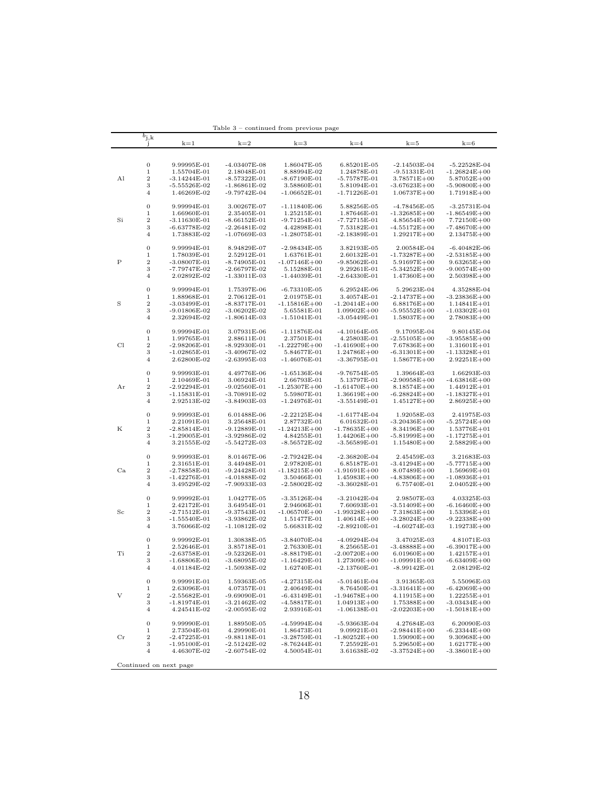|             | $b_{\rm j,k}$<br>-1 | $k=1$                         | $k=2$                          | $k=3$                         | $k=4$                         | $k = 5$                             | $k=6$                               |
|-------------|---------------------|-------------------------------|--------------------------------|-------------------------------|-------------------------------|-------------------------------------|-------------------------------------|
|             |                     |                               |                                |                               |                               |                                     |                                     |
|             | 0                   | 9.99995E-01                   | $-4.03407E-08$                 | 1.86047E-05                   | 6.85201E-05                   | -2.14503E-04                        | $-5.22528E-04$                      |
|             | $\mathbf 1$         | 1.55704E-01                   | 2.18048E-01                    | 8.88994E-02                   | 1.24878E-01                   | $-9.51331E-01$                      | $-1.26824E + 00$                    |
| Al          | $\,2$               | $-3.14244E-01$                | $-8.57322E-01$                 | $-8.67190E-01$                | $-5.75787E-01$                | $3.78571E + 00$                     | $5.87052E + 00$                     |
|             | 3                   | $-5.55526E-02$                | $-1.86861E-02$                 | 3.58860E-01                   | 5.81094E-01                   | $-3.67623E + 00$                    | $-5.90800E + 00$                    |
|             | 4                   | 1.46269E-02                   | -9.79742E-04                   | $-1.06652E-01$                | $-1.71226E-01$                | $1.06737E + 00$                     | 1.71918E+00                         |
|             | $\boldsymbol{0}$    | 9.99994E-01                   | 3.00267E-07                    | $-1.11840E-06$                | 5.88256E-05                   | -4.78456E-05                        | $-3.25731E-04$                      |
|             | $\mathbf 1$         |                               |                                |                               |                               |                                     |                                     |
|             |                     | 1.66960E-01                   | 2.35405E-01                    | 1.25215E-01                   | 1.87646E-01                   | $-1.32685E + 00$                    | $-1.86549E + 00$                    |
| Si          | $\,2$<br>3          | $-3.11630E-01$                | $-8.66152E-01$                 | $-9.71254E-01$                | $-7.72715E-01$                | $4.85654E + 00$                     | $7.72150E + 00$                     |
|             | 4                   | $-6.63778E-02$<br>1.73883E-02 | $-2.26481E-02$<br>-1.07669E-03 | 4.42898E-01<br>$-1.28075E-01$ | 7.53182E-01<br>$-2.18389E-01$ | $-4.55172E + 00$<br>$1.29217E + 00$ | $-7.48670E + 00$<br>$2.13475E + 00$ |
|             |                     |                               |                                |                               |                               |                                     |                                     |
|             | 0                   | 9.99994E-01                   | 8.94829E-07                    | $-2.98434E-05$                | 3.82193E-05                   | 2.00584E-04                         | $-6.40482E-06$                      |
|             | 1                   | 1.78039E-01                   | 2.52912E-01                    | 1.63761E-01                   | 2.60132E-01                   | $-1.73287E+00$                      | $-2.53185E + 00$                    |
| Ρ           | $\,2$               | $-3.08007E-01$                | $-8.74905E-01$                 | $-1.07146E + 00$              | -9.85062E-01                  | $5.91697E + 00$                     | $9.63265E + 00$                     |
|             | 3                   | -7.79747E-02                  | -2.66797E-02                   | 5.15288E-01                   | 9.29261E-01                   | $-5.34252E + 00$                    | $-9.00574E + 00$                    |
|             | 4                   | 2.02892E-02                   | -1.33011E-03                   | -1.44039E-01                  | $-2.64330E-01$                | $1.47360E + 00$                     | $2.50398E + 00$                     |
|             | 0                   | 9.99994E-01                   | 1.75397E-06                    | $-6.73310E-05$                | 6.29524E-06                   | 5.29623E-04                         | 4.35288E-04                         |
|             | $\mathbf 1$         | 1.88968E-01                   | 2.70612E-01                    | 2.01975E-01                   | 3.40574E-01                   | $-2.14737E + 00$                    | $-3.23836E + 00$                    |
| S           | $\overline{2}$      | $-3.03499E-01$                | -8.83717E-01                   | $-1.15816E + 00$              | -1.20414E+00                  | $6.88176E + 00$                     | $1.14841E + 01$                     |
|             | 3                   | $-9.01806E-02$                | -3.06202E-02                   | 5.65581E-01                   | $1.09902E + 00$               | -5.95552E+00                        | $-1.03302E+01$                      |
|             | $\overline{4}$      | 2.32694E-02                   | -1.80614E-03                   | $-1.51041E-01$                | $-3.05449E-01$                | $1.58037E + 00$                     | $2.78083E + 00$                     |
|             | 0                   | 9.99994E-01                   | 3.07931E-06                    | -1.11876E-04                  | $-4.10164E-05$                | 9.17095E-04                         | 9.80145E-04                         |
|             | $\mathbf 1$         | 1.99765E-01                   | 2.88611E-01                    | 2.37501E-01                   | 4.25803E-01                   | $-2.55105E + 00$                    | $-3.95585E + 00$                    |
| Cl          | $\boldsymbol{2}$    | $-2.98206E-01$                | $-8.92930E-01$                 | $-1.22279E + 00$              | -1.41690E+00                  | 7.67836E+00                         | $1.31601E + 01$                     |
|             | 3                   | -1.02865E-01                  | $-3.40967E-02$                 | 5.84677E-01                   | $1.24786E + 00$               | $-6.31301E+00$                      | -1.13328E+01                        |
|             | $\overline{4}$      | 2.62800E-02                   | $-2.63995E-03$                 | $-1.46076E-01$                | $-3.36795E-01$                | $1.58677E + 00$                     | $2.92251E + 00$                     |
|             | 0                   | 9.99993E-01                   | 4.49776E-06                    | $-1.65136E-04$                | $-9.76754E-05$                | 1.39664E-03                         | 1.66293E-03                         |
|             | 1                   | 2.10469E-01                   | 3.06924E-01                    | 2.66793E-01                   | 5.13797E-01                   | $-2.90958E + 00$                    | $-4.63816E + 00$                    |
| Αr          | $\,2$               | $-2.92294E-01$                | $-9.02560E-01$                 | $-1.25307E + 00$              | -1.61470E+00                  | $8.18574E + 00$                     | $1.44912E + 01$                     |
|             | 3                   | $-1.15831E-01$                | -3.70891E-02                   | 5.59807E-01                   | $1.36619E + 00$               | $-6.28824E+00$                      | $-1.18327E+01$                      |
|             | $\overline{4}$      | 2.92513E-02                   | -3.84903E-03                   | $-1.24976E-01$                | $-3.55149E-01$                | $1.45127E + 00$                     | $2.86925E + 00$                     |
|             | 0                   |                               |                                |                               |                               |                                     |                                     |
|             | 1                   | 9.99993E-01                   | 6.01488E-06                    | $-2.22125E-04$                | $-1.61774E-04$                | 1.92058E-03                         | 2.41975E-03                         |
| Κ           | $\,2$               | 2.21091E-01                   | 3.25648E-01                    | 2.87732E-01                   | 6.01632E-01                   | $-3.20436E + 00$                    | $-5.25724E + 00$                    |
|             |                     | $-2.85814E-01$                | $-9.12889E-01$                 | $-1.24213E + 00$              | -1.78635E+00                  | 8.34196E+00                         | $1.53776E + 01$                     |
|             | 3                   | $-1.29005E-01$                | $-3.92986E - 02$               | 4.84255E-01                   | $1.44206E + 00$               | $-5.81999E + 00$                    | $-1.17275E+01$                      |
|             | 4                   | 3.21555E-02                   | -5.54272E-03                   | -8.56572E-02                  | $-3.56589E-01$                | $1.15480E + 00$                     | $2.58829E + 00$                     |
|             | 0                   | 9.99993E-01                   | 8.01467E-06                    | $-2.79242E-04$                | $-2.36820E-04$                | 2.45459E-03                         | 3.21683E-03                         |
|             | 1                   | 2.31651E-01                   | 3.44948E-01                    | 2.97820E-01                   | 6.85187E-01                   | $-3.41294E + 00$                    | $-5.77715E + 00$                    |
| Ca          | $\,2$               | -2.78858E-01                  | $-9.24428E-01$                 | $-1.18215E + 00$              | -1.91691E+00                  | $8.07489E + 00$                     | $1.56969E + 01$                     |
|             | 3                   | $-1.42276E-01$                | $-4.01888E-02$                 | 3.50466E-01                   | $1.45983E + 00$               | $-4.83806E + 00$                    | $-1.08936E + 01$                    |
|             | $\overline{4}$      | 3.49529E-02                   | -7.90933E-03                   | $-2.58002E-02$                | $-3.36028E - 01$              | 6.75740E-01                         | $2.04052E + 00$                     |
|             | 0                   | 9.99992E-01                   | 1.04277E-05                    | $-3.35126E-04$                | $-3.21042E-04$                | 2.98507E-03                         | 4.03325E-03                         |
|             | $\mathbf 1$         | 2.42172E-01                   | 3.64954E-01                    | 2.94606E-01                   | 7.60693E-01                   | $-3.51409E + 00$                    | $-6.16460E + 00$                    |
| Sc          | $\,2$               | $-2.71512E-01$                | -9.37543E-01                   | $-1.06570E + 00$              | $-1.99328E + 00$              | 7.31863E+00                         | $1.53396E + 01$                     |
|             | 3                   | $-1.55540E-01$                | -3.93862E-02                   | 1.51477E-01                   | $1.40614E + 00$               | $-3.28024E+00$                      | $-9.22338E + 00$                    |
|             | $\overline{4}$      | 3.76066E-02                   | $-1.10812E-02$                 | 5.66831E-02                   | -2.89210E-01                  | -4.60274E-03                        | $1.19273E + 00$                     |
|             | 0                   | 9.99992E-01                   | 1.30838E-05                    | $-3.84070E-04$                | $-4.09294E-04$                | 3.47025E-03                         | 4.81071E-03                         |
|             | $\mathbf 1$         | 2.52646E-01                   | 3.85718E-01                    | 2.76330E-01                   | 8.25665E-01                   | $-3.48888E + 00$                    | $-6.39017E + 00$                    |
| Ti          | $\,2$               | $-2.63758E-01$                | $-9.52326E-01$                 | -8.88179E-01                  | $-2.00720E + 00$              | $6.01960E + 00$                     | $1.42157E + 01$                     |
|             | 3                   | $-1.68806E - 01$              | $-3.68095E-02$                 | -1.16429E-01                  | $1.27309E + 00$               | -1.09991E+00                        | $-6.63409E + 00$                    |
|             | 4                   | 4.01184E-02                   | -1.50938E-02                   | 1.62740E-01                   | $-2.13760E-01$                | -8.99142E-01                        | 2.08129E-02                         |
|             | 0                   | 9.99991E-01                   | 1.59363E-05                    | $-4.27315E-04$                | $-5.01461E-04$                | 3.91365E-03                         | 5.55096E-03                         |
|             | $\mathbf 1$         | 2.63096E-01                   | 4.07357E-01                    | 2.40649E-01                   | 8.76450E-01                   | $-3.31641E + 00$                    | $-6.42069E + 00$                    |
| V           | $\,2$               | $-2.55682E-01$                | $-9.69090E-01$                 | $-6.43149E-01$                | $-1.94678E + 00$              | $4.11915E + 00$                     | $1.22255E + 01$                     |
|             | 3                   | -1.81974E-01                  | $-3.21462E-02$                 | -4.58817E-01                  | $1.04913E + 00$               | $1.75388E + 00$                     | $-3.03434E + 00$                    |
|             | $\overline{4}$      | 4.24541E-02                   | $-2.00595E-02$                 | 2.93916E-01                   | $-1.06138E-01$                | $-2.02203E + 00$                    | $-1.50181E + 00$                    |
|             |                     |                               |                                |                               |                               |                                     |                                     |
|             | 0                   | 9.99990E-01                   | 1.88950E-05                    | $-4.59994E-04$                | $-5.93663E-04$                | 4.27684E-03                         | 6.20090E-03                         |
|             | $\mathbf 1$         | 2.73504E-01                   | 4.29990E-01                    | 1.86473E-01                   | 9.09921E-01                   | $-2.98441E + 00$                    | $-6.23344E + 00$                    |
| $_{\rm Cr}$ | $\overline{2}$      | $-2.47225E-01$                | $-9.88118E-01$                 | $-3.28759E-01$                | $-1.80252E+00$                | $1.59090E + 00$                     | $9.30968E + 00$                     |
|             | 3                   | $-1.95100E-01$                | $-2.51242E-02$                 | -8.76244E-01                  | 7.25592E-01                   | $5.29650E + 00$                     | $1.62177E + 00$                     |
|             | $\overline{4}$      | 4.46307E-02                   | $-2.60754E-02$                 | 4.50054E-01                   | 3.61638E-02                   | $-3.37524E + 00$                    | $-3.38601E + 00$                    |

Table 3 – continued from previous page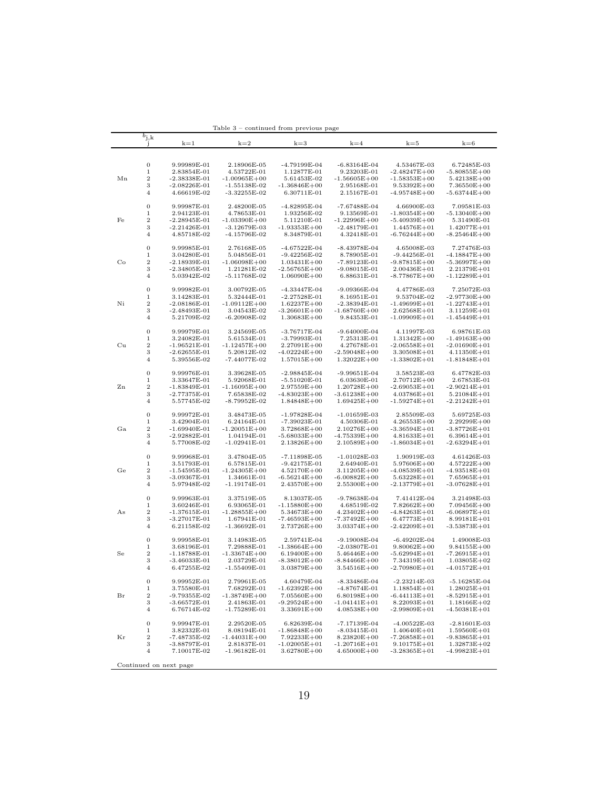|             | $b_{j,k}$<br>-1  | $k=1$                         | $k=2$                         | k=3                                 | $k=4$                           | $k=5$                               | $k=6$                           |
|-------------|------------------|-------------------------------|-------------------------------|-------------------------------------|---------------------------------|-------------------------------------|---------------------------------|
|             |                  |                               |                               |                                     |                                 |                                     |                                 |
|             | 0                | 9.99989E-01                   | 2.18906E-05                   | -4.79199E-04                        | -6.83164E-04                    | 4.53467E-03                         | 6.72485E-03                     |
|             | $\mathbf 1$      | 2.83854E-01                   | 4.53722E-01                   | 1.12877E-01                         | 9.23203E-01                     | $-2.48247E + 00$                    | -5.80855E+00                    |
| Mn          | 2                | $-2.38338E-01$                | $-1.00965E + 00$              | 5.61453E-02                         | $-1.56605E + 00$                | $-1.58353E+00$                      | $5.42138E + 00$                 |
|             | 3                | $-2.08226E - 01$              | -1.55138E-02                  |                                     | 2.95168E-01                     | $9.53392E + 00$                     | 7.36550E+00                     |
|             | $\overline{4}$   |                               |                               | $-1.36846E + 00$                    |                                 |                                     |                                 |
|             |                  | 4.66619E-02                   | -3.32255E-02                  | 6.30711E-01                         | 2.15167E-01                     | $-4.95748E + 00$                    | -5.63744E+00                    |
|             | $\boldsymbol{0}$ | 9.99987E-01                   | 2.48200E-05                   | -4.82895E-04                        | -7.67488E-04                    | 4.66900E-03                         | 7.09581E-03                     |
|             | $\,1$            | 2.94123E-01                   | 4.78653E-01                   | 1.93256E-02                         | 9.13569E-01                     | $-1.80354E + 00$                    | -5.13040E+00                    |
| Fe          | 2                | $-2.28945E-01$                | $-1.03390E + 00$              | 5.11210E-01                         | $-1.22996E + 00$                | $-5.40939E + 00$                    | 5.31490E-01                     |
|             | 3                | $-2.21426E-01$                | -3.12679E-03                  | $-1.93353E + 00$                    | -2.48179E-01                    | $1.44576E + 01$                     | $1.42077E + 01$                 |
|             | $\overline{4}$   | 4.85718E-02                   | -4.15796E-02                  | 8.34879E-01                         | 4.32418E-01                     | $-6.76244E + 00$                    | $-8.25464E + 00$                |
|             | $\boldsymbol{0}$ | 9.99985E-01                   | $2.76168\mathrm{E}\text{-}05$ | $-4.67522E-04$                      | -8.43978E-04                    | 4.65008E-03                         | 7.27476E-03                     |
|             | 1                | 3.04280E-01                   |                               |                                     | 8.78905E-01                     |                                     |                                 |
|             |                  |                               | 5.04856E-01                   | $-9.42256E-02$                      |                                 | $-9.44256E-01$                      | $-4.18847E+00$                  |
| $_{\rm Co}$ | $\,2$            | -2.18939E-01                  | $-1.06098E + 00$              | $1.03431E + 00$                     | -7.89123E-01                    | $-9.87815E + 00$                    | -5.36997E+00                    |
|             | 3                | $-2.34805E-01$                | 1.21281E-02                   | $-2.56765E + 00$                    | $-9.08015E-01$                  | $2.00436E + 01$                     | 2.21379E+01                     |
|             | 4                | 5.03942E-02                   | -5.11768E-02                  | $1.06090E + 00$                     | 6.88631E-01                     | $-8.77867E+00$                      | -1.12289E+01                    |
|             | $\boldsymbol{0}$ | 9.99982E-01                   | 3.00792E-05                   | -4.33447E-04                        | -9.09366E-04                    | 4.47786E-03                         | 7.25072E-03                     |
|             | $\mathbf 1$      | 3.14283E-01                   | 5.32444E-01                   | $-2.27528E-01$                      | 8.16951E-01                     | 9.53704E-02                         | $-2.97730E + 00$                |
| Ni          | $\,2$            | $-2.08186E-01$                | $-1.09112E + 00$              | $1.62237E + 00$                     | -2.38394E-01                    | $-1.49699E + 01$                    | -1.22743E+01                    |
|             | 3                | $-2.48493E-01$                | 3.04543E-02                   | $-3.26601E + 00$                    | $-1.68760E + 00$                | $2.62568E + 01$                     | $3.11259E + 01$                 |
|             | $\overline{4}$   | 5.21709E-02                   | -6.20908E-02                  | $1.30683E + 00$                     | 9.84353E-01                     | $-1.09909E + 01$                    | -1.45449E+01                    |
|             | $\boldsymbol{0}$ | 9.99979E-01                   | 3.24569E-05                   | $-3.76717E-04$                      | -9.64000E-04                    | 4.11997E-03                         | 6.98761E-03                     |
|             | $\mathbf 1$      | 3.24082E-01                   |                               |                                     |                                 | $1.31342E + 00$                     |                                 |
|             | $\,2$            |                               | 5.61534E-01                   | $-3.79993E-01$<br>$2.27091E + 00$   | 7.25313E-01                     | $-2.06558E + 01$                    | -1.49163E+00                    |
| Cu          |                  | $-1.96521E-01$                | $-1.12457E + 00$              |                                     | 4.27678E-01                     |                                     | $-2.01690E + 01$                |
|             | 3<br>4           | $-2.62655E-01$<br>5.39556E-02 | 5.20812E-02<br>-7.44077E-02   | $-4.02224E + 00$<br>$1.57015E + 00$ | -2.59048E+00<br>$1.32022E + 00$ | $3.30508E + 01$<br>$-1.33802E + 01$ | 4.11350E+01<br>$-1.81848E + 01$ |
|             |                  |                               |                               |                                     |                                 |                                     |                                 |
|             | $\boldsymbol{0}$ | 9.99976E-01                   | 3.39628E-05                   | $-2.98845E-04$                      | $-9.99651E-04$                  | 3.58523E-03                         | 6.47782E-03                     |
|             | 1                | 3.33647E-01                   | 5.92068E-01                   | $-5.51020E-01$                      | 6.03630E-01                     | $2.70712E + 00$                     | 2.67853E-01                     |
| Zn          | $\,2$            | $-1.83849E-01$                | $-1.16095E + 00$              | $2.97559E + 00$                     | $1.20728E + 00$                 | $-2.69053E + 01$                    | -2.90214E+01                    |
|             | 3                | $-2.77375E-01$                | 7.65838E-02                   | $-4.83023E + 00$                    | $-3.61238E + 00$                | $4.03786E + 01$                     | $5.21084E + 01$                 |
|             | 4                | 5.57745E-02                   | -8.79952E-02                  | $1.84848E + 00$                     | $1.69425E + 00$                 | $-1.59274E+01$                      | $-2.21242E+01$                  |
|             | $\boldsymbol{0}$ | 9.99972E-01                   | 3.48473E-05                   | $-1.97828E-04$                      | $-1.01659E-03$                  | 2.85509E-03                         | 5.69725E-03                     |
|             | 1                | 3.42904E-01                   | 6.24164E-01                   | -7.39023E-01                        | 4.50306E-01                     | $4.26553E + 00$                     | $2.29299E + 00$                 |
| Ga          | $\,2$            | $-1.69940E-01$                | $-1.20051E + 00$              | $3.72868E + 00$                     | $2.10276E + 00$                 | -3.36594E+01                        | -3.87726E+01                    |
|             | 3                | $-2.92882E-01$                | 1.04194E-01                   | -5.68033E+00                        | -4.75339E+00                    | $4.81633E + 01$                     | $6.39614E + 01$                 |
|             | 4                | 5.77008E-02                   | -1.02941E-01                  | $2.13826E + 00$                     | $2.10589E + 00$                 | $-1.86034E + 01$                    | $-2.63294E+01$                  |
|             |                  |                               |                               |                                     |                                 |                                     |                                 |
|             | $\boldsymbol{0}$ | 9.99968E-01                   | 3.47804E-05                   | $-7.11898E-05$                      | $-1.01028E-03$                  | 1.90919E-03                         | 4.61426E-03                     |
|             | 1                | 3.51793E-01                   | 6.57815E-01                   | $-9.42175E-01$                      | 2.64940E-01                     | $5.97606E + 00$                     | $4.57222E + 00$                 |
| Ge          | $\,2$            | $-1.54595E-01$                | $-1.24305E + 00$              | $4.52170E + 00$                     | $3.11205E + 00$                 | $-4.08539E + 01$                    | -4.93518E+01                    |
|             | 3                | $-3.09367E-01$                | 1.34661E-01                   | -6.56214E+00                        | $-6.00882E+00$                  | $5.63228E + 01$                     | $7.65965E+01$                   |
|             | $\overline{4}$   | 5.97948E-02                   | -1.19174E-01                  | $2.43570E + 00$                     | $2.55300E + 00$                 | $-2.13779E + 01$                    | $-3.07628E + 01$                |
|             | $\boldsymbol{0}$ | 9.99963E-01                   | 3.37519E-05                   | 8.13037E-05                         | -9.78638E-04                    | 7.41412E-04                         | 3.21498E-03                     |
|             | $\mathbf 1$      | 3.60246E-01                   | 6.93065E-01                   | $-1.15880E + 00$                    | 4.68519E-02                     | $7.82662E + 00$                     | $7.09456E + 00$                 |
| As          | $\,2$            | $-1.37615E-01$                | $-1.28855E+00$                | $5.34673E + 00$                     | $4.23402E + 00$                 | $-4.84263E + 01$                    | -6.06897E+01                    |
|             | 3                | -3.27017E-01                  | 1.67941E-01                   | $-7.46593E + 00$                    | -7.37492E+00                    | $6.47773E + 01$                     | $8.99181E + 01$                 |
|             | 4                | 6.21158E-02                   | $-1.36692E-01$                | $2.73726E + 00$                     | $3.03374E + 00$                 | $-2.42209E + 01$                    | $-3.53873E + 01$                |
|             |                  |                               |                               | 2.59741E-04                         |                                 |                                     |                                 |
|             | 0                | 9.99958E-01                   | 3.14983E-05                   |                                     | -9.19008E-04                    | -6.49202E-04                        | 1.49008E-03                     |
|             | 1                | 3.68196E-01                   | 7.29888E-01                   | $-1.38664E + 00$                    | -2.03807E-01                    | $9.80062E + 00$                     | $9.84155E + 00$                 |
| Se          | $\,2$            | $-1.18788E-01$                | $-1.33674E + 00$              | $6.19400E + 00$                     | $5.46446E + 00$                 | $-5.62994E + 01$                    | $-7.26915E + 01$                |
|             | 3                | $-3.46033E-01$                | 2.03729E-01                   | $-8.38012E + 00$                    | -8.84466E+00                    | $7.34319E + 01$                     | $1.03805E + 02$                 |
|             | $\overline{4}$   | 6.47255E-02                   | $-1.55409E-01$                | $3.03879E + 00$                     | $3.54516E + 00$                 | -2.70980E+01                        | -4.01572E+01                    |
|             | $\boldsymbol{0}$ | 9.99952E-01                   | 2.79961E-05                   | 4.60479E-04                         | $-8.33486E-04$                  | $-2.23214E-03$                      | $-5.16285E-04$                  |
|             | $\,1$            | 3.75580E-01                   | 7.68292E-01                   | $-1.62392E+00$                      | -4.87674E-01                    | $1.18854E + 01$                     | $1.28025E + 01$                 |
| Br          | $\,2$            | -9.79355E-02                  | $-1.38749E + 00$              | 7.05560E+00                         | $6.80198E + 00$                 | $-6.44113E + 01$                    | $-8.52915E+01$                  |
|             | 3                | $-3.66572E-01$                | 2.41863E-01                   | $-9.29524E + 00$                    | $-1.04141E + 01$                | $8.22093E + 01$                     | $1.18166E + 02$                 |
|             | $\overline{4}$   | 6.76714E-02                   | $-1.75289E-01$                | 3.33691E+00                         | $4.08538E + 00$                 | $-2.99809E + 01$                    | $-4.50381E + 01$                |
|             |                  |                               |                               |                                     |                                 |                                     |                                 |
|             | $\boldsymbol{0}$ | 9.99947E-01                   | 2.29520E-05                   | 6.82639E-04                         | $-7.17139E-04$                  | $-4.00522E-03$                      | $-2.81601E-03$                  |
|             | $\mathbf 1$      | 3.82332E-01                   | 8.08194E-01                   | $-1.86848E + 00$                    | $-8.03415E-01$                  | $1.40640E + 01$                     | $1.59560E + 01$                 |
| Κr          | $\,2$            | -7.48735E-02                  | $-1.44031E + 00$              | $7.92233E + 00$                     | $8.23820E + 00$                 | $-7.26858E + 01$                    | $-9.83865E + 01$                |
|             | 3                | $-3.88797E-01$                | 2.81837E-01                   | $-1.02005E + 01$                    | $-1.20716E + 01$                | $9.10175E + 01$                     | $1.32873E + 02$                 |
|             | $\overline{4}$   | 7.10017E-02                   | $-1.96182E-01$                | $3.62780E + 00$                     | $4.65000E + 00$                 | $-3.28365E+01$                      | $-4.99823E+01$                  |

Table 3 – continued from previous page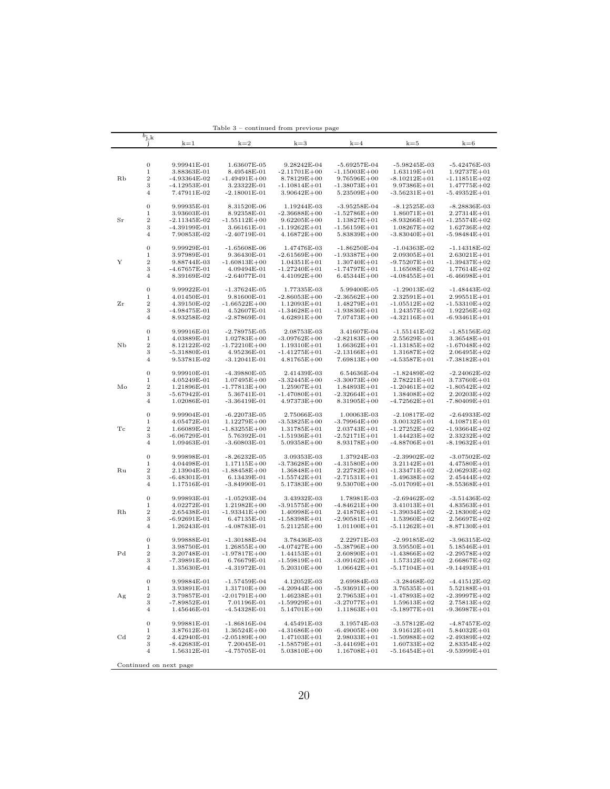|             |                  |                        | rapie o          | continued from previous page |                  |                  |                  |
|-------------|------------------|------------------------|------------------|------------------------------|------------------|------------------|------------------|
|             | $b_{\rm j,k}$    |                        |                  |                              |                  |                  |                  |
|             | J                | $k=1$                  | $k=2$            | $k=3$                        | $k=4$            | $k=5$            | $k=6$            |
|             |                  |                        |                  |                              |                  |                  |                  |
|             |                  |                        |                  |                              |                  |                  |                  |
|             | $\boldsymbol{0}$ | 9.99941E-01            | 1.63607E-05      | 9.28242E-04                  | -5.69257E-04     | $-5.98245E-03$   | $-5.42476E-03$   |
|             | 1                |                        |                  |                              |                  |                  |                  |
|             |                  | 3.88363E-01            | 8.49548E-01      | $-2.11701E + 00$             | $-1.15003E + 00$ | $1.63119E + 01$  | $1.92737E + 01$  |
| Rb          | $\boldsymbol{2}$ | -4.93364E-02           | $-1.49491E + 00$ | $8.78129E + 00$              | $9.76596E + 00$  | $-8.10212E+01$   | $-1.11851E+02$   |
|             | 3                | $-4.12953E-01$         | 3.23322E-01      | $-1.10814E + 01$             | $-1.38073E + 01$ | 9.97386E+01      | $1.47775E + 02$  |
|             | $\overline{4}$   | 7.47911E-02            | $-2.18001E-01$   | $3.90642E + 00$              | $5.23509E + 00$  | -3.56231E+01     | $-5.49352E + 01$ |
|             |                  |                        |                  |                              |                  |                  |                  |
|             | $\boldsymbol{0}$ | 9.99935E-01            | 8.31520E-06      | 1.19244E-03                  | -3.95258E-04     | -8.12525E-03     | $-8.28836E-03$   |
|             | 1                | 3.93603E-01            | 8.92358E-01      | $-2.36688E + 00$             | $-1.52786E + 00$ | $1.86071E + 01$  | $2.27314E + 01$  |
| $_{\rm Sr}$ | $\,2$            | $-2.11345E-02$         | $-1.55112E + 00$ | $9.62205E + 00$              | $1.13827E + 01$  | $-8.93266E + 01$ | $-1.25574E + 02$ |
|             | 3                | -4.39199E-01           | 3.66161E-01      | $-1.19262E + 01$             | $-1.56159E + 01$ | $1.08267E+02$    | $1.62736E + 02$  |
|             | 4                | 7.90853E-02            | $-2.40719E-01$   | $4.16872E + 00$              | 5.83839E+00      | -3.83040Е+01     | -5.98484E+01     |
|             |                  |                        |                  |                              |                  |                  |                  |
|             |                  |                        |                  |                              |                  |                  |                  |
|             | $\boldsymbol{0}$ | 9.99929E-01            | $-1.65608E-06$   | 1.47476E-03                  | $-1.86250E-04$   | -1.04363E-02     | $-1.14318E-02$   |
|             | 1                | 3.97989E-01            | 9.36430E-01      | $-2.61569E + 00$             | $-1.93387E+00$   | $2.09305E + 01$  | $2.63021E + 01$  |
| Y           | 2                | 9.88744E-03            | $-1.60813E + 00$ | $1.04351E + 01$              | $1.30740E + 01$  | $-9.75207E + 01$ | -1.39437E+02     |
|             | 3                | $-4.67657E-01$         | 4.09494E-01      | $-1.27240E + 01$             | $-1.74797E + 01$ | $1.16508E + 02$  | $1.77614E + 02$  |
|             | 4                | 8.39169E-02            | $-2.64077E-01$   | $4.41092E + 00$              | $6.45344E + 00$  | $-4.08455E+01$   | $-6.46698E + 01$ |
|             |                  |                        |                  |                              |                  |                  |                  |
|             | $\boldsymbol{0}$ | 9.99922E-01            | $-1.37624E-05$   | 1.77335E-03                  | 5.99400E-05      | $-1.29013E-02$   | -1.48443E-02     |
|             | 1                | 4.01450E-01            | 9.81600E-01      | $-2.86053E + 00$             | $-2.36562E + 00$ | $2.32591E + 01$  | $2.99551E + 01$  |
| Ζr          | 2                | 4.39150E-02            | $-1.66522E + 00$ | $1.12093E + 01$              | $1.48279E + 01$  | -1.05512E+02     | -1.53310E+02     |
|             |                  |                        |                  |                              |                  |                  |                  |
|             | 3                | $-4.98475E-01$         | 4.52607E-01      | $-1.34628E + 01$             | $-1.93836E + 01$ | $1.24357E + 02$  | $1.92256E + 02$  |
|             | 4                | 8.93258E-02            | $-2.87869E - 01$ | $4.62891E + 00$              | 7.07473E+00      | $-4.32116E + 01$ | $-6.93461E+01$   |
|             |                  |                        |                  |                              |                  |                  |                  |
|             | $\boldsymbol{0}$ | 9.99916E-01            | $-2.78975E-05$   | 2.08753E-03                  | 3.41607E-04      | $-1.55141E-02$   | $-1.85156E-02$   |
|             | 1                | 4.03889E-01            | $1.02783E + 00$  | $-3.09762E + 00$             | $-2.82183E + 00$ | $2.55629E + 01$  | $3.36548E + 01$  |
| NЬ          | 2                | 8.12122E-02            | $-1.72210E + 00$ | $1.19310E + 01$              | $1.66362E + 01$  | -1.13185E+02     | $-1.67048E + 02$ |
|             | 3                | -5.31880E-01           | 4.95236E-01      | -1.41275E+01                 | $-2.13166E + 01$ | $1.31687E + 02$  | $2.06495E + 02$  |
|             | 4                | 9.53781E-02            | $-3.12041E-01$   | $4.81765E + 00$              | $7.69813E + 00$  | $-4.53587E + 01$ | -7.38182E+01     |
|             |                  |                        |                  |                              |                  |                  |                  |
|             | $\boldsymbol{0}$ | 9.99910E-01            | $-4.39880E - 05$ | 2.41439E-03                  | 6.54636E-04      | $-1.82489E-02$   | $-2.24062E-02$   |
|             | 1                |                        |                  |                              | $-3.30073E + 00$ |                  |                  |
|             |                  | 4.05249E-01            | $1.07495E + 00$  | $-3.32445E + 00$             |                  | 2.78221E+01      | $3.73760E + 01$  |
| Mo          | 2                | 1.21896E-01            | $-1.77813E + 00$ | $1.25907E + 01$              | 1.84893E+01      | -1.20461E+02     | -1.80542E+02     |
|             | 3                | $-5.67942E-01$         | 5.36741E-01      | $-1.47080E + 01$             | $-2.32664E + 01$ | $1.38408E + 02$  | $2.20203E + 02$  |
|             | 4                | 1.02086E-01            | $-3.36419E-01$   | $4.97373E + 00$              | $8.31905E + 00$  | $-4.72562E + 01$ | -7.80409E+01     |
|             |                  |                        |                  |                              |                  |                  |                  |
|             | 0                | 9.99904E-01            | $-6.22073E-05$   | 2.75066E-03                  | 1.00063E-03      | $-2.10817E-02$   | $-2.64933E-02$   |
|             | 1                | 4.05472E-01            | $1.12279E + 00$  | $-3.53825E+00$               | $-3.79964E + 00$ | $3.00132E + 01$  | $4.10871E + 01$  |
| Tс          | 2                | 1.66089E-01            | $-1.83255E+00$   | $1.31785E + 01$              | $2.03743E + 01$  | -1.27252E+02     | -1.93664E+02     |
|             | 3                | $-6.06729E-01$         | 5.76392E-01      | $-1.51936E + 01$             | $-2.52171E+01$   | $1.44423E + 02$  | $2.33232E+02$    |
|             | $\overline{4}$   | 1.09463E-01            | $-3.60803E-01$   | $5.09358E + 00$              | 8.93178E+00      |                  | -8.19632E+01     |
|             |                  |                        |                  |                              |                  | $-4.88706E + 01$ |                  |
|             |                  |                        |                  |                              |                  |                  |                  |
|             | $\boldsymbol{0}$ | 9.99898E-01            | $-8.26232E-05$   | 3.09353E-03                  | 1.37924E-03      | $-2.39902E-02$   | $-3.07502E-02$   |
|             | 1                | 4.04498E-01            | $1.17115E + 00$  | $-3.73628E + 00$             | $-4.31580E + 00$ | 3.21142E+01      | $4.47580E + 01$  |
| Ru          | 2                | 2.13904E-01            | $-1.88458E + 00$ | $1.36848E + 01$              | $2.22782E + 01$  | $-1.33471E+02$   | $-2.06293E+02$   |
|             | 3                | $-6.48301E-01$         | 6.13439E-01      | $-1.55742E+01$               | $-2.71531E + 01$ | $1.49638E + 02$  | $2.45444E + 02$  |
|             | 4                | 1.17516E-01            | $-3.84990E-01$   | $5.17383E + 00$              | $9.53070E + 00$  | $-5.01709E + 01$ | $-8.55368E + 01$ |
|             |                  |                        |                  |                              |                  |                  |                  |
|             | 0                | 9.99893E-01            | $-1.05293E-04$   | 3.43932E-03                  | 1.78981E-03      | $-2.69462E-02$   | $-3.51436E-02$   |
|             | 1                | 4.02272E-01            | $1.21982E + 00$  | $-3.91575E + 00$             | $-4.84621E + 00$ | 3.41013E+01      | $4.83563E + 01$  |
| Rh          | 2                | 2.65438E-01            | $-1.93341E + 00$ | $1.40998E + 01$              | $2.41876E + 01$  | -1.39034E+02     | $-2.18300E + 02$ |
|             | 3                | $-6.92691E-01$         | 6.47135E-01      | $-1.58398E + 01$             | $-2.90581E + 01$ | $1.53960E + 02$  | $2.56697E + 02$  |
|             | 4                | 1.26243E-01            |                  |                              |                  |                  |                  |
|             |                  |                        | $-4.08783E-01$   | $5.21125E + 00$              | $1.01100E + 01$  | $-5.11262E+01$   | -8.87130E+01     |
|             |                  |                        |                  |                              |                  |                  |                  |
|             | $\mathbf 0$      | 9.99888E-01            | $-1.30188E - 04$ | 3.78436E-03                  | 2.22971E-03      | $-2.99185E-02$   | $-3.96315E-02$   |
|             | 1                | 3.98750E-01            | $1.26855E + 00$  | $-4.07427E+00$               | $-5.38796E + 00$ | $3.59550E + 01$  | $5.18546E + 01$  |
| Pd          | 2                | 3.20748E-01            | $-1.97817E+00$   | $1.44153E + 01$              | $2.60890E + 01$  | $-1.43866E+02$   | $-2.29578E+02$   |
|             | 3                | $-7.39891E - 01$       | 6.76679E-01      | $-1.59819E + 01$             | $-3.09162E + 01$ | $1.57312E + 02$  | $2.66867E + 02$  |
|             | 4                | 1.35630E-01            | $-4.31972E-01$   | $5.20310E + 00$              | $1.06642E + 01$  | -5.17104E+01     | -9.14493E+01     |
|             |                  |                        |                  |                              |                  |                  |                  |
|             | $\boldsymbol{0}$ | 9.99884E-01            | $-1.57459E-04$   | 4.12052E-03                  | 2.69984E-03      | $-3.28468E-02$   | $-4.41512E-02$   |
|             | $\,1$            | 3.93891E-01            | $1.31710E + 00$  | $-4.20944E + 00$             | $-5.93691E + 00$ | 3.76535E+01      | $5.52188E + 01$  |
|             |                  |                        |                  |                              |                  |                  |                  |
| Αg          | $\,2$            | 3.79857E-01            | $-2.01791E + 00$ | $1.46238E + 01$              | $2.79653E + 01$  | $-1.47893E+02$   | $-2.39997E+02$   |
|             | 3                | -7.89852E-01           | 7.01196E-01      | $-1.59929E + 01$             | $-3.27077E + 01$ | $1.59613E + 02$  | $2.75813E + 02$  |
|             | $\overline{4}$   | 1.45646E-01            | $-4.54328E-01$   | $5.14701E + 00$              | $1.11863E + 01$  | $-5.18977E + 01$ | $-9.36987E + 01$ |
|             |                  |                        |                  |                              |                  |                  |                  |
|             | $\boldsymbol{0}$ | 9.99881E-01            | $-1.86816E-04$   | 4.45491E-03                  | 3.19574E-03      | $-3.57812E-02$   | -4.87457E-02     |
|             | $\,1$            | 3.87612E-01            | $1.36524E + 00$  | $-4.31686E + 00$             | $-6.49005E + 00$ | $3.91612E + 01$  | $5.84032E + 01$  |
| $_{\rm Cd}$ | $\,2$            | 4.42940E-01            | $-2.05189E + 00$ | $1.47103E + 01$              | $2.98033E + 01$  | $-1.50988E+02$   | $-2.49389E + 02$ |
|             | 3                | $-8.42683E-01$         | 7.20045E-01      | $-1.58579E + 01$             | $-3.44169E + 01$ | $1.60733E + 02$  | $2.83354E + 02$  |
|             | $\overline{4}$   | 1.56312E-01            | $-4.75705E-01$   | $5.03810E + 00$              | $1.16708E + 01$  | $-5.16454E + 01$ | $-9.53999E + 01$ |
|             |                  |                        |                  |                              |                  |                  |                  |
|             |                  | Continued on next page |                  |                              |                  |                  |                  |

Table 3 – continued from previous page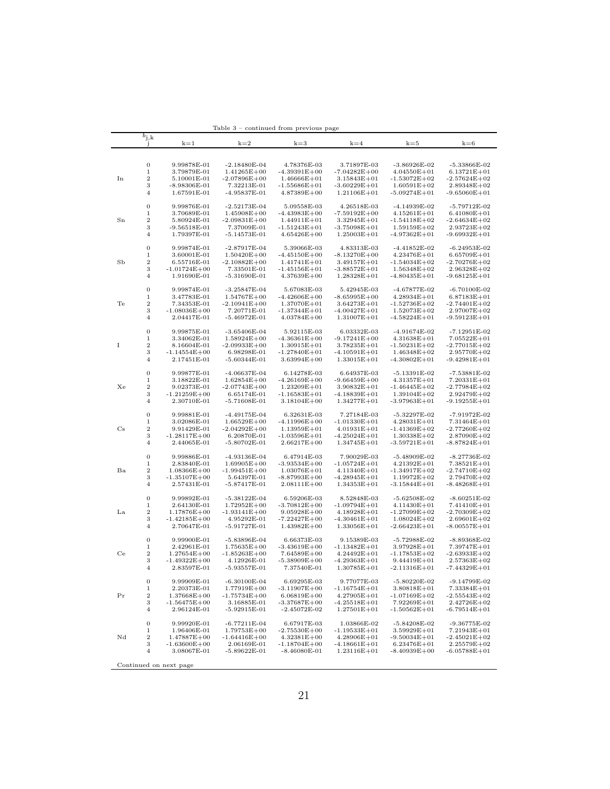|             |                  |                        | rapie o          | continued from previous page |                                     |                  |                  |
|-------------|------------------|------------------------|------------------|------------------------------|-------------------------------------|------------------|------------------|
|             | $b_{\rm j,k}$    |                        |                  |                              |                                     |                  |                  |
|             | J                | $k=1$                  | $k=2$            | $k=3$                        | $k=4$                               | $k=5$            | $k=6$            |
|             |                  |                        |                  |                              |                                     |                  |                  |
|             |                  |                        |                  |                              |                                     |                  |                  |
|             | $\boldsymbol{0}$ | 9.99878E-01            | $-2.18480E - 04$ | 4.78376E-03                  | 3.71897E-03                         | $-3.86926E - 02$ | $-5.33866E-02$   |
|             | 1                | 3.79879E-01            | $1.41265E + 00$  | $-4.39391E + 00$             | $-7.04282E + 00$                    | $4.04550E + 01$  | $6.13721E + 01$  |
| In          | $\boldsymbol{2}$ | 5.10001E-01            | $-2.07896E + 00$ | $1.46666E + 01$              |                                     | $-1.53072E+02$   | $-2.57624E + 02$ |
|             |                  | $-8.98306E-01$         |                  |                              | $3.15843E + 01$<br>$-3.60229E + 01$ |                  | $2.89348E + 02$  |
|             | 3                |                        | 7.32213E-01      | $-1.55686E + 01$             |                                     | $1.60591E + 02$  |                  |
|             | 4                | 1.67591E-01            | -4.95837E-01     | $4.87389E + 00$              | $1.21106E + 01$                     | $-5.09274E + 01$ | $-9.65060E + 01$ |
|             |                  |                        |                  |                              |                                     |                  |                  |
|             | $\boldsymbol{0}$ | 9.99876E-01            | $-2.52173E-04$   | 5.09558E-03                  | 4.26518E-03                         | -4.14939E-02     | -5.79712E-02     |
|             | 1                | 3.70689E-01            | $1.45908E + 00$  | $-4.43983E + 00$             | $-7.59192E + 00$                    | $4.15261E + 01$  | $6.41080E + 01$  |
| $_{\rm Sn}$ | $\boldsymbol{2}$ | 5.80924E-01            | $-2.09831E + 00$ | $1.44911E + 01$              | $3.32945E + 01$                     | -1.54118E+02     | $-2.64634E + 02$ |
|             | 3                | $-9.56518E-01$         | 7.37009E-01      | $-1.51243E + 01$             | $-3.75098E + 01$                    | $1.59159E + 02$  | $2.93723E + 02$  |
|             | 4                | 1.79397E-01            | -5.14573E-01     | $4.65426E + 00$              | $1.25003E + 01$                     | $-4.97362E + 01$ | -9.69932E+01     |
|             |                  |                        |                  |                              |                                     |                  |                  |
|             | 0                | 9.99874E-01            | $-2.87917E-04$   | 5.39066E-03                  | 4.83313E-03                         | $-4.41852E-02$   | $-6.24953E-02$   |
|             | 1                | 3.60001E-01            |                  |                              |                                     |                  |                  |
|             |                  |                        | $1.50420E + 00$  | $-4.45150E + 00$             | $-8.13270E + 00$                    | $4.23476E + 01$  | $6.65709E + 01$  |
| SЬ          | 2                | 6.55716E-01            | $-2.10882E + 00$ | $1.41741E + 01$              | $3.49157E + 01$                     | $-1.54034E+02$   | $-2.70276E + 02$ |
|             | 3                | $-1.01724E + 00$       | 7.33501E-01      | $-1.45156E + 01$             | $-3.88572E + 01$                    | $1.56348E + 02$  | $2.96328E + 02$  |
|             | 4                | 1.91690E-01            | $-5.31690E - 01$ | $4.37639E + 00$              | $1.28328E + 01$                     | $-4.80435E+01$   | $-9.68125E+01$   |
|             |                  |                        |                  |                              |                                     |                  |                  |
|             | $\boldsymbol{0}$ | 9.99874E-01            | $-3.25847E-04$   | 5.67083E-03                  | 5.42945E-03                         | -4.67877E-02     | $-6.70100E-02$   |
|             | 1                | 3.47783E-01            | $1.54767E + 00$  | $-4.42606E + 00$             | $-8.65995E+00$                      | $4.28934E + 01$  | $6.87183E + 01$  |
| Te          | 2                | 7.34353E-01            | $-2.10941E + 00$ | $1.37070E + 01$              | 3.64273E+01                         | -1.52736E+02     | -2.74401E+02     |
|             | 3                |                        |                  |                              |                                     |                  |                  |
|             |                  | $-1.08036E + 00$       | 7.20771E-01      | -1.37344E+01                 | $-4.00427E+01$                      | $1.52073E + 02$  | $2.97007E + 02$  |
|             | 4                | 2.04417E-01            | $-5.46972E-01$   | $4.03784E + 00$              | $1.31007E + 01$                     | $-4.58224E+01$   | -9.59123E+01     |
|             |                  |                        |                  |                              |                                     |                  |                  |
|             | 0                | 9.99875E-01            | $-3.65406E-04$   | 5.92115E-03                  | 6.03332E-03                         | $-4.91674E-02$   | -7.12951E-02     |
|             | 1                | 3.34062E-01            | $1.58924E + 00$  | $-4.36361E + 00$             | $-9.17241E + 00$                    | $4.31638E + 01$  | $7.05522E + 01$  |
| I           | 2                | 8.16604E-01            | $-2.09933E + 00$ | $1.30915E + 01$              | $3.78235E + 01$                     | -1.50231E+02     | -2.77015E+02     |
|             | 3                | $-1.14554E + 00$       | 6.98298E-01      | $-1.27840E + 01$             | $-4.10591E + 01$                    | $1.46348E + 02$  | $2.95770E + 02$  |
|             | 4                | 2.17451E-01            | $-5.60344E-01$   | $3.63994E + 00$              | $1.33015E + 01$                     | $-4.30802E + 01$ | $-9.42981E+01$   |
|             |                  |                        |                  |                              |                                     |                  |                  |
|             | 0                | 9.99877E-01            | $-4.06637E-04$   | 6.14278E-03                  | 6.64937E-03                         | $-5.13391E-02$   | -7.53881E-02     |
|             | 1                | 3.18822E-01            |                  |                              |                                     |                  |                  |
|             |                  |                        | $1.62854E + 00$  | $-4.26169E + 00$             | $-9.66459E + 00$                    | $4.31357E + 01$  | $7.20331E + 01$  |
| Хe          | $\boldsymbol{2}$ | 9.02373E-01            | $-2.07743E + 00$ | $1.23209E + 01$              | 3.90832E+01                         | -1.46445E+02     | -2.77984E+02     |
|             | 3                | $-1.21259E + 00$       | 6.65174E-01      | $-1.16583E + 01$             | $-4.18839E + 01$                    | $1.39104E + 02$  | $2.92479E + 02$  |
|             | 4                | 2.30710E-01            | $-5.71608E-01$   | $3.18104E + 00$              | $1.34277E + 01$                     | $-3.97963E+01$   | $-9.19255E+01$   |
|             |                  |                        |                  |                              |                                     |                  |                  |
|             | 0                | 9.99881E-01            | $-4.49175E-04$   | 6.32631E-03                  | 7.27184E-03                         | $-5.32297E-02$   | $-7.91972E-02$   |
|             | 1                | 3.02086E-01            | $1.66529E + 00$  | -4.11996E+00                 | $-1.01330E + 01$                    | $4.28031E + 01$  | $7.31464E + 01$  |
| $_{\rm Cs}$ | 2                | 9.91429E-01            | -2.04292E+00     | $1.13959E + 01$              | $4.01931E + 01$                     | -1.41369E+02     | -2.77260E+02     |
|             | 3                | $-1.28117E + 00$       | 6.20870E-01      |                              | $-4.25024E + 01$                    | $1.30338E + 02$  | $2.87090E + 02$  |
|             | $\overline{4}$   |                        |                  | $-1.03596E + 01$             |                                     |                  |                  |
|             |                  | 2.44065E-01            | $-5.80702E-01$   | $2.66217E + 00$              | $1.34745E + 01$                     | $-3.59721E+01$   | -8.87824E+01     |
|             |                  |                        |                  |                              |                                     |                  |                  |
|             | 0                | 9.99886E-01            | $-4.93136E-04$   | 6.47914E-03                  | 7.90029E-03                         | $-5.48909E-02$   | $-8.27736E-02$   |
|             | 1                | 2.83840E-01            | $1.69905E + 00$  | -3.93534E+00                 | $-1.05724E + 01$                    | $4.21392E + 01$  | $7.38521E + 01$  |
| Ba          | 2                | $1.08366E + 00$        | -1.99451E+00     | $1.03076E + 01$              | 4.11340E+01                         | -1.34917E+02     | -2.74710E+02     |
|             | 3                | $-1.35107E + 00$       | 5.64397E-01      | $-8.87993E+00$               | $-4.28945E+01$                      | $1.19972E+02$    | $2.79470E + 02$  |
|             | 4                | 2.57431E-01            | $-5.87417E-01$   | $2.08111E + 00$              | $1.34353E + 01$                     | $-3.15844E+01$   | $-8.48268E + 01$ |
|             |                  |                        |                  |                              |                                     |                  |                  |
|             | 0                | 9.99892E-01            | $-5.38122E-04$   | 6.59206E-03                  | 8.52848E-03                         | $-5.62508E-02$   | $-8.60251E-02$   |
|             | 1                | 2.64130E-01            | $1.72952E + 00$  | $-3.70812E + 00$             | $-1.09794E + 01$                    | 4.11430E+01      | 7.41410E+01      |
| La          | 2                | $1.17876E + 00$        | $-1.93141E + 00$ | $9.05928E + 00$              | 4.18928E+01                         | $-1.27099E + 02$ | $-2.70309E + 02$ |
|             | 3                |                        |                  |                              |                                     | $1.08024E + 02$  |                  |
|             |                  | $-1.42185E+00$         | 4.95292E-01      | $-7.22427E+00$               | $-4.30461E + 01$                    |                  | $2.69601E + 02$  |
|             | 4                | 2.70647E-01            | $-5.91727E-01$   | $1.43982E + 00$              | $1.33056E + 01$                     | $-2.66423E + 01$ | -8.00557E+01     |
|             |                  |                        |                  |                              |                                     |                  |                  |
|             | 0                | 9.99900E-01            | $-5.83896E - 04$ | 6.66373E-03                  | 9.15389E-03                         | $-5.72988E-02$   | $-8.89368E-02$   |
|             | 1                | 2.42961E-01            | $1.75635E + 00$  | -3.43619E+00                 | $-1.13482E + 01$                    | $3.97928E + 01$  | $7.39747E + 01$  |
| Ce          | $\boldsymbol{2}$ | $1.27654E + 00$        | $-1.85263E + 00$ | $7.64589E + 00$              | $4.24492E + 01$                     | -1.17853E+02     | $-2.63933E+02$   |
|             | 3                | $-1.49322E + 00$       | 4.12926E-01      | $-5.38909E + 00$             | $-4.29363E + 01$                    | 9.44419E+01      | $2.57363E + 02$  |
|             | 4                | 2.83597E-01            | -5.93557E-01     | 7.37540E-01                  | 1.30785E+01                         | -2.11316E+01     | -7.44329Е+01     |
|             |                  |                        |                  |                              |                                     |                  |                  |
|             | $\boldsymbol{0}$ | 9.99909E-01            | $-6.30100E-04$   | 6.69295E-03                  | 9.77077E-03                         | $-5.80220E-02$   | $-9.14799E-02$   |
|             |                  |                        |                  |                              |                                     |                  |                  |
|             | $\,1$            | 2.20373E-01            | $1.77919E + 00$  | $-3.11907E + 00$             | $-1.16754E + 01$                    | 3.80818E+01      | $7.33384E + 01$  |
| Pr          | $\,2$            | $1.37668E + 00$        | $-1.75734E + 00$ | $6.06819E + 00$              | 4.27905E+01                         | $-1.07169E + 02$ | $-2.55543E + 02$ |
|             | 3                | $-1.56475E+00$         | 3.16885E-01      | $-3.37687E + 00$             | $-4.25518E + 01$                    | 7.92269E+01      | $2.42726E + 02$  |
|             | $\overline{4}$   | 2.96124E-01            | $-5.92915E-01$   | $-2.45072E-02$               | $1.27501E + 01$                     | $-1.50562E + 01$ | $-6.79514E + 01$ |
|             |                  |                        |                  |                              |                                     |                  |                  |
|             | $\boldsymbol{0}$ | 9.99920E-01            | $-6.77211E-04$   | 6.67917E-03                  | 1.03866E-02                         | $-5.84208E-02$   | $-9.36775E-02$   |
|             | $\,1$            | 1.96406E-01            | $1.79753E + 00$  | $-2.75530E + 00$             | $-1.19533E + 01$                    | $3.59929E + 01$  | $7.21943E + 01$  |
| Νd          | $\,2$            | $1.47887E + 00$        | $-1.64416E + 00$ | $4.32381E + 00$              | $4.28906E + 01$                     | $-9.50034E + 01$ | $-2.45021E+02$   |
|             | 3                | $-1.63600E + 00$       | 2.06169E-01      | $-1.18704E + 00$             | $-4.18661E + 01$                    | $6.23476E + 01$  | $2.25579E + 02$  |
|             | $\overline{4}$   | 3.08067E-01            | $-5.89622E-01$   | $-8.46080E-01$               | $1.23116E + 01$                     | $-8.40939E + 00$ | $-6.05788E + 01$ |
|             |                  |                        |                  |                              |                                     |                  |                  |
|             |                  |                        |                  |                              |                                     |                  |                  |
|             |                  | Continued on next page |                  |                              |                                     |                  |                  |

Table 3 – continued from previous page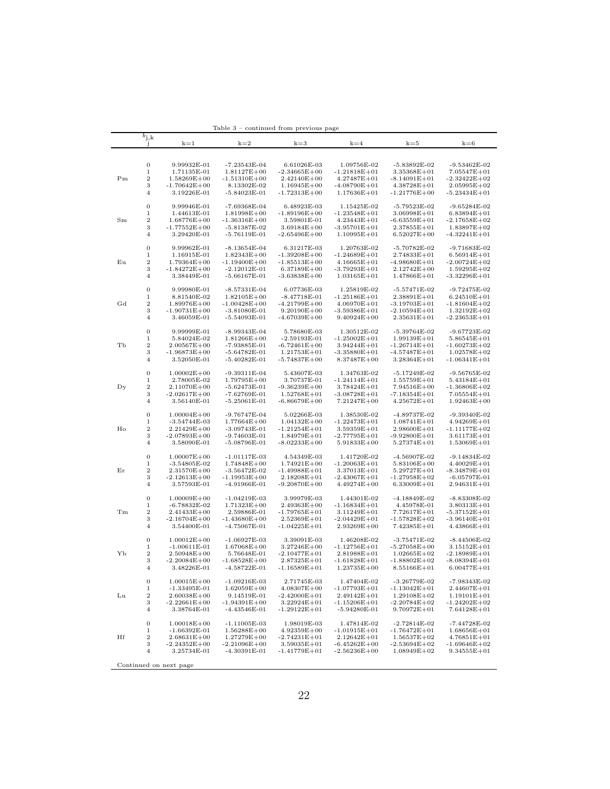|             |                     |                                 | rable 3          | continued from previous page |                  |                  |                  |
|-------------|---------------------|---------------------------------|------------------|------------------------------|------------------|------------------|------------------|
|             | $b_{j,k}$           |                                 |                  |                              |                  |                  |                  |
|             |                     | $k=1$                           | $k=2$            | $k=3$                        | $k=4$            | $k = 5$          | $k=6$            |
|             |                     |                                 |                  |                              |                  |                  |                  |
|             |                     |                                 |                  |                              |                  |                  |                  |
|             | 0                   | 9.99932E-01                     | -7.23543E-04     | 6.61026E-03                  | 1.09756E-02      | -5.83892E-02     | -9.53462E-02     |
|             | 1                   | 1.71135E-01                     | $1.81127E + 00$  | $-2.34665E + 00$             | $-1.21818E + 01$ | 3.35368E+01      | $7.05547E + 01$  |
| $_{\rm Pm}$ | $\boldsymbol{2}$    | $1.58269E + 00$                 | $-1.51310E + 00$ | $2.42140E + 00$              | $4.27487E + 01$  | -8.14091E+01     | $-2.32422E+02$   |
|             | 3                   | $-1.70642E + 00$                | 8.13302E-02      | $1.16945E + 00$              | $-4.08790E + 01$ | $4.38728E + 01$  | $2.05995E+02$    |
|             | $\overline{4}$      | 3.19226E-01                     | $-5.84023E-01$   | $-1.72313E + 00$             | $1.17636E + 01$  | -1.21776E+00     | -5.23434E+01     |
|             |                     |                                 |                  |                              |                  |                  |                  |
|             | 0                   | 9.99946E-01                     | -7.69368E-04     | 6.48923E-03                  | 1.15425E-02      | $-5.79523E-02$   | $-9.65284E-02$   |
|             | 1                   | 1.44613E-01                     | $1.81998E + 00$  | $-1.89196E + 00$             | $-1.23548E + 01$ | $3.06998E + 01$  | $6.83894E + 01$  |
| $_{\rm Sm}$ | $\boldsymbol{2}$    | $1.68776E + 00$                 | -1.36316E+00     | 3.59801E-01                  | $4.23443E + 01$  | -6.63559E+01     | $-2.17658E + 02$ |
|             | 3                   | $-1.77552E + 00$                | $-5.81387E-02$   | $3.69184E + 00$              | $-3.95701E+01$   | $2.37855E + 01$  | $1.83897E + 02$  |
|             | 4                   | 3.29420E-01                     | $-5.76119E-01$   | $-2.65496E + 00$             | $1.10995E + 01$  | $6.52027E + 00$  | -4.32241E+01     |
|             |                     |                                 |                  |                              |                  |                  |                  |
|             | 0                   | 9.99962E-01                     | -8.13654E-04     | 6.31217E-03                  | 1.20763E-02      | $-5.70782E-02$   | $-9.71683E-02$   |
|             | 1                   | 1.16915E-01                     | $1.82343E + 00$  | $-1.39208E + 00$             | $-1.24689E + 01$ | $2.74833E + 01$  | $6.56914E + 01$  |
| Εu          | $\,2$               | $1.79364E + 00$                 | -1.19400E+00     | -1.85513E+00                 | $4.16665E + 01$  | -4.98680E+01     | $-2.00724E+02$   |
|             | 3                   | $-1.84272E + 00$                | $-2.12012E-01$   | $6.37189E + 00$              | $-3.79293E + 01$ | $2.12742E + 00$  | $1.59295E+02$    |
|             | 4                   | 3.38449E-01                     | $-5.66167E-01$   | $-3.63838E + 00$             | $1.03165E + 01$  | $1.47866E + 01$  | $-3.32296E+01$   |
|             |                     |                                 |                  |                              |                  |                  |                  |
|             | 0                   | 9.99980E-01                     | $-8.57331E-04$   | 6.07736E-03                  | 1.25819E-02      | -5.57471E-02     | $-9.72475E-02$   |
|             | 1                   | 8.81540E-02                     | $1.82105E + 00$  | -8.47718E-01                 | $-1.25186E + 01$ | $2.38891E + 01$  | $6.24510E + 01$  |
| Gd          | $\,2$               | $1.89976E + 00$                 | $-1.00428E + 00$ | $-4.21799E + 00$             | $4.06970E + 01$  | -3.19703E+01     | $-1.81604E + 02$ |
|             | 3                   | $-1.90731E+00$                  | $-3.81080E-01$   | $9.20190E + 00$              | $-3.59386E + 01$ | -2.10594E+01     | $1.32192E + 02$  |
|             | 4                   | 3.46059E-01                     | -5.54093E-01     | -4.67039E+00                 | $9.40924E + 00$  | $2.35631E + 01$  | -2.23653E+01     |
|             |                     |                                 |                  |                              |                  |                  |                  |
|             | 0                   | 9.99999E-01                     | -8.99343E-04     | 5.78680E-03                  | 1.30512E-02      | $-5.39764E-02$   | $-9.67723E-02$   |
|             | 1                   | 5.84024E-02                     | $1.81266E + 00$  | $-2.59193E-01$               | $-1.25002E + 01$ | $1.99139E + 01$  | $5.86545E + 01$  |
| TЬ          | $\boldsymbol{2}$    | $2.00567E + 00$                 | -7.93885E-01     | $-6.72461E + 00$             | 3.94244E+01      | $-1.26714E + 01$ | $-1.60273E+02$   |
|             | 3                   | $-1.96873E + 00$                | $-5.64782E-01$   | $1.21753E + 01$              | $-3.35880E + 01$ | -4.57487E+01     | $1.02578E + 02$  |
|             | $\overline{4}$      | 3.52050E-01                     | $-5.40282E-01$   | -5.74837E+00                 | 8.37487E+00      | $3.28364E + 01$  | -1.06341E+01     |
|             |                     |                                 |                  |                              |                  |                  |                  |
|             | 0                   | $1.00002E + 00$                 | $-9.39311E-04$   | 5.43607E-03                  | 1.34763E-02      | $-5.17249E-02$   | $-9.56765E-02$   |
|             | 1                   | 2.78005E-02                     | $1.79795E + 00$  | 3.70737E-01                  | $-1.24114E + 01$ | $1.55759E + 01$  | $5.43184E + 01$  |
| $_{\rm Dy}$ | $\,2$               | $2.11070E + 00$                 | $-5.62473E-01$   | $-9.36239E + 00$             | $3.78424E + 01$  | 7.94516E+00      | $-1.36806E + 02$ |
|             | 3                   | $-2.02617E + 00$                | -7.62769E-01     | $1.52768E + 01$              | $-3.08728E + 01$ | -7.18354E+01     | 7.05554E+01      |
|             | $\overline{4}$      | 3.56140E-01                     | $-5.25061E-01$   | -6.86679E+00                 | 7.21247E+00      | $4.25672E + 01$  | $1.92463E + 00$  |
|             |                     |                                 |                  |                              |                  |                  |                  |
|             | 0                   | $1.00004E + 00$                 | $-9.76747E-04$   | 5.02266E-03                  | 1.38530E-02      | -4.89737E-02     | $-9.39340E - 02$ |
|             | 1                   | -3.54744E-03                    | $1.77664E + 00$  | $1.04132E + 00$              | $-1.22473E + 01$ | $1.08741E + 01$  | $4.94269E + 01$  |
| Ho          | $\boldsymbol{2}$    | $2.21429E + 00$                 | -3.09743E-01     | $-1.21254E+01$               | $3.59359E + 01$  | $2.98600E + 01$  | $-1.11177E+02$   |
|             | 3                   | $-2.07893E + 00$                | -9.74603E-01     | $1.84979E + 01$              | $-2.77795E + 01$ | $-9.92800E + 01$ | $3.61173E + 01$  |
|             | $\overline{4}$      | 3.58090E-01                     | -5.08796E-01     | $-8.02233E+00$               | $5.91833E + 00$  | 5.27374E+01      | $1.53069E + 01$  |
|             |                     |                                 |                  |                              |                  |                  |                  |
|             | 0                   | $1.00007E + 00$                 | -1.01117E-03     | 4.54349E-03                  | 1.41720E-02      | -4.56907E-02     | $-9.14834E-02$   |
| Εr          | 1<br>$\,2$          | -3.54805E-02                    | 1.74848E+00      | $1.74921E + 00$              | $-1.20063E + 01$ | $5.83106E + 00$  | $4.40029E + 01$  |
|             |                     | $2.31570E + 00$                 | -3.56472E-02     | $-1.49988E + 01$             | 3.37013E+01      | $5.29727E + 01$  | -8.34879E+01     |
|             | 3<br>$\overline{4}$ | $-2.12613E + 00$<br>3.57593E-01 | -1.19953E+00     | $2.18208E + 01$              | $-2.43067E + 01$ | -1.27958E+02     | -6.05797E-01     |
|             |                     |                                 | $-4.91966E-01$   | $-9.20870E + 00$             | $4.49274E + 00$  | $6.33009E + 01$  | $2.94631E + 01$  |
|             | 0                   | $1.00009E + 00$                 | -1.04219E-03     | 3.99979E-03                  | 1.44301E-02      | $-4.18849E-02$   | $-8.83308E-02$   |
|             | 1                   | $-6.78832E-02$                  | $1.71323E + 00$  | $2.49363E + 00$              | $-1.16834E + 01$ | 4.45978E-01      | $3.80313E + 01$  |
| Tm          | $\boldsymbol{2}$    | $2.41433E + 00$                 | 2.59886E-01      | $-1.79765E + 01$             | 3.11249E+01      | $7.72617E + 01$  | -5.37152E+01     |
|             | 3                   | $-2.16704E + 00$                | -1.43680E+00     | $2.52369E + 01$              | $-2.04429E + 01$ | -1.57828E+02     | -3.96140E+01     |
|             | $\overline{4}$      | 3.54400E-01                     | -4.75067E-01     | $-1.04225E+01$               | $2.93269E + 00$  | 7.42385E+01      | $4.43866E + 01$  |
|             |                     |                                 |                  |                              |                  |                  |                  |
|             | $\boldsymbol{0}$    | $1.00012E + 00$                 | $-1.06927E-03$   | 3.39091E-03                  | 1.46208E-02      | $-3.75471E-02$   | $-8.44506E-02$   |
|             | 1                   | -1.00611E-01                    | $1.67068E + 00$  | $3.27246E + 00$              | $-1.12756E + 01$ | $-5.27058E + 00$ | $3.15152E + 01$  |
| YЬ          | 2                   | $2.50948E + 00$                 | 5.76648E-01      | $-2.10477E + 01$             | $2.81988E + 01$  | $1.02665E + 02$  | $-2.18989E + 01$ |
|             | 3                   | $-2.20084E + 00$                | -1.68528E+00     | $2.87325E + 01$              | $-1.61828E + 01$ | -1.88802E+02     | -8.08394E+01     |
|             | 4                   | 3.48226E-01                     | $-4.58722E - 01$ | -1.16589E+01                 | $1.23735E + 00$  | $8.55166E + 01$  | $6.00477E + 01$  |
|             |                     |                                 |                  |                              |                  |                  |                  |
|             | $\boldsymbol{0}$    | $1.00015E + 00$                 | $-1.09216E-03$   | 2.71745E-03                  | 1.47404E-02      | $-3.26779E-02$   | $-7.98343E-02$   |
|             | $\,1$               | $-1.33495E-01$                  | $1.62059E + 00$  | $4.08307E + 00$              | $-1.07793E + 01$ | $-1.13042E + 01$ | $2.44607E + 01$  |
| Lu          | $\,2$               | $2.60038E + 00$                 | 9.14519E-01      | $-2.42000E + 01$             | $2.49142E + 01$  | $1.29108E + 02$  | $1.19101E + 01$  |
|             | 3                   | $-2.22661E + 00$                | $-1.94391E + 00$ | $3.22924E + 01$              | $-1.15206E + 01$ | $-2.20784E + 02$ | $-1.24202E + 02$ |
|             | $\overline{4}$      | 3.38764E-01                     | $-4.43546E-01$   | $-1.29122E + 01$             | $-5.94280E-01$   | $9.70972E + 01$  | $7.64128E + 01$  |
|             |                     |                                 |                  |                              |                  |                  |                  |
|             | $\boldsymbol{0}$    | $1.00018E + 00$                 | $-1.11005E-03$   | 1.98019E-03                  | 1.47814E-02      | $-2.72814E-02$   | -7.44728E-02     |
|             | $\,1$               | $-1.66392E-01$                  | $1.56288E + 00$  | $4.92359E + 00$              | $-1.01915E + 01$ | $-1.76472E + 01$ | $1.68656E + 01$  |
| Hf          | $\,2$               | $2.68631E + 00$                 | $1.27279E + 00$  | $-2.74231E+01$               | $2.12642E + 01$  | $1.56537E + 02$  | $4.76851E + 01$  |
|             | 3                   | $-2.24352E + 00$                | $-2.21096E + 00$ | $3.59035E + 01$              | $-6.45262E + 00$ | $-2.53694E + 02$ | $-1.69646E + 02$ |
|             | $\overline{4}$      | 3.25734E-01                     | $-4.30391E-01$   | $-1.41779E + 01$             | $-2.56236E + 00$ | $1.08949E + 02$  | $9.34555E + 01$  |
|             |                     |                                 |                  |                              |                  |                  |                  |
|             |                     | Continued on next page          |                  |                              |                  |                  |                  |

Table 3 – continued from previous page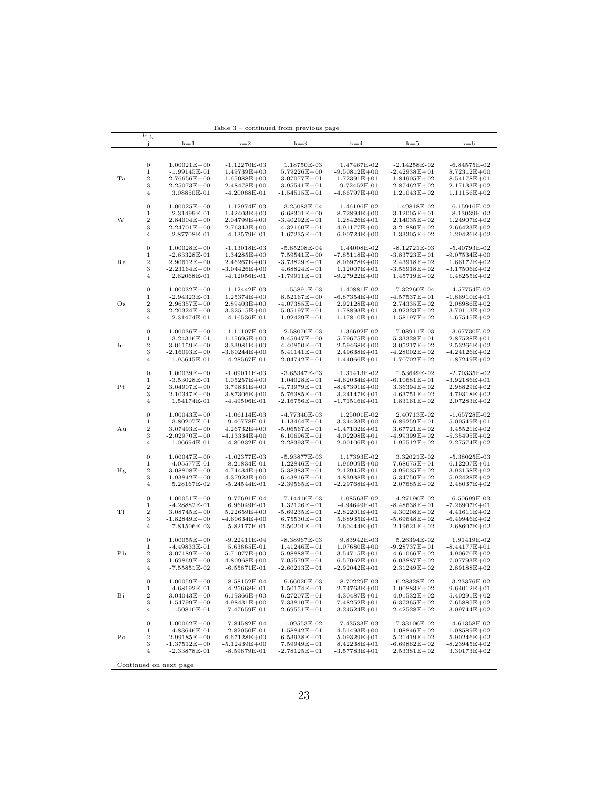|                | $b_{\rm j,k}$<br>-1             | $k=1$                             | $k=2$                            | $k=3$                             | $k=4$                               | $k = 5$                           | $k=6$                             |
|----------------|---------------------------------|-----------------------------------|----------------------------------|-----------------------------------|-------------------------------------|-----------------------------------|-----------------------------------|
|                |                                 |                                   |                                  |                                   |                                     |                                   |                                   |
|                | 0                               | $1.00021E + 00$                   | $-1.12270E-03$                   | 1.18750E-03                       | 1.47467E-02                         | $-2.14258E-02$                    | $-6.84575E-02$                    |
|                | $\mathbf 1$                     | $-1.99145E-01$                    | $1.49739E + 00$                  | $5.79226E + 00$                   | -9.50812E+00                        | $-2.42938E + 01$                  | $8.72312E + 00$                   |
| Ta             | $\,2$                           | $2.76656E + 00$                   | $1.65088E + 00$                  | $-3.07077E + 01$                  | $1.72391E + 01$                     | $1.84905E+02$                     | $8.54178E + 01$                   |
|                | 3                               | $-2.25073E+00$                    | $-2.48478E + 00$                 | $3.95541E + 01$                   | $-9.72452E-01$                      | $-2.87462E + 02$                  | $-2.17133E + 02$                  |
|                | 4                               |                                   |                                  |                                   |                                     |                                   |                                   |
|                |                                 | 3.08850E-01                       | $-4.20088E-01$                   | $-1.54515E+01$                    | -4.66797E+00                        | $1.21043E + 02$                   | $1.11156E + 02$                   |
|                | 0                               | $1.00025E + 00$                   | $-1.12974E-03$                   | 3.25083E-04                       | 1.46196E-02                         | $-1.49818E-02$                    | $-6.15916E-02$                    |
|                | $\mathbf 1$                     | $-2.31499E-01$                    | $1.42403E + 00$                  | $6.68301E + 00$                   | -8.72894E+00                        | $-3.12005E+01$                    | 8.13039E-02                       |
| W              | $\,2$                           | $2.84004E + 00$                   | $2.04799E + 00$                  | $-3.40292E + 01$                  | $1.28426E + 01$                     | $2.14035E + 02$                   | $1.24907E + 02$                   |
|                | 3                               | $-2.24701E + 00$                  | $-2.76343E + 00$                 | $4.32160E + 01$                   | $4.91177E + 00$                     | $-3.21880E + 02$                  | $-2.66423E + 02$                  |
|                | 4                               | 2.87708E-01                       | -4.13579E-01                     | -1.67235E+01                      | -6.90724E+00                        | $1.33305E+02$                     | $1.29426E + 02$                   |
|                |                                 |                                   |                                  |                                   |                                     |                                   |                                   |
|                | 0                               | $1.00028E + 00$                   | $-1.13018E-03$                   | $-5.85208E-04$                    | 1.44008E-02                         | $-8.12721E-03$                    | $-5.40793E-02$                    |
|                | 1                               | $-2.63328E-01$                    | $1.34285E + 00$                  | $7.59541E + 00$                   | $-7.85118E + 00$                    | $-3.83723E + 01$                  | $-9.07534E + 00$                  |
| Re             | $\,2$                           | $2.90612E + 00$                   | $2.46267E + 00$                  | $-3.73829E + 01$                  | $8.06978E + 00$                     | $2.43918E + 02$                   | $1.66172E + 02$                   |
|                | 3                               | $-2.23164E + 00$                  | -3.04426E+00                     | $4.68824E + 01$                   | $1.12007E + 01$                     | $-3.56918E + 02$                  | $-3.17506E + 02$                  |
|                | 4                               | 2.62068E-01                       | $-4.12056E-01$                   | -1.79911E+01                      | $-9.27922E+00$                      | $1.45719E + 02$                   | $1.48255E+02$                     |
|                | 0                               | $1.00032E + 00$                   | -1.12442E-03                     | $-1.55891E-03$                    | 1.40881E-02                         | -7.32260E-04                      | -4.57754E-02                      |
|                | 1                               | $-2.94323E-01$                    | $1.25374E + 00$                  | $8.52167E + 00$                   | -6.87354E+00                        | $-4.57537E + 01$                  | $-1.86910E + 01$                  |
| $\rm Os$       | $\,2$                           | $2.96357E + 00$                   | $2.89403E + 00$                  | $-4.07385E+01$                    | $2.92128E + 00$                     | $2.74335E + 02$                   | $2.08986E + 02$                   |
|                | 3                               | $-2.20324E+00$                    | $-3.32515E+00$                   | $5.05197E + 01$                   | 1.78893E+01                         | -3.92323E+02                      | $-3.70113E+02$                    |
|                | 4                               | 2.31474E-01                       | $-4.16536E-01$                   | $-1.92429E + 01$                  | -1.17810E+01                        | $1.58197E + 02$                   | $1.67545E + 02$                   |
|                |                                 |                                   |                                  |                                   |                                     |                                   |                                   |
|                | 0                               | $1.00036E + 00$                   | $-1.11107E-03$                   | $-2.58076E-03$                    | 1.36692E-02                         | 7.08911E-03                       | $-3.67730E-02$                    |
|                | 1                               | $-3.24316E-01$                    | $1.15695E + 00$                  | $9.45947E + 00$                   | $-5.79675E + 00$                    | $-5.33328E + 01$                  | $-2.87528E + 01$                  |
| Ir             | $\,2$                           | $3.01159E + 00$                   | $3.33981E + 00$                  | $-4.40850E + 01$                  | -2.59468E+00                        | $3.05217E + 02$                   | $2.53266E + 02$                   |
|                | 3                               | $-2.16093E + 00$                  | -3.60244E+00                     | $5.41141E + 01$                   | $2.49638E + 01$                     | $-4.28002E+02$                    | $-4.24126E + 02$                  |
|                | 4                               | 1.95645E-01                       | $-4.28567E-01$                   | $-2.04742E + 01$                  | -1.44066E+01                        | $1.70702E + 02$                   | $1.87249E + 02$                   |
|                | 0                               | $1.00039E + 00$                   | $-1.09011E-03$                   | $-3.65347E-03$                    | 1.31413E-02                         | 1.53649E-02                       | $-2.70335E - 02$                  |
|                | 1                               | $-3.53028E-01$                    | $1.05257E + 00$                  | $1.04028E + 01$                   | -4.62034E+00                        | $-6.10681E + 01$                  | $-3.92186E + 01$                  |
| Pt             | $\,2$                           | $3.04907E + 00$                   | $3.79831E + 00$                  | -4.73979E+01                      | $-8.47391E + 00$                    | $3.36394E + 02$                   | $2.98829E + 02$                   |
|                | 3                               | $-2.10347E+00$                    | $-3.87306E + 00$                 | $5.76385E + 01$                   | $3.24147E + 01$                     | $-4.63751E+02$                    | $-4.79318E + 02$                  |
|                | 4                               | 1.54174E-01                       | -4.49506E-01                     | $-2.16756E + 01$                  | -1.71516E+01                        | $1.83161E + 02$                   | $2.07283E + 02$                   |
|                |                                 |                                   |                                  |                                   |                                     |                                   |                                   |
|                | 0                               | $1.00043E + 00$                   | $-1.06114E-03$                   | $-4.77340E-03$                    | 1.25001E-02                         | 2.40713E-02                       | $-1.65728E-02$                    |
|                | 1                               | $-3.80207E-01$                    | 9.40778E-01                      | $1.13464E + 01$                   | -3.34423E+00                        | $-6.89259E + 01$                  | $-5.00549E + 01$                  |
| Αu             | $\boldsymbol{2}$                | $3.07493E + 00$                   | $4.26732E + 00$                  | $-5.06567E+01$                    | -1.47102E+01                        | $3.67721E + 02$                   | $3.45521E + 02$                   |
|                | 3                               | $-2.02970E + 00$                  | -4.13334E+00                     | $6.10696E + 01$                   | $4.02298E + 01$                     | $-4.99399E+02$                    | $-5.35495E+02$                    |
|                | 4                               | 1.06694E-01                       | -4.80932E-01                     | $-2.28393E+01$                    | $-2.00106E + 01$                    | $1.95512E + 02$                   | $2.27574E + 02$                   |
|                | 0                               | $1.00047E + 00$                   | $-1.02377E-03$                   | $-5.93877E-03$                    | 1.17393E-02                         | 3.32021E-02                       | $-5.38025E-03$                    |
|                | 1                               | $-4.05577E-01$                    | 8.21834E-01                      | $1.22846E + 01$                   | -1.96909E+00                        | $-7.68675E + 01$                  | $-6.12207E + 01$                  |
| Hg             | $\,2$                           | 3.08808E+00                       | $4.74434E + 00$                  | -5.38383E+01                      | -2.12945E+01                        | 3.99035E+02                       | $3.93158E + 02$                   |
|                | 3                               | $-1.93842E + 00$                  | $-4.37923E + 00$                 | $6.43816E + 01$                   | $4.83938E + 01$                     | $-5.34750E + 02$                  | $-5.92428E + 02$                  |
|                | $\overline{4}$                  | 5.28167E-02                       | $-5.24544E-01$                   | $-2.39565E+01$                    | $-2.29768E + 01$                    | $2.07685E + 02$                   | $2.48037E+02$                     |
|                |                                 |                                   |                                  |                                   |                                     |                                   |                                   |
|                | 0                               | $1.00051E + 00$                   | $-9.77691E-04$                   | -7.14416E-03                      | 1.08563E-02                         | 4.27196E-02                       | 6.50699E-03                       |
|                | 1                               | $-4.28882E-01$                    | 6.96049E-01                      | $1.32126E + 01$                   | -4.94649E-01                        | $-8.48638E + 01$                  | $-7.26907E + 01$                  |
| Tl             | $\,2$                           | $3.08745E + 00$                   | $5.22659E + 00$                  | $-5.69235E+01$                    | -2.82201E+01                        | $4.30208E + 02$                   | $4.41611E + 02$                   |
|                | 3<br>$\overline{4}$             | $-1.82849E + 00$                  | $-4.60634E + 00$                 | $6.75530E + 01$                   | $5.68935E + 01$                     | $-5.69648E+02$                    | $-6.49946E+02$                    |
|                |                                 | -7.81506E-03                      | $-5.82177E-01$                   | $-2.50201E + 01$                  | -2.60444E+01                        | $2.19621E + 02$                   | $2.68607E + 02$                   |
|                | 0                               | $1.00055E + 00$                   | $-9.22411E-04$                   | -8.38967E-03                      | 9.83942E-03                         | 5.26394E-02                       | 1.91419E-02                       |
|                | 1                               | $-4.49833E-01$                    | 5.63865E-01                      | $1.41246E + 01$                   | $1.07680E + 00$                     | $-9.28737E+01$                    | $-8.44177E + 01$                  |
| Рb             | $\,2$                           | $3.07189E + 00$                   | $5.71077E + 00$                  | $-5.98888E + 01$                  | $-3.54715E + 01$                    | $4.61066E + 02$                   | $4.90670E + 02$                   |
|                | 3                               | $-1.69869E + 00$                  | $-4.80968E + 00$                 | $7.05579E + 01$                   | $6.57062E + 01$                     | -6.03887E+02                      | $-7.07793E+02$                    |
|                | 4                               | $-7.55851E-02$                    | $-6.55871E-01$                   | $-2.60213E + 01$                  | -2.92042E+01                        | $2.31249E + 02$                   | $2.89188E + 02$                   |
|                |                                 |                                   |                                  |                                   |                                     |                                   |                                   |
|                | $\boldsymbol{0}$<br>$\mathbf 1$ | $1.00059E + 00$<br>$-4.68192E-01$ | $-8.58152E-04$                   | $-9.66020E-03$<br>$1.50174E + 01$ | 8.70229E-03                         | 6.28328E-02                       | 3.23376E-02                       |
| Bi             | $\,2$                           | $3.04043E + 00$                   | 4.25668E-01                      |                                   | $2.74763E + 00$<br>$-4.30487E + 01$ | $-1.00883E+02$                    | $-9.64012E + 01$                  |
|                | 3                               |                                   | $6.19366E + 00$                  | $-6.27207E + 01$                  |                                     | $4.91532E+02$                     | $5.40291E+02$                     |
|                | $\overline{4}$                  | -1.54799E+00<br>$-1.50810E-01$    | $-4.98431E + 00$<br>-7.47659E-01 | $7.33810E + 01$<br>$-2.69551E+01$ | $7.48252E + 01$<br>$-3.24524E + 01$ | $-6.37365E+02$<br>$2.42528E + 02$ | $-7.65885E+02$<br>$3.09744E + 02$ |
|                |                                 |                                   |                                  |                                   |                                     |                                   |                                   |
|                | $\boldsymbol{0}$                | $1.00062E + 00$                   | -7.84582E-04                     | $-1.09553E-02$                    | 7.43533E-03                         | 7.33106E-02                       | 4.61358E-02                       |
|                | $\mathbf 1$                     | $-4.83646E-01$                    | 2.82050E-01                      | $1.58842E + 01$                   | $4.51493E + 00$                     | $-1.08846E + 02$                  | $-1.08589E + 02$                  |
|                |                                 |                                   |                                  |                                   | $-5.09329E + 01$                    | $5.21419E + 02$                   | $5.90246E + 02$                   |
| P <sub>o</sub> | $\,2$                           | $2.99185E + 00$                   | $6.67128E + 00$                  | $-6.53938E + 01$                  |                                     |                                   |                                   |
|                | 3<br>$\overline{4}$             | $-1.37512E + 00$                  | $-5.12439E + 00$                 | $7.59949E + 01$                   | $8.42238E + 01$                     | $-6.69862E+02$                    | $-8.23945E+02$                    |

Table 3 – continued from previous page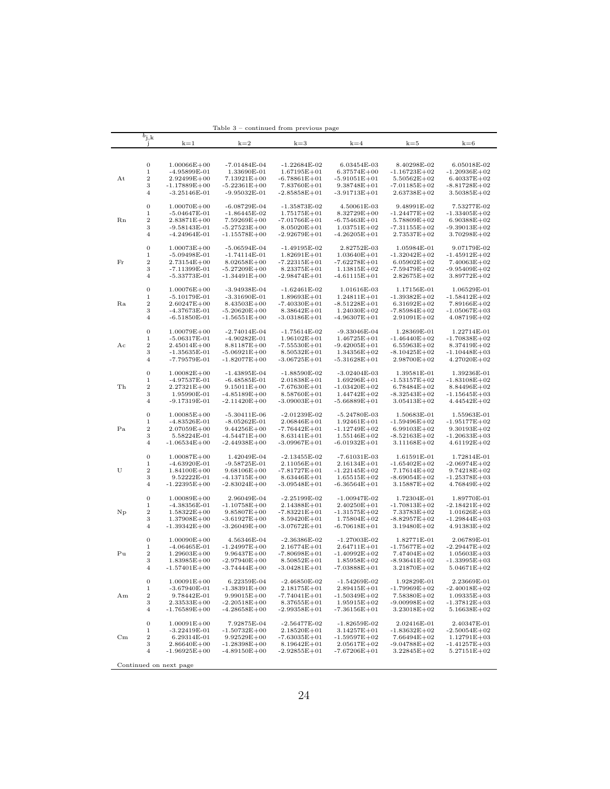|             |                         |                        | lable<br>-3                     | continued from previous page |                  |                  |                  |
|-------------|-------------------------|------------------------|---------------------------------|------------------------------|------------------|------------------|------------------|
|             | $b_{\rm j,k}$           |                        |                                 |                              |                  |                  |                  |
|             | J                       | $k=1$                  | $k=2$                           | $k=3$                        | $k=4$            | $k=5$            | $k=6$            |
|             |                         |                        |                                 |                              |                  |                  |                  |
|             |                         |                        |                                 |                              |                  |                  |                  |
|             | 0                       | $1.00066E + 00$        | -7.01484E-04                    | $-1.22684E-02$               | 6.03454E-03      | 8.40298E-02      | 6.05018E-02      |
|             | 1                       | $-4.95899E-01$         | 1.33690E-01                     | $1.67195E + 01$              | $6.37574E + 00$  | $-1.16723E+02$   | $-1.20936E + 02$ |
| Αt          | $\boldsymbol{2}$        | $2.92499E + 00$        | $7.13921E + 00$                 | $-6.78861E + 01$             | $-5.91051E + 01$ | $5.50562E + 02$  | $6.40337E + 02$  |
|             | 3                       | $-1.17889E + 00$       | $-5.22361E + 00$                | 7.83760E+01                  | $9.38748E + 01$  | -7.01185E+02     | -8.81728E+02     |
|             | 4                       | $-3.25146E-01$         | $-9.95032E-01$                  | $-2.85858E + 01$             | $-3.91713E + 01$ | $2.63738E + 02$  | $3.50385E + 02$  |
|             |                         |                        |                                 |                              |                  |                  |                  |
|             | $\boldsymbol{0}$        | $1.00070E + 00$        | $-6.08729E-04$                  | $-1.35873E-02$               | 4.50061E-03      | 9.48991E-02      | 7.53277E-02      |
|             | 1                       | $-5.04647E-01$         | $-1.86445E-02$                  | $1.75175E + 01$              | 8.32729E+00      | -1.24477E+02     | $-1.33405E+02$   |
| Rn          | $\boldsymbol{2}$        | $2.83871E + 00$        | $7.59269E + 00$                 | $-7.01766E + 01$             | $-6.75463E + 01$ | $5.78809E + 02$  | $6.90388E + 02$  |
|             | 3                       | $-9.58143E-01$         | $-5.27523E + 00$                | $8.05020E + 01$              | $1.03751E + 02$  | -7.31155E+02     | $-9.39013E+02$   |
|             | 4                       | $-4.24964E-01$         | $-1.15578E + 00$                | $-2.92679E + 01$             | $-4.26205E + 01$ | $2.73537E+02$    | $3.70298E + 02$  |
|             |                         |                        |                                 |                              |                  |                  |                  |
|             | $\boldsymbol{0}$        | $1.00073E + 00$        | $-5.06594E-04$                  | $-1.49195E-02$               | 2.82752E-03      | 1.05984E-01      | 9.07179E-02      |
|             | 1                       | $-5.09498E - 01$       | $-1.74114E-01$                  | $1.82691E + 01$              | $1.03640E + 01$  | $-1.32042E+02$   | $-1.45912E + 02$ |
| Fr          | $\boldsymbol{2}$        | $2.73154E + 00$        | $8.02658E + 00$                 | $-7.22315E+01$               | $-7.62278E + 01$ | $6.05902E + 02$  | $7.40063E + 02$  |
|             | 3                       | $-7.11399E-01$         | $-5.27209E + 00$                | $8.23375E + 01$              | $1.13815E+02$    | -7.59479E+02     | $-9.95409E + 02$ |
|             | 4                       | -5.33773E-01           | $-1.34491E + 00$                | $-2.98474E + 01$             | $-4.61115E + 01$ | $2.82675E+02$    | $3.89772E + 02$  |
|             |                         |                        |                                 |                              |                  |                  |                  |
|             | $\boldsymbol{0}$        | $1.00076E + 00$        | $-3.94938E-04$                  | $-1.62461E-02$               | 1.01616E-03      | 1.17156E-01      | 1.06529E-01      |
|             | 1                       | $-5.10179E-01$         | $-3.31690E-01$                  | $1.89693E + 01$              | 1.24811E+01      | -1.39382E+02     | $-1.58412E + 02$ |
| Ra          | $\boldsymbol{2}$        | $2.60247E + 00$        | $8.43503E + 00$                 | $-7.40330E + 01$             | $-8.51228E + 01$ | $6.31692E+02$    | $7.89166E + 02$  |
|             | 3                       | -4.37673E-01           | $-5.20620E + 00$                | $8.38642E + 01$              | $1.24030E + 02$  | -7.85984E+02     | $-1.05067E+03$   |
|             | 4                       | $-6.51850E-01$         | $-1.56551E+00$                  | $-3.03186E + 01$             | $-4.96307E + 01$ | $2.91091E+02$    | $4.08719E + 02$  |
|             |                         |                        |                                 |                              |                  |                  |                  |
|             | 0                       | $1.00079E + 00$        | $-2.74014E-04$                  | $-1.75614E-02$               | $-9.33046E-04$   | 1.28369E-01      | 1.22714E-01      |
|             | 1                       |                        |                                 | $1.96102E + 01$              |                  | $-1.46440E + 02$ |                  |
|             | $\,2$                   | $-5.06317E-01$         | $-4.90282E-01$                  |                              | $1.46725E + 01$  |                  | $-1.70838E + 02$ |
| Aс          | 3                       | $2.45014E + 00$        | 8.81187E+00<br>$-5.06921E + 00$ | $-7.55530E + 01$             | $-9.42005E + 01$ | $6.55963E+02$    | 8.37419E+02      |
|             | $\overline{4}$          | $-1.35635E-01$         |                                 | $8.50532E + 01$              | $1.34356E + 02$  | $-8.10425E+02$   | -1.10448E+03     |
|             |                         | $-7.79579E-01$         | $-1.82077E+00$                  | $-3.06725E+01$               | $-5.31628E + 01$ | 2.98700E+02      | $4.27020E + 02$  |
|             | $\boldsymbol{0}$        | $1.00082E + 00$        | $-1.43895E-04$                  | $-1.88590E-02$               | -3.02404E-03     | 1.39581E-01      | 1.39236E-01      |
|             |                         |                        |                                 |                              | $1.69296E + 01$  | $-1.53157E+02$   |                  |
|             | 1                       | -4.97537E-01           | $-6.48585E-01$                  | $2.01838E + 01$              |                  |                  | $-1.83108E + 02$ |
| Τh          | $\boldsymbol{2}$        | $2.27321E + 00$        | $9.15011E + 00$                 | $-7.67630E + 01$             | $-1.03420E + 02$ | $6.78484E+02$    | $8.84496E + 02$  |
|             | 3                       | 1.95990E-01            | $-4.85189E + 00$                | $8.58760E + 01$              | $1.44742E + 02$  | $-8.32543E+02$   | $-1.15645E+03$   |
|             | $\overline{4}$          | $-9.17319E-01$         | $-2.11420E + 00$                | $-3.09003E + 01$             | $-5.66889E + 01$ | $3.05413E + 02$  | $4.44542E + 02$  |
|             |                         |                        |                                 |                              |                  |                  |                  |
|             | $\boldsymbol{0}$        | $1.00085E + 00$        | $-5.30411E-06$                  | $-2.01239E-02$               | -5.24780E-03     | 1.50683E-01      | 1.55963E-01      |
|             | 1                       | $-4.83526E-01$         | $-8.05262E-01$                  | $2.06846E + 01$              | $1.92461E + 01$  | -1.59496E+02     | $-1.95177E+02$   |
| Pa          | 2                       | $2.07059E + 00$        | $9.44256E + 00$                 | $-7.76442E + 01$             | $-1.12749E + 02$ | $6.99103E + 02$  | $9.30193E + 02$  |
|             | 3                       | 5.58224E-01            | $-4.54471E + 00$                | $8.63141E + 01$              | $1.55146E + 02$  | -8.52163E+02     | $-1.20633E + 03$ |
|             | $\overline{4}$          | $-1.06534E + 00$       | $-2.44938E + 00$                | $-3.09967E + 01$             | $-6.01932E+01$   | $3.11168E + 02$  | $4.61192E+02$    |
|             |                         |                        |                                 |                              |                  |                  |                  |
|             | $\boldsymbol{0}$        | $1.00087E + 00$        | 1.42049E-04                     | $-2.13455E-02$               | -7.61031E-03     | 1.61591E-01      | 1.72814E-01      |
|             | 1                       | $-4.63920E-01$         | $-9.58725E-01$                  | $2.11056E + 01$              | $2.16134E + 01$  | $-1.65402E+02$   | $-2.06974E + 02$ |
| U           | $\boldsymbol{2}$        | $1.84100E + 00$        | $9.68106E + 00$                 | $-7.81727E+01$               | $-1.22145E+02$   | $7.17614E + 02$  | $9.74218E + 02$  |
|             | 3                       | 9.52222E-01            | $-4.13715E + 00$                | $8.63446E + 01$              | $1.65515E + 02$  | -8.69054E+02     | $-1.25378E + 03$ |
|             | $\overline{\mathbf{4}}$ | $-1.22395E+00$         | $-2.83024E + 00$                | $-3.09548E + 01$             | $-6.36564E + 01$ | $3.15887E+02$    | $4.76849E + 02$  |
|             |                         |                        |                                 |                              |                  |                  |                  |
|             | $\boldsymbol{0}$        | $1.00089E + 00$        | 2.96049E-04                     | $-2.25199E-02$               | -1.00947E-02     | 1.72304E-01      | 1.89770E-01      |
|             | 1                       | $-4.38356E-01$         | $-1.10758E + 00$                | $2.14388E + 01$              | $2.40250E + 01$  | -1.70813E+02     | $-2.18421E+02$   |
| Np          | 2                       | $1.58322E + 00$        | $9.85807E + 00$                 | $-7.83221E + 01$             | $-1.31575E+02$   | 7.33783E+02      | $1.01626E + 03$  |
|             | 3                       | $1.37908E + 00$        | $-3.61927E+00$                  | $8.59420E + 01$              | $1.75804E + 02$  | -8.82957E+02     | -1.29844E+03     |
|             | $\overline{4}$          | -1.39342E+00           | $-3.26049E + 00$                | $-3.07672E + 01$             | $-6.70618E + 01$ | $3.19480E + 02$  | $4.91383E + 02$  |
|             |                         |                        |                                 |                              |                  |                  |                  |
|             | $\boldsymbol{0}$        | $1.00090E + 00$        | 4.56346E-04                     | $-2.36386E-02$               | -1.27003E-02     | 1.82771E-01      | 2.06789E-01      |
|             | 1                       | $-4.06465E-01$         | $-1.24997E+00$                  | $2.16774E + 01$              | $2.64711E + 01$  | $-1.75677E+02$   | $-2.29447E + 02$ |
| Pu          | 2                       | $1.29603E + 00$        | $9.96437E + 00$                 | $-7.80698E + 01$             | $-1.40992E+02$   | 7.47404E+02      | $1.05603E + 03$  |
|             | 3                       | $1.83985E + 00$        | $-2.97940E + 00$                | $8.50852E + 01$              | $1.85958E + 02$  | -8.93641E+02     | -1.33995E+03     |
|             | 4                       | -1.57401E+00           | $-3.74444E + 00$                | $-3.04281E+01$               | $-7.03888E + 01$ | $3.21870E + 02$  | $5.04671E + 02$  |
|             |                         |                        |                                 |                              |                  |                  |                  |
|             | $\boldsymbol{0}$        | $1.00091E + 00$        | 6.22359E-04                     | $-2.46850E-02$               | -1.54269E-02     | 1.92829E-01      | 2.23669E-01      |
|             | 1                       | $-3.67940E-01$         | $-1.38391E+00$                  | $2.18175E + 01$              | $2.89415E + 01$  | $-1.79969E + 02$ | $-2.40018E + 02$ |
| Αm          | $\,2$                   | 9.78442E-01            | $9.99015E + 00$                 | $-7.74041E + 01$             | $-1.50349E + 02$ | 7.58380E+02      | $1.09335E + 03$  |
|             | 3                       | $2.33533E + 00$        | $-2.20518E + 00$                | $8.37655E + 01$              | $1.95915E + 02$  | $-9.00998E+02$   | $-1.37812E+03$   |
|             | 4                       | $-1.76589E + 00$       | $-4.28658E + 00$                | $-2.99358E + 01$             | $-7.36156E + 01$ | $3.23018E + 02$  | $5.16638E + 02$  |
|             |                         |                        |                                 |                              |                  |                  |                  |
|             | $\boldsymbol{0}$        | $1.00091E + 00$        | 7.92875E-04                     | $-2.56477E-02$               | $-1.82659E-02$   | 2.02416E-01      | 2.40347E-01      |
|             | 1                       | $-3.22419E-01$         | $-1.50732E + 00$                | $2.18520E + 01$              | $3.14257E + 01$  | $-1.83632E + 02$ | $-2.50054E + 02$ |
| $_{\rm Cm}$ | $\,2$                   | 6.29314E-01            | $9.92529E + 00$                 | $-7.63035E+01$               | $-1.59597E+02$   | $7.66494E+02$    | $1.12791E + 03$  |
|             | 3                       | $2.86640E + 00$        | $-1.28398E + 00$                | $8.19642E + 01$              | $2.05617E + 02$  | $-9.04788E + 02$ | $-1.41257E+03$   |
|             | $\overline{4}$          | $-1.96925E+00$         | $-4.89150E + 00$                | $-2.92855E + 01$             | $-7.67206E + 01$ | $3.22845E+02$    | $5.27151E + 02$  |
|             |                         |                        |                                 |                              |                  |                  |                  |
|             |                         | Continued on next page |                                 |                              |                  |                  |                  |

Table 3 – continued from previous page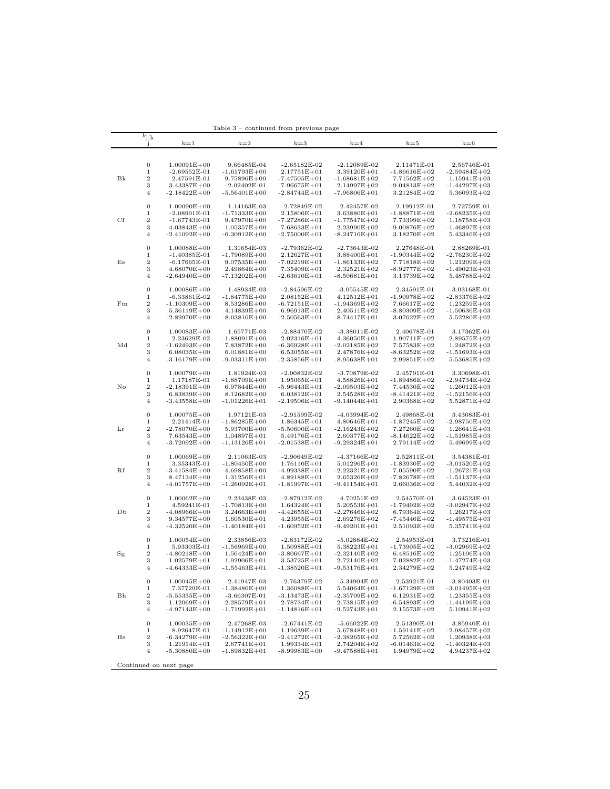|    |                  |                        | rable 3          | continued from previous page |                  |                  |                  |
|----|------------------|------------------------|------------------|------------------------------|------------------|------------------|------------------|
|    | $b_{\rm j,k}$    |                        |                  |                              |                  |                  |                  |
|    |                  | $k=1$                  | $k=2$            | $k=3$                        | $k=4$            | $k=5$            | $k=6$            |
|    |                  |                        |                  |                              |                  |                  |                  |
|    |                  |                        |                  |                              |                  |                  |                  |
|    | $\boldsymbol{0}$ | $1.00091E + 00$        | 9.66485E-04      | $-2.65182E-02$               | -2.12089E-02     | 2.11471E-01      | 2.56746E-01      |
|    | 1                | $-2.69552E-01$         | $-1.61793E+00$   | $2.17751E + 01$              | $3.39120E + 01$  | $-1.86616E+02$   | $-2.59484E + 02$ |
| Bk | $\boldsymbol{2}$ | 2.47591E-01            | $9.75896E + 00$  | -7.47505E+01                 | $-1.68681E+02$   | $7.71562E + 02$  | $1.15941E + 03$  |
|    | 3                | 3.43387E+00            | $-2.02402E-01$   | $7.96675E + 01$              | $2.14997E + 02$  | $-9.04813E+02$   | $-1.44297E+03$   |
|    | $\overline{4}$   | $-2.18422E + 00$       | $-5.56401E + 00$ | $-2.84744E + 01$             | $-7.96806E + 01$ | $3.21284E + 02$  | $5.36093E + 02$  |
|    |                  |                        |                  |                              |                  |                  |                  |
|    | $\boldsymbol{0}$ | $1.00090E + 00$        | 1.14163E-03      | $-2.72849E-02$               | $-2.42457E-02$   | 2.19912E-01      | 2.72759E-01      |
|    | 1                | $-2.08991E-01$         | -1.71333E+00     | $2.15806E + 01$              | $3.63880E + 01$  | -1.88871E+02     | $-2.68235E+02$   |
| Сf | $\boldsymbol{2}$ | -1.67743E-01           | $9.47970E + 00$  | -7.27286E+01                 | $-1.77547E+02$   | 7.73399E+02      | $1.18758E + 03$  |
|    | 3                | $4.03843E + 00$        | $1.05357E + 00$  | $7.68633E + 01$              | $2.23990E + 02$  | $-9.00876E+02$   | $-1.46897E+03$   |
|    | $\overline{4}$   | $-2.41092E + 00$       | -6.30912E+00     | $-2.75000E + 01$             | $-8.24716E + 01$ | $3.18270E + 02$  | $5.43346E + 02$  |
|    |                  |                        |                  |                              |                  |                  |                  |
|    | $\boldsymbol{0}$ | $1.00088E + 00$        | 1.31654E-03      | $-2.79362E-02$               | $-2.73643E-02$   | 2.27648E-01      | 2.88269E-01      |
|    | 1                | $-1.40385E-01$         | -1.79089E+00     | 2.12627E+01                  | $3.88400E + 01$  | -1.90344E+02     | $-2.76230E + 02$ |
| Es | $\,2$            | $-6.17665E-01$         | $9.07535E + 00$  | $-7.02219E + 01$             | $-1.86133E+02$   | 7.71818E+02      | $1.21209E + 03$  |
|    | 3                | $4.68070E + 00$        | $2.49864E + 00$  | 7.35409E+01                  | $2.32521E+02$    | -8.92777E+02     | -1.49023E+03     |
|    | $\overline{4}$   | $-2.64940E + 00$       | -7.13202E+00     | $-2.63610E + 01$             | $-8.50681E + 01$ | $3.13739E + 02$  | $5.48788E + 02$  |
|    |                  |                        |                  |                              |                  |                  |                  |
|    | $\boldsymbol{0}$ | $1.00086E + 00$        | 1.48934E-03      | $-2.84596E-02$               | $-3.05545E-02$   | 2.34591E-01      | 3.03168E-01      |
|    | 1                | $-6.33861E-02$         | $-1.84775E+00$   | $2.08152E + 01$              | $4.12512E + 01$  | -1.90978E+02     | -2.83376E+02     |
| Fm | $\,2$            | $-1.10309E + 00$       | $8.53286E + 00$  | $-6.72151E + 01$             | $-1.94369E + 02$ | $7.66617E + 02$  | $1.23259E + 03$  |
|    | 3                | $5.36119E + 00$        | $4.14839E + 00$  | $6.96913E + 01$              | $2.40511E + 02$  | -8.80309E+02     | $-1.50636E+03$   |
|    | 4                | $-2.89970E + 00$       | $-8.03816E+00$   | $-2.50563E + 01$             | $-8.74417E + 01$ | $3.07622E + 02$  | $5.52280E + 02$  |
|    |                  |                        |                  |                              |                  |                  |                  |
|    | $\boldsymbol{0}$ | $1.00083E + 00$        | 1.65771E-03      | $-2.88470E-02$               | $-3.38011E-02$   | 2.40678E-01      | 3.17362E-01      |
|    | 1                | 2.23629E-02            | -1.88091E+00     | $2.02316E + 01$              | $4.36050E + 01$  | -1.90711E+02     | $-2.89575E+02$   |
| Md | $\boldsymbol{2}$ | $-1.62493E + 00$       | 7.83872E+00      | $-6.36928E + 01$             | $-2.02185E+02$   | 7.57583E+02      | $1.24872E + 03$  |
|    | 3                | $6.08035E + 00$        | $6.01881E + 00$  | $6.53055E + 01$              | $2.47876E + 02$  | -8.63252E+02     | -1.51693E+03     |
|    | $\overline{4}$   | -3.16179E+00           | -9.03311E+00     | -2.35856E+01                 | $-8.95638E + 01$ | $2.99851E+02$    | $5.53685E + 02$  |
|    |                  |                        |                  |                              |                  |                  |                  |
|    | 0                | $1.00079E + 00$        | 1.81924E-03      | $-2.90832E-02$               | -3.70879E-02     | 2.45791E-01      | 3.30698E-01      |
|    | 1                | 1.17187E-01            | -1.88709E+00     | $1.95065E + 01$              | $4.58826E + 01$  | $-1.89486E+02$   | -2.94734E+02     |
| No | $\boldsymbol{2}$ | $-2.18391E + 00$       | $6.97844E + 00$  | $-5.96443E + 01$             | $-2.09503E + 02$ | 7.44530E+02      | $1.26012E + 03$  |
|    | 3                | $6.83839E + 00$        | $8.12682E + 00$  | $6.03812E + 01$              | $2.54528E + 02$  | -8.41421E+02     | $-1.52156E + 03$ |
|    | $\overline{4}$   | $-3.43558E + 00$       | $-1.01226E + 01$ | $-2.19506E + 01$             | $-9.14044E + 01$ | $2.90368E + 02$  | $5.52871E+02$    |
|    |                  |                        |                  |                              |                  |                  |                  |
|    | 0                | $1.00075E + 00$        | 1.97121E-03      | $-2.91599E-02$               | -4.03994E-02     | 2.49868E-01      | 3.43083E-01      |
|    | 1                | 2.21414E-01            | $-1.86285E+00$   | $1.86345E + 01$              | $4.80646E + 01$  | -1.87245E+02     | -2.98750E+02     |
| Lr | $\boldsymbol{2}$ | $-2.78070E + 00$       | 5.93700E+00      | $-5.50600E + 01$             | $-2.16243E + 02$ | 7.27260E+02      | $1.26641E + 03$  |
|    | 3                | $7.63543E + 00$        | $1.04897E + 01$  | $5.49176E + 01$              | $2.60377E + 02$  | -8.14622E+02     | -1.51985E+03     |
|    | $\overline{4}$   | $-3.72092E+00$         | $-1.13126E + 01$ | $-2.01538E + 01$             | $-9.29324E+01$   | $2.79114E + 02$  | $5.49699E + 02$  |
|    |                  |                        |                  |                              |                  |                  |                  |
|    | 0                | $1.00069E + 00$        | 2.11063E-03      | $-2.90649E-02$               | -4.37166E-02     | 2.52811E-01      | 3.54381E-01      |
|    | 1                | 3.35343E-01            | $-1.80450E + 00$ | $1.76110E + 01$              | $5.01296E + 01$  | $-1.83930E+02$   | $-3.01520E + 02$ |
| Rf | $\,2$            | $-3.41584E + 00$       | $4.69858E + 00$  | $-4.99338E + 01$             | $-2.22321E+02$   | $7.05590E + 02$  | $1.26721E + 03$  |
|    | 3                | $8.47134E + 00$        | $1.31256E + 01$  | $4.89188E + 01$              | $2.65326E + 02$  | -7.82678E+02     | $-1.51137E+03$   |
|    | $\overline{4}$   | $-4.01757E+00$         | $-1.26092E+01$   | $-1.81997E+01$               | $-9.41154E + 01$ | $2.66036E + 02$  | $5.44032E + 02$  |
|    |                  |                        |                  |                              |                  |                  |                  |
|    | $\boldsymbol{0}$ | $1.00062E + 00$        | 2.23438E-03      | $-2.87912E-02$               | $-4.70251E-02$   | 2.54570E-01      | 3.64523E-01      |
|    | 1                | 4.59241E-01            | $-1.70813E + 00$ | $1.64324E + 01$              | $5.20553E + 01$  | $-1.79492E+02$   | $-3.02947E+02$   |
| DЬ | $\,2$            | $-4.08966E + 00$       | $3.24663E + 00$  | $-4.42655E + 01$             | $-2.27646E + 02$ | $6.79364E + 02$  | $1.26217E + 03$  |
|    | 3                | $9.34577E + 00$        | $1.60530E + 01$  | $4.23955E + 01$              | 2.69276E+02      | -7.45446E+02     | -1.49575E+03     |
|    | $\overline{4}$   | $-4.32520E + 00$       | $-1.40184E + 01$ | $-1.60952E+01$               | $-9.49201E + 01$ | $2.51093E+02$    | $5.35741E + 02$  |
|    |                  |                        |                  |                              |                  |                  |                  |
|    | 0                | $1.00054E + 00$        | 2.33856E-03      | $-2.83172E-02$               | $-5.02884E-02$   | 2.54953E-01      | 3.73216E-01      |
|    | 1                | 5.93303E-01            | $-1.56969E + 00$ | $1.50988E + 01$              | $5.38223E + 01$  | $-1.73905E+02$   | $-3.02969E + 02$ |
| Sg | 2                | $-4.80218E + 00$       | $1.56424E + 00$  | $-3.80667E + 01$             | $-2.32140E + 02$ | $6.48516E + 02$  | $1.25106E + 03$  |
|    | 3                | $1.02579E + 01$        | $1.92906E + 01$  | $3.53725E + 01$              | $2.72140E + 02$  | $-7.02882E+02$   | -1.47274E+03     |
|    | 4                | $-4.64333E + 00$       | $-1.55463E+01$   | -1.38520E+01                 | $-9.53176E + 01$ | $2.34279E+02$    | $5.24749E + 02$  |
|    |                  |                        |                  |                              |                  |                  |                  |
|    | $\boldsymbol{0}$ | $1.00045E + 00$        | 2.41947E-03      | $-2.76379E-02$               | $-5.34904E-02$   | 2.53921E-01      | 3.80403E-01      |
|    | $\,1$            | 7.37729E-01            | $-1.38486E + 00$ | $1.36088E + 01$              | $5.54064E + 01$  | $-1.67129E + 02$ | $-3.01495E+02$   |
| Bh | $\,2$            | $-5.55335E+00$         | $-3.66307E-01$   | $-3.13473E + 01$             | $-2.35709E + 02$ | $6.12931E + 02$  | $1.23355E + 03$  |
|    | 3                | $1.12069E + 01$        | $2.28579E + 01$  | $2.78734E + 01$              | $2.73815E+02$    | $-6.54893E+02$   | $-1.44199E+03$   |
|    | $\overline{4}$   | $-4.97143E + 00$       | $-1.71992E + 01$ | $-1.14816E + 01$             | $-9.52743E + 01$ | $2.15573E + 02$  | $5.10941E + 02$  |
|    |                  |                        |                  |                              |                  |                  |                  |
|    | $\boldsymbol{0}$ | $1.00035E + 00$        | 2.47268E-03      | $-2.67441E-02$               | $-5.66022E-02$   | 2.51390E-01      | 3.85940E-01      |
|    | $\,1$            | 8.92647E-01            | $-1.14912E + 00$ | $1.19639E + 01$              | $5.67848E + 01$  | $-1.59141E + 02$ | $-2.98457E + 02$ |
| Hs | $\,2$            | $-6.34279E + 00$       | $-2.56322E+00$   | $-2.41272E+01$               | $-2.38265E+02$   | $5.72562E+02$    | $1.20938E + 03$  |
|    | 3                | $1.21914E + 01$        | $2.67741E + 01$  | $1.99334E + 01$              | 2.74204E+02      | $-6.01463E+02$   | $-1.40324E + 03$ |
|    | $\,4\,$          | $-5.30880E + 00$       | $-1.89832E + 01$ | $-8.99983E + 00$             | $-9.47588E + 01$ | $1.94979E + 02$  | $4.94237E + 02$  |
|    |                  |                        |                  |                              |                  |                  |                  |
|    |                  | Continued on next page |                  |                              |                  |                  |                  |

Table 3 – continued from previous page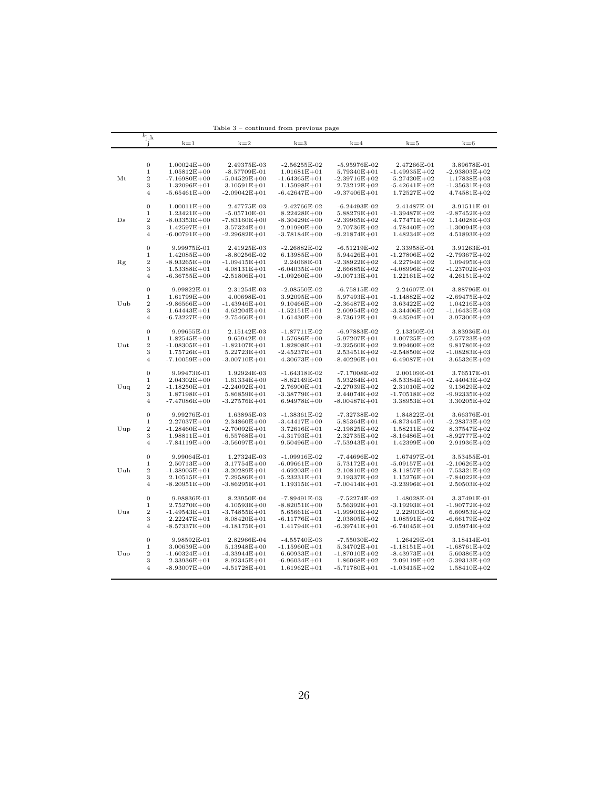|             | $b_{j,k}$<br>1        | $k=1$                               | $k=2$                               | $k=3$                               | $k=4$                               | $k=5$                               | $k=6$                             |
|-------------|-----------------------|-------------------------------------|-------------------------------------|-------------------------------------|-------------------------------------|-------------------------------------|-----------------------------------|
|             |                       |                                     |                                     |                                     |                                     |                                     |                                   |
|             |                       |                                     |                                     |                                     |                                     |                                     |                                   |
|             | 0<br>1                | $1.00024E + 00$<br>$1.05812E + 00$  | 2.49375E-03<br>$-8.57709E - 01$     | $-2.56255E-02$<br>$1.01681E + 01$   | $-5.95976E-02$<br>5.79340E+01       | 2.47266E-01<br>$-1.49935E+02$       | 3.89678E-01<br>$-2.93803E + 02$   |
| Mt          | $\boldsymbol{2}$      | $-7.16980E + 00$                    | $-5.04529E + 00$                    | $-1.64365E + 01$                    | $-2.39716E + 02$                    | $5.27420E + 02$                     | $1.17838E + 03$                   |
|             | 3                     | $1.32096E + 01$                     | $3.10591E + 01$                     | $1.15998E + 01$                     | 2.73212E+02                         | $-5.42641E+02$                      | -1.35631E+03                      |
|             | 4                     | -5.65461E+00                        | $-2.09042E + 01$                    | $-6.42647E + 00$                    | -9.37406E+01                        | $1.72527E + 02$                     | $4.74581E + 02$                   |
|             |                       |                                     |                                     |                                     |                                     |                                     |                                   |
|             | 0                     | $1.00011E + 00$                     | 2.47775E-03                         | $-2.42766E-02$                      | $-6.24493E-02$                      | 2.41487E-01                         | 3.91511E-01                       |
|             | 1                     | $1.23421E + 00$                     | $-5.05710E-01$                      | $8.22428E + 00$                     | 5.88279E+01                         | $-1.39487E + 02$                    | $-2.87452E + 02$                  |
| $_{\rm Ds}$ | 2                     | $-8.03353E + 00$                    | $-7.83160E + 00$                    | $-8.30429E + 00$                    | $-2.39965E+02$                      | $4.77471E + 02$                     | $1.14028E + 03$                   |
|             | 3                     | $1.42597E + 01$                     | $3.57324E + 01$                     | $2.91990E + 00$                     | $2.70736E + 02$                     | $-4.78440E + 02$                    | $-1.30094E + 03$                  |
|             | 4                     | $-6.00791E + 00$                    | $-2.29682E + 01$                    | $-3.78184E + 00$                    | $-9.21874E + 01$                    | $1.48234E + 02$                     | $4.51893E+02$                     |
|             | 0                     | 9.99975E-01                         | 2.41925E-03                         | $-2.26882E-02$                      | $-6.51219E-02$                      | 2.33958E-01                         | 3.91263E-01                       |
|             | 1                     | $1.42085E + 00$                     | $-8.80256E-02$                      | $6.13985E + 00$                     | 5.94426E+01                         | $-1.27806E + 02$                    | -2.79367E+02                      |
| Rg          | $\overline{2}$        | $-8.93265E + 00$                    | $-1.09415E + 01$                    | 2.24068E-01                         | $-2.38922E+02$                      | $4.22794E + 02$                     | $1.09495E + 03$                   |
|             | 3                     | $1.53388E + 01$                     | $4.08131E + 01$                     | $-6.04035E + 00$                    | $2.66685E + 02$                     | $-4.08996E+02$                      | $-1.23702E + 03$                  |
|             | 4                     | $-6.36755E + 00$                    | $-2.51806E + 01$                    | $-1.09260E + 00$                    | $-9.00713E + 01$                    | $1.22161E + 02$                     | $4.26151E + 02$                   |
|             | $\mathbf{0}$          | 9.99822E-01                         | 2.31254E-03                         | -2.08550E-02                        | $-6.75815E-02$                      | 2.24607E-01                         | 3.88796E-01                       |
|             | 1                     | $1.61799E + 00$                     | 4.00698E-01                         | $3.92095E + 00$                     | $5.97493E + 01$                     | $-1.14882E+02$                      | $-2.69475E + 02$                  |
| Uub         | 2                     | $-9.86566E + 00$                    | $-1.43946E + 01$                    | $9.10466E + 00$                     | $-2.36487E + 02$                    | $3.63422E + 02$                     | $1.04216E + 03$                   |
|             | 3                     | $1.64443E + 01$                     | $4.63204E + 01$                     | -1.52151E+01                        | $2.60954E + 02$                     | $-3.34406E + 02$                    | -1.16435E+03                      |
|             | 4                     | -6.73227E+00                        | $-2.75466E + 01$                    | $1.61430E + 00$                     | -8.73612E+01                        | $9.43594E + 01$                     | $3.97300E + 02$                   |
|             |                       |                                     |                                     |                                     |                                     |                                     |                                   |
|             | $\overline{0}$        | 9.99655E-01                         | 2.15142E-03                         | $-1.87711E-02$                      | $-6.97883E-02$                      | 2.13350E-01                         | 3.83936E-01                       |
|             | 1                     | $1.82545E + 00$                     | 9.65942E-01                         | $1.57686E + 00$                     | $5.97207E + 01$                     | $-1.00725E+02$                      | $-2.57723E + 02$                  |
| Uut         | $\boldsymbol{2}$<br>3 | $-1.08305E + 01$<br>$1.75726E + 01$ | $-1.82107E + 01$<br>$5.22723E + 01$ | 1.82808E+01<br>-2.45237E+01         | $-2.32560E + 02$<br>$2.53451E+02$   | $2.99460E + 02$<br>$-2.54850E + 02$ | $9.81786E + 02$<br>$-1.08283E+03$ |
|             | 4                     | $-7.10059E + 00$                    | $-3.00710E + 01$                    | $4.30673E + 00$                     | -8.40296E+01                        | $6.49087E + 01$                     | $3.65326E + 02$                   |
|             |                       |                                     |                                     |                                     |                                     |                                     |                                   |
|             | $\boldsymbol{0}$      | 9.99473E-01                         | 1.92924E-03                         | $-1.64318E-02$                      | $-7.17008E-02$                      | $2.00109E-01$                       | 3.76517E-01                       |
|             | 1                     | $2.04302E + 00$                     | $1.61334E + 00$                     | -8.82149E-01                        | 5.93264E+01                         | $-8.53384E + 01$                    | -2.44043E+02                      |
| Uuq         | $\overline{2}$        | -1.18250E+01                        | $-2.24092E + 01$                    | $2.76900E + 01$                     | -2.27039E+02                        | $2.31010E + 02$                     | $9.13629E + 02$                   |
|             | 3                     | $1.87198E + 01$                     | $5.86859E + 01$                     | $-3.38779E + 01$                    | $2.44074E + 02$                     | $-1.70518E + 02$                    | $-9.92335E+02$                    |
|             | 4                     | $-7.47086E + 00$                    | $-3.27576E + 01$                    | $6.94978E + 00$                     | $-8.00487E + 01$                    | $3.38953E + 01$                     | $3.30205E + 02$                   |
|             | $\mathbf{0}$          | 9.99276E-01                         | 1.63895E-03                         | $-1.38361E-02$                      | $-7.32738E-02$                      | 1.84822E-01                         | 3.66376E-01                       |
|             | 1                     | $2.27037E + 00$                     | $2.34860E + 00$                     | $-3.44417E + 00$                    | $5.85364E + 01$                     | $-6.87344E + 01$                    | $-2.28373E + 02$                  |
| Uup         | $\boldsymbol{2}$      | $-1.28460E + 01$                    | $-2.70092E + 01$                    | $3.72616E + 01$                     | -2.19825E+02                        | $1.58211E+02$                       | $8.37547E + 02$                   |
|             | 3                     | $1.98811E + 01$                     | $6.55768E + 01$                     | $-4.31793E + 01$                    | $2.32735E + 02$                     | $-8.16486E + 01$                    | $-8.92777E+02$                    |
|             | $\overline{4}$        | $-7.84119E + 00$                    | $-3.56097E + 01$                    | $9.50496E + 00$                     | $-7.53943E + 01$                    | $1.42399E + 00$                     | $2.91936E + 02$                   |
|             | $\overline{0}$        | 9.99064E-01                         | 1.27324E-03                         | $-1.09916E-02$                      | $-7.44696E-02$                      | 1.67497E-01                         | 3.53455E-01                       |
|             | 1                     | $2.50713E + 00$                     | $3.17754E + 00$                     | $-6.09661E + 00$                    | $5.73172E + 01$                     | $-5.09157E + 01$                    | $-2.10626E + 02$                  |
| Uuh         | $\boldsymbol{2}$      | -1.38905E+01                        | $-3.20289E + 01$                    | $4.69203E + 01$                     | $-2.10810E + 02$                    | $8.11857E + 01$                     | $7.53321E+02$                     |
|             | 3                     | $2.10515E + 01$                     | 7.29586E+01                         | $-5.23231E + 01$                    | $2.19337E + 02$                     | 1.15276E+01                         | -7.84022E+02                      |
|             | $\overline{4}$        | $-8.20951E + 00$                    | $-3.86295E + 01$                    | $1.19315E + 01$                     | $-7.00414E + 01$                    | $-3.23996E + 01$                    | $2.50503E + 02$                   |
|             |                       |                                     |                                     |                                     |                                     |                                     |                                   |
|             | $\overline{0}$        | 9.98836E-01                         | 8.23950E-04                         | -7.89491E-03                        | -7.52274E-02                        | 1.48028E-01                         | 3.37491E-01                       |
| Uus         | 1                     | $2.75270E + 00$<br>$-1.49543E + 01$ | $4.10593E + 00$<br>$-3.74855E + 01$ | $-8.82051E + 00$                    | $5.56392E + 01$<br>$-1.99903E + 02$ | $-3.19293E + 01$<br>2.22903E-01     | $-1.90772E+02$<br>$6.60953E + 02$ |
|             | 2<br>3                | $2.22247E + 01$                     | $8.08420E + 01$                     | $5.65661E + 01$<br>$-6.11776E + 01$ | $2.03805E + 02$                     | $1.08591E + 02$                     | $-6.66179E + 02$                  |
|             | $\overline{4}$        | $-8.57337E + 00$                    | $-4.18175E + 01$                    | $1.41794E + 01$                     | -6.39741E+01                        | $-6.74045E + 01$                    | $2.05974E + 02$                   |
|             |                       |                                     |                                     |                                     |                                     |                                     |                                   |
|             | $\mathbf{0}$          | 9.98592E-01                         | 2.82966E-04                         | $-4.55740E-03$                      | $-7.55030E-02$                      | 1.26429E-01                         | 3.18414E-01                       |
|             | 1                     | $3.00639E + 00$                     | $5.13948E + 00$                     | $-1.15960E + 01$                    | $5.34702E + 01$                     | $-1.18151E + 01$                    | $-1.68761E+02$                    |
| Uuo         | 2                     | $-1.60324E + 01$                    | $-4.33944E + 01$                    | $6.60933E + 01$                     | $-1.87010E + 02$                    | $-8.43973E + 01$                    | $5.60386E + 02$                   |
|             | 3<br>4                | $2.33936E + 01$                     | $8.92345E + 01$                     | $-6.96034E + 01$                    | $1.86068E + 02$                     | $2.09119E + 02$                     | $-5.39313E + 02$                  |
|             |                       | $-8.93007E + 00$                    | -4.51728E+01                        | $1.61962E + 01$                     | -5.71780E+01                        | $-1.03415E+02$                      | $1.58410E + 02$                   |

Table 3 – continued from previous page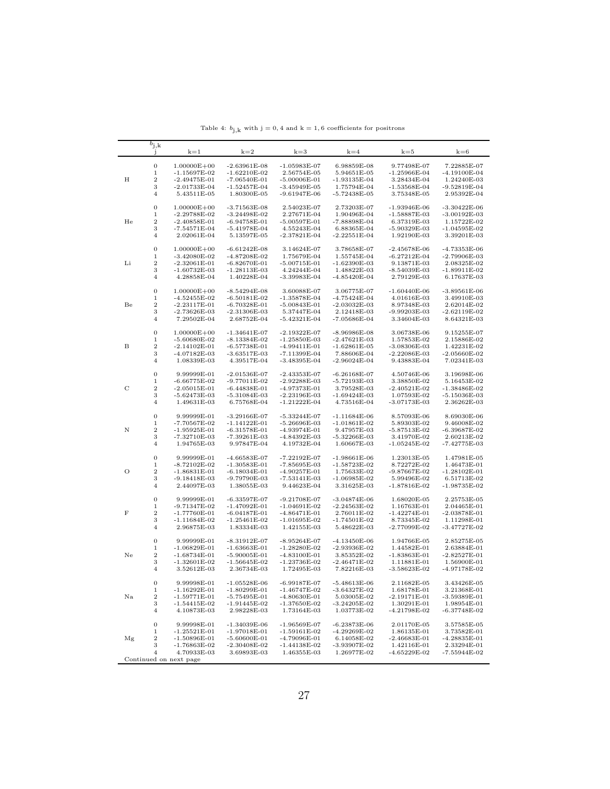<span id="page-26-0"></span>

|                                                               | $b_{\rm j,k}$<br>-1       | $k=1$                            | $k=2$                            | $k=3$                            | $k=4$                            | $k=5$                         | $k=6$                           |
|---------------------------------------------------------------|---------------------------|----------------------------------|----------------------------------|----------------------------------|----------------------------------|-------------------------------|---------------------------------|
|                                                               | $\mathbf{0}$              | $1.00000E + 00$                  | $-2.63961E-08$                   | $-1.05983E-07$                   | 6.98859E-08                      | 9.77498E-07                   | 7.22885E-07                     |
|                                                               | $\,1$                     | $-1.15697E-02$                   | $-1.62210E-02$                   | 2.56754E-05                      | 5.94651E-05                      | $-1.25966E-04$                | -4.19100E-04                    |
| Η                                                             | $\,2$                     | $-2.49475E-01$                   | -7.06540E-01                     | $-5.00006E-01$                   | $-1.93135E-04$                   | 3.28434E-04                   | 1.24240E-03                     |
| He<br>Li<br>Be<br>в<br>C<br>Ν<br>О<br>$\mathbf F$<br>Ne<br>Na | 3                         | $-2.01733E-04$                   | $-1.52457E-04$                   | $-3.45949E-05$                   | 1.75794E-04                      | $-1.53568E-04$                | $-9.52819E-04$                  |
|                                                               | $\overline{4}$            | 5.43511E-05                      | 1.80300E-05                      | $-9.61947E-06$                   | $-5.72438E-05$                   | 3.75348E-05                   | 2.95392E-04                     |
|                                                               | $\mathbf{0}$              | $1.00000E + 00$                  | $-3.71563E-08$                   | 2.54023E-07                      | 2.73203E-07                      | $-1.93946E-06$                | $-3.30422E-06$                  |
|                                                               | $\,1$                     | $-2.29788E-02$                   | $-3.24498E-02$                   | 2.27671E-04                      | 1.90496E-04                      | $-1.58887E-03$                | $-3.00192E-03$                  |
|                                                               | $\overline{2}$            | $-2.40858E-01$                   | $-6.94758E-01$                   | $-5.00597E-01$                   | $-7.88898E-04$                   | 6.37319E-03                   | 1.15722E-02                     |
|                                                               | 3                         | $-7.54571E-04$                   | $-5.41978E-04$                   | 4.55243E-04                      | 6.88365E-04                      | $-5.90329E-03$                | -1.04595E-02                    |
|                                                               | $\overline{4}$            | 2.02061E-04                      | 5.13597E-05                      | $-2.37821E-04$                   | $-2.22551E-04$                   | 1.92190E-03                   | 3.39201E-03                     |
|                                                               | $\mathbf{0}$              | $1.00000E + 00$                  | $-6.61242E-08$                   | 3.14624E-07                      | 3.78658E-07                      | $-2.45678E - 06$              | $-4.73353E-06$                  |
|                                                               | $\,1$                     | $-3.42080E - 02$                 | $-4.87208E-02$                   | 1.75679E-04                      | 1.55745E-04                      | $-6.27212E-04$                | $-2.79906E-03$                  |
|                                                               | $\,2$<br>3                | $-2.32061E-01$<br>$-1.60732E-03$ | $-6.82670E-01$<br>$-1.28113E-03$ | $-5.00715E-01$<br>4.24244E-04    | $-1.62390E-03$<br>1.48822E-03    | 9.13871E-03<br>$-8.54039E-03$ | 2.08325E-02<br>$-1.89911E-02$   |
|                                                               | $\overline{4}$            | 4.28858E-04                      | 1.40228E-04                      | $-3.39983E-04$                   | $-4.85420E-04$                   | 2.79129E-03                   | 6.17637E-03                     |
|                                                               |                           |                                  |                                  |                                  |                                  |                               |                                 |
|                                                               | $\mathbf{0}$              | $1.00000E + 00$                  | $-8.54294E-08$                   | 3.60088E-07                      | 3.06775E-07                      | $-1.60440E-06$                | $-3.89561E-06$                  |
|                                                               | $\,1$<br>$\overline{2}$   | $-4.52455E-02$                   | $-6.50181E-02$                   | $-1.35878E-04$                   | $-4.75424E-04$                   | 4.01616E-03                   | 3.49910E-03                     |
|                                                               | 3                         | $-2.23117E-01$<br>$-2.73626E-03$ | $-6.70328E-01$<br>$-2.31306E-03$ | $-5.00843E-01$<br>5.37447E-04    | $-2.03032E-03$<br>2.12418E-03    | 8.97348E-03<br>-9.99203E-03   | 2.62014E-02<br>-2.62119E-02     |
|                                                               | $\overline{4}$            | 7.29502E-04                      | 2.68752E-04                      | $-5.42321E-04$                   | -7.05686E-04                     | 3.34604E-03                   | 8.64321E-03                     |
|                                                               | $\boldsymbol{0}$          | $1.00000E + 00$                  | $-1.34641E-07$                   | $-2.19322E-07$                   | $-8.96986E-08$                   | 3.06738E-06                   | 9.15255E-07                     |
|                                                               | $\,1$                     | $-5.60680E-02$                   | $-8.13384E-02$                   | $-1.25850E-03$                   | $-2.47621E-03$                   | 1.57853E-02                   | 2.15886E-02                     |
|                                                               | $\,2$                     | $-2.14102E-01$                   | $-6.57738E-01$                   | $-4.99411E-01$                   | $-1.62861E-05$                   | $-3.08306E-03$                | 1.42231E-02                     |
|                                                               | 3                         | $-4.07182E-03$                   | $-3.63517E-03$                   | -7.11399E-04                     | 7.88606E-04                      | $-2.22086E-03$                | -2.05660E-02                    |
|                                                               | $\overline{4}$            | 1.08339E-03                      | 4.39517E-04                      | $-3.48395E-04$                   | $-2.96024E-04$                   | 9.43883E-04                   | 7.02341E-03                     |
|                                                               | $\boldsymbol{0}$          | 9.99999E-01                      | $-2.01536E-07$                   | $-2.43353E-07$                   | $-6.26168E-07$                   | 4.50746E-06                   | 3.19698E-06                     |
|                                                               | $\,1$                     | $-6.66775E-02$                   | $-9.77011E-02$                   | $-2.92288E-03$                   | $-5.72193E-03$                   | 3.38850E-02                   | 5.16453E-02                     |
|                                                               | $\overline{2}$            | $-2.05015E-01$                   | $-6.44838E-01$                   | $-4.97373E-01$                   | 3.79528E-03                      | $-2.40521E-02$                | $-1.38486E-02$                  |
|                                                               | 3<br>$\overline{4}$       | $-5.62473E-03$<br>1.49631E-03    | $-5.31084E-03$<br>6.75768E-04    | $-2.23196E-03$<br>$-1.21222E-04$ | -1.69424E-03<br>4.73516E-04      | 1.07593E-02<br>$-3.07173E-03$ | -5.15036E-03<br>2.36262E-03     |
|                                                               |                           |                                  |                                  |                                  |                                  |                               |                                 |
|                                                               | $\boldsymbol{0}$<br>$\,1$ | 9.99999E-01<br>$-7.70567E - 02$  | $-3.29166E-07$<br>$-1.14122E-01$ | $-5.33244E-07$<br>$-5.26696E-03$ | $-1.11684E-06$<br>$-1.01861E-02$ | 8.57093E-06<br>5.89303E-02    | 8.69030E-06<br>9.46008E-02      |
|                                                               | $\,2$                     | $-1.95925E-01$                   | $-6.31578E-01$                   | -4.93974E-01                     | 9.47957E-03                      | -5.87513E-02                  | -6.39687E-02                    |
|                                                               | 3                         | $-7.32710E-03$                   | $-7.39261E-03$                   | $-4.84392E-03$                   | $-5.32266E-03$                   | 3.41970E-02                   | 2.60213E-02                     |
|                                                               | $\overline{4}$            | 1.94765E-03                      | 9.97847E-04                      | 4.19732E-04                      | 1.60667E-03                      | $-1.05245E-02$                | $-7.42775E-03$                  |
|                                                               | $\boldsymbol{0}$          | 9.99999E-01                      | $-4.66583E-07$                   | $-7.22192E-07$                   | $-1.98661E-06$                   | 1.23013E-05                   | 1.47981E-05                     |
|                                                               | $\,1$                     | $-8.72102E-02$                   | $-1.30583E-01$                   | $-7.85695E-03$                   | $-1.58723E-02$                   | 8.72272E-02                   | 1.46473E-01                     |
|                                                               | $\boldsymbol{2}$          | $-1.86831E-01$                   | $-6.18034E-01$                   | $-4.90257E-01$                   | 1.75633E-02                      | -9.87667E-02                  | $-1.28102E-01$                  |
|                                                               | 3                         | $-9.18418E-03$                   | -9.79790E-03                     | $-7.53141E-03$                   | $-1.06985E-02$                   | 5.99496E-02                   | 6.51713E-02                     |
|                                                               | $\overline{4}$            | 2.44097E-03                      | 1.38055E-03                      | 9.44623E-04                      | 3.31625E-03                      | $-1.87816E-02$                | -1.98735E-02                    |
|                                                               | $\mathbf{0}$              | 9.99999E-01                      | $-6.33597E-07$                   | $-9.21708E-07$                   | $-3.04874E-06$                   | 1.68020E-05                   | 2.25753E-05                     |
|                                                               | $\,1$                     | $-9.71347E-02$                   | $-1.47092E-01$                   | $-1.04691E-02$                   | $-2.24563E-02$                   | 1.16763E-01                   | 2.04465E-01                     |
|                                                               | $\boldsymbol{2}$<br>3     | $-1.77760E-01$<br>$-1.11684E-02$ | $-6.04187E-01$<br>$-1.25461E-02$ | $-4.86471E-01$<br>$-1.01695E-02$ | 2.76011E-02<br>$-1.74501E-02$    | $-1.42274E-01$<br>8.73345E-02 | $-2.03878E - 01$<br>1.11298E-01 |
|                                                               | $\overline{4}$            | 2.96875E-03                      | 1.83334E-03                      | 1.42155E-03                      | 5.48622E-03                      | -2.77099E-02                  | -3.47727E-02                    |
|                                                               | $\mathbf{0}$              |                                  | $-8.31912E-07$                   |                                  | $-4.13450E-06$                   | 1.94766E-05                   |                                 |
|                                                               | $\,1$                     | 9.99999E-01<br>$-1.06829E-01$    | $-1.63663E-01$                   | $-8.95264E-07$<br>$-1.28280E-02$ | $-2.93936E - 02$                 | 1.44582E-01                   | 2.85275E-05<br>2.63884E-01      |
|                                                               | $\,2$                     | $-1.68734E-01$                   | $-5.90005E-01$                   | $-4.83100E-01$                   | 3.85352E-02                      | $-1.83863E-01$                | $-2.82527E-01$                  |
|                                                               | 3                         | $-1.32601E-02$                   | $-1.56645E-02$                   | $-1.23736E - 02$                 | $-2.46471E-02$                   | 1.11881E-01                   | 1.56900E-01                     |
|                                                               | $\overline{4}$            | 3.52612E-03                      | 2.36734E-03                      | 1.72495E-03                      | 7.82216E-03                      | $-3.58623E-02$                | -4.97178E-02                    |
|                                                               | $\boldsymbol{0}$          | 9.99998E-01                      | $-1.05528E-06$                   | $-6.99187E-07$                   | $-5.48613E-06$                   | 2.11682E-05                   | 3.43426E-05                     |
|                                                               | 1                         | $-1.16292E-01$                   | $-1.80299E-01$                   | $-1.46747E-02$                   | $-3.64327E-02$                   | 1.68178E-01                   | 3.21368E-01                     |
|                                                               | 2                         | $-1.59771E-01$                   | $-5.75495E-01$                   | $-4.80630E-01$                   | 5.03005E-02                      | $-2.19171E-01$                | -3.59389E-01                    |
|                                                               | 3                         | $-1.54415E-02$                   | $-1.91445E-02$                   | $-1.37650E-02$                   | $-3.24205E-02$                   | 1.30291E-01                   | 1.98954E-01                     |
|                                                               | $\overline{4}$            | 4.10873E-03                      | 2.98228E-03                      | 1.73164E-03                      | 1.03773E-02                      | -4.21798E-02                  | -6.37748E-02                    |
|                                                               | $\boldsymbol{0}$          | 9.99998E-01                      | $-1.34039E-06$                   | $-1.96569E-07$                   | $-6.23873E-06$                   | 2.01170E-05                   | 3.57585E-05                     |
|                                                               | 1                         | $-1.25521E-01$                   | $-1.97018E-01$                   | $-1.59161E-02$                   | $-4.29269E-02$                   | 1.86135E-01                   | 3.73582E-01                     |
| Mg                                                            | 2<br>3                    | $-1.50896E-01$<br>$-1.76863E-02$ | $-5.60600E-01$<br>$-2.30408E-02$ | $-4.79096E-01$<br>$-1.44138E-02$ | 6.14058E-02<br>-3.93907E-02      | $-2.46683E-01$<br>1.42116E-01 | $-4.28835E-01$<br>2.33294E-01   |
|                                                               | 4                         | 4.70933E-03                      | 3.69893E-03                      | 1.46355E-03                      | 1.26977E-02                      | $-4.65229E-02$                | -7.55944E-02                    |
|                                                               |                           | Continued on next page           |                                  |                                  |                                  |                               |                                 |

Table 4:  $b_{j,k}$  with  $j = 0, 4$  and  $k = 1, 6$  coefficients for positrons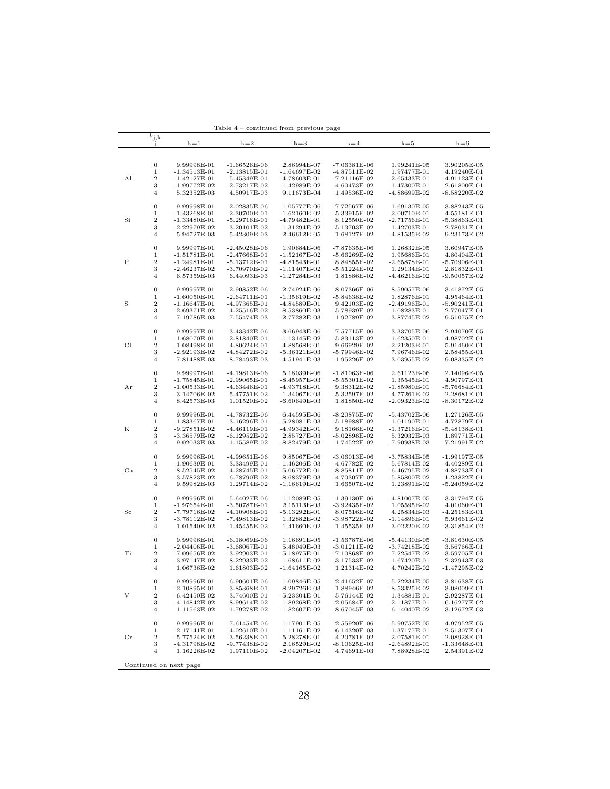|             |                                 |                                | Table 4                          | – continued from previous page   |                               |                               |                               |
|-------------|---------------------------------|--------------------------------|----------------------------------|----------------------------------|-------------------------------|-------------------------------|-------------------------------|
|             | $b_{\rm j,k}$<br>$\mathbf{J}$   | $k=1$                          | $k=2$                            | $k=3$                            | $k=4$                         | $k=5$                         | $k=6$                         |
|             |                                 |                                |                                  |                                  |                               |                               |                               |
|             |                                 |                                |                                  |                                  |                               |                               |                               |
|             | $\mathbf{0}$                    | 9.99998E-01                    | $-1.66526E-06$                   | 2.86994E-07                      | $-7.06381E-06$                | 1.99241E-05                   | 3.90205E-05                   |
|             | $\mathbf 1$                     | $-1.34513E-01$                 | $-2.13815E-01$                   | $-1.64697E-02$                   | $-4.87511E-02$                | 1.97477E-01                   | 4.19240E-01                   |
| Al          | $\boldsymbol{2}$                | $-1.42127E-01$                 | $-5.45349E-01$                   | $-4.78603E-01$                   | 7.21116E-02                   | $-2.65433E-01$                | $-4.91123E-01$                |
|             | 3<br>$\overline{4}$             | -1.99772E-02                   | $-2.73217E-02$                   | $-1.42989E-02$                   | $-4.60473E-02$                | 1.47300E-01                   | 2.61800E-01<br>$-8.58220E-02$ |
|             |                                 | 5.32352E-03                    | 4.50917E-03                      | 9.11673E-04                      | 1.49536E-02                   | -4.88699E-02                  |                               |
|             | $\boldsymbol{0}$                | 9.99998E-01                    | $-2.02835E-06$                   | 1.05777E-06                      | $-7.72567E-06$                | 1.69130E-05                   | 3.88243E-05                   |
|             | $\mathbf 1$                     | $-1.43268E-01$                 | $-2.30700E-01$                   | $-1.62160E-02$                   | $-5.33915E-02$                | 2.00710E-01                   | 4.55181E-01                   |
| Si          | $\boldsymbol{2}$                | $-1.33480E - 01$               | $-5.29716E-01$                   | $-4.79482E-01$                   | 8.12550E-02                   | $-2.71756E - 01$              | $-5.38863E-01$                |
|             | 3                               | $-2.22979E-02$                 | $-3.20101E-02$                   | $-1.31294E-02$                   | $-5.13703E-02$                | 1.42703E-01                   | 2.78031E-01                   |
|             | $\overline{4}$                  | 5.94727E-03                    | 5.42309E-03                      | $-2.46612E-05$                   | 1.68127E-02                   | $-4.81535E-02$                | $-9.23173E-02$                |
|             |                                 |                                |                                  |                                  |                               |                               |                               |
|             | $\boldsymbol{0}$                | 9.99997E-01                    | $-2.45028E-06$                   | 1.90684E-06                      | $-7.87635E-06$                | 1.26832E-05                   | 3.60947E-05                   |
|             | $\mathbf 1$                     | $-1.51781E-01$                 | $-2.47668E - 01$                 | $-1.52167E-02$                   | $-5.66269E-02$                | 1.95686E-01                   | 4.80404E-01                   |
| Ρ           | $\overline{2}$                  | $-1.24981E-01$                 | $-5.13712E-01$                   | $-4.81543E-01$                   | 8.84855E-02<br>$-5.51224E-02$ | $-2.65878E - 01$              | $-5.70906E-01$                |
|             | 3<br>$\overline{4}$             | $-2.46237E-02$<br>6.57359E-03  | -3.70970E-02<br>6.44093E-03      | $-1.11407E-02$<br>$-1.27284E-03$ | 1.81886E-02                   | 1.29134E-01<br>$-4.46216E-02$ | 2.81832E-01<br>$-9.50057E-02$ |
|             |                                 |                                |                                  |                                  |                               |                               |                               |
|             | $\boldsymbol{0}$                | 9.99997E-01                    | $-2.90852E-06$                   | 2.74924E-06                      | $-8.07366E-06$                | 8.59057E-06                   | 3.41872E-05                   |
|             | $\mathbf 1$                     | $-1.60050E-01$                 | $-2.64711E-01$                   | $-1.35619E-02$                   | $-5.84638E-02$                | 1.82876E-01                   | 4.95464E-01                   |
| S           | $\overline{2}$                  | $-1.16647E-01$                 | $-4.97365E - 01$                 | $-4.84589E - 01$                 | 9.42103E-02                   | $-2.49196E - 01$              | $-5.90241E-01$                |
|             | 3                               | $-2.69371E-02$                 | $-4.25516E-02$                   | $-8.53860E-03$                   | $-5.78939E-02$                | 1.08283E-01                   | 2.77047E-01                   |
|             | $\overline{4}$                  | 7.19786E-03                    | 7.55474E-03                      | $-2.77282E-03$                   | 1.92789E-02                   | $-3.87745E-02$                | $-9.51075E-02$                |
|             |                                 |                                |                                  |                                  |                               |                               |                               |
|             | $\boldsymbol{0}$                | 9.99997E-01                    | $-3.43342E-06$                   | 3.66943E-06                      | $-7.57715E-06$                | 3.33705E-06                   | 2.94070E-05                   |
|             | $\mathbf 1$                     | $-1.68070E - 01$               | $-2.81840E - 01$                 | $-1.13145E-02$                   | $-5.83113E-02$                | 1.62350E-01                   | 4.98702E-01                   |
| Cl          | $\boldsymbol{2}$                | -1.08498E-01                   | $-4.80624E-01$                   | $-4.88568E-01$                   | 9.66929E-02                   | $-2.21203E-01$                | $-5.91460E-01$                |
|             | 3<br>4                          | $-2.92193E-02$<br>7.81488E-03  | $-4.84272E-02$<br>8.78493E-03    | $-5.36121E-03$<br>$-4.51941E-03$ | $-5.79946E-02$<br>1.95226E-02 | 7.96746E-02<br>$-3.03955E-02$ | 2.58455E-01<br>$-9.08335E-02$ |
|             |                                 |                                |                                  |                                  |                               |                               |                               |
|             | $\boldsymbol{0}$                | 9.99997E-01                    | $-4.19813E-06$                   | 5.18039E-06                      | $-1.81063E-06$                | 2.61123E-06                   | 2.14096E-05                   |
|             | 1                               | $-1.75845E-01$                 | $-2.99065E-01$                   | $-8.45957E-03$                   | $-5.55301E-02$                | 1.35545E-01                   | 4.90797E-01                   |
| Αr          | $\boldsymbol{2}$                | $-1.00533E - 01$               | $-4.63446E-01$                   | $-4.93718E-01$                   | 9.38312E-02                   | $-1.85980E - 01$              | $-5.76684E - 01$              |
|             | 3                               | $-3.14706E-02$                 | $-5.47751E-02$                   | $-1.34067E - 03$                 | $-5.32597E-02$                | 4.77261E-02                   | 2.28681E-01                   |
|             | 4                               | 8.42573E-03                    | 1.01520E-02                      | $-6.60649E-03$                   | 1.81850E-02                   | $-2.09323E-02$                | $-8.30172E-02$                |
|             |                                 |                                |                                  |                                  |                               |                               |                               |
|             | $\mathbf{0}$                    | 9.99996E-01                    | $-4.78732E-06$                   | 6.44595E-06                      | $-8.20875E-07$                | $-5.43702E-06$                | 1.27126E-05                   |
|             | 1                               | $-1.83367E - 01$               | $-3.16296E - 01$                 | $-5.28081E-03$                   | $-5.18988E-02$                | 1.01190E-01                   | 4.72879E-01                   |
| K           | $\boldsymbol{2}$                | $-9.27851E-02$                 | $-4.46119E-01$                   | $-4.99342E-01$                   | 9.18166E-02                   | $-1.37216E-01$                | -5.48138E-01                  |
|             | 3                               | $-3.36579E-02$                 | $-6.12952E-02$                   | 2.85727E-03                      | $-5.02898E-02$                | 5.32032E-03                   | 1.89771E-01                   |
|             | 4                               | 9.02033E-03                    | 1.15589E-02                      | $-8.82479E-03$                   | 1.74522E-02                   | $-7.90938E-03$                | -7.21991E-02                  |
|             | $\boldsymbol{0}$                | 9.99996E-01                    | $-4.99651E-06$                   | 9.85067E-06                      | $-3.06013E-06$                | $-3.75834E-05$                | $-1.99197E-05$                |
|             | $\mathbf 1$                     | -1.90639E-01                   | -3.33499E-01                     | $-1.46206E-03$                   | -4.67782E-02                  | 5.67814E-02                   | 4.40289E-01                   |
| Ca          | $\boldsymbol{2}$                | $-8.52545E-02$                 | $-4.28745E-01$                   | $-5.06772E-01$                   | 8.85811E-02                   | $-6.46795E-02$                | -4.88733E-01                  |
|             | 3                               | $-3.57823E-02$                 | $-6.78790E-02$                   | 8.68379E-03                      | $-4.70307E-02$                | $-5.85800E-02$                | 1.23822E-01                   |
|             | $\overline{4}$                  | 9.59982E-03                    | 1.29714E-02                      | $-1.16619E-02$                   | 1.66507E-02                   | 1.23891E-02                   | $-5.24059E-02$                |
|             |                                 |                                |                                  |                                  |                               |                               |                               |
|             | $\mathbf{0}$                    | 9.99996E-01                    | $-5.64027E-06$                   | 1.12089E-05                      | $-1.39130E-06$                | $-4.81007E-05$                | $-3.31794E-05$                |
|             | $\mathbf 1$                     | $-1.97654E-01$                 | $-3.50787E - 01$                 | 2.15113E-03                      | $-3.92435E-02$                | 1.05595E-02                   | 4.01060E-01                   |
| $_{\rm Sc}$ | $\boldsymbol{2}$                | $-7.79716E - 02$               | $-4.10908E-01$                   | $-5.13292E-01$                   | 8.07516E-02                   | 4.25834E-03                   | $-4.25183E-01$                |
|             | 3                               | $-3.78112E-02$                 | $-7.49813E-02$                   | 1.32882E-02                      | $-3.98722E-02$                | -1.14896E-01                  | 5.93661E-02                   |
|             | $\overline{4}$                  | 1.01540E-02                    | 1.45455E-02                      | $-1.41660E-02$                   | 1.45535E-02                   | 3.02220E-02                   | $-3.31854E-02$                |
|             | $\mathbf{0}$                    | 9.99996E-01                    | $-6.18069E-06$                   | 1.16691E-05                      | $-1.56787E-06$                | $-5.44130E-05$                | $-3.81630E-05$                |
|             | $\mathbf 1$                     | $-2.04406E-01$                 | $-3.68067E-01$                   | 5.48049E-03                      | $-3.01211E-02$                | $-3.74218E-02$                | 3.56766E-01                   |
| Ti          | $\boldsymbol{2}$                | -7.09656E-02                   | $-3.92903E-01$                   | $-5.18975E - 01$                 | 7.10868E-02                   | 7.22547E-02                   | $-3.59705E-01$                |
|             | 3                               | $-3.97147E-02$                 | $-8.22933E-02$                   | 1.68611E-02                      | $-3.17533E-02$                | $-1.67420E-01$                | $-2.32943E-03$                |
|             | $\overline{4}$                  | 1.06736E-02                    | 1.61803E-02                      | $-1.64165E-02$                   | 1.21314E-02                   | 4.70242E-02                   | -1.47295E-02                  |
|             |                                 |                                |                                  |                                  |                               |                               |                               |
|             | $\boldsymbol{0}$                | 9.99996E-01                    | $-6.90601E-06$                   | 1.09846E-05                      | 2.41652E-07                   | $-5.22234E-05$                | $-3.81638E-05$                |
|             | $\mathbf 1$                     | $-2.10895E-01$                 | $-3.85368E-01$                   | 8.29726E-03                      | $-1.88946E-02$                | $-8.53325E-02$                | 3.08009E-01                   |
| V           | $\boldsymbol{2}$                | $-6.42450E-02$                 | $-3.74600E-01$                   | $-5.23304E-01$                   | 5.76144E-02                   | 1.34881E-01                   | $-2.92287E-01$                |
|             | 3                               | $-4.14842E-02$                 | $-8.99614E-02$                   | 1.89268E-02                      | $-2.05684E-02$                | $-2.11877E-01$                | $-6.16277E-02$                |
|             | $\overline{4}$                  | 1.11563E-02                    | 1.79278E-02                      | $-1.82607E-02$                   | 8.67045E-03                   | 6.14040E-02                   | 3.12672E-03                   |
|             |                                 |                                |                                  |                                  |                               |                               |                               |
|             | $\boldsymbol{0}$<br>$\mathbf 1$ | 9.99996E-01                    | $-7.61454E-06$                   | 1.17901E-05                      | 2.55920E-06                   | $-5.99752E-05$                | $-4.97952E-05$<br>2.51307E-01 |
| $_{\rm Cr}$ | $\overline{2}$                  | $-2.17141E-01$<br>-5.77524E-02 | $-4.02610E-01$<br>$-3.56238E-01$ | 1.11161E-02<br>$-5.28278E-01$    | $-6.14320E-03$<br>4.20781E-02 | $-1.37177E-01$<br>2.07581E-01 | $-2.08928E-01$                |
|             | 3                               | -4.31798E-02                   | $-9.77438E-02$                   | 2.16529E-02                      | $-8.10625E-03$                | $-2.64892E-01$                | $-1.33648E-01$                |
|             | $\overline{4}$                  | 1.16226E-02                    | 1.97110E-02                      | $-2.04207E-02$                   | 4.74691E-03                   | 7.88928E-02                   | 2.54391E-02                   |
|             |                                 |                                |                                  |                                  |                               |                               |                               |
|             |                                 | Continued on next page         |                                  |                                  |                               |                               |                               |
|             |                                 |                                |                                  |                                  |                               |                               |                               |

Table 4 – continued from previous page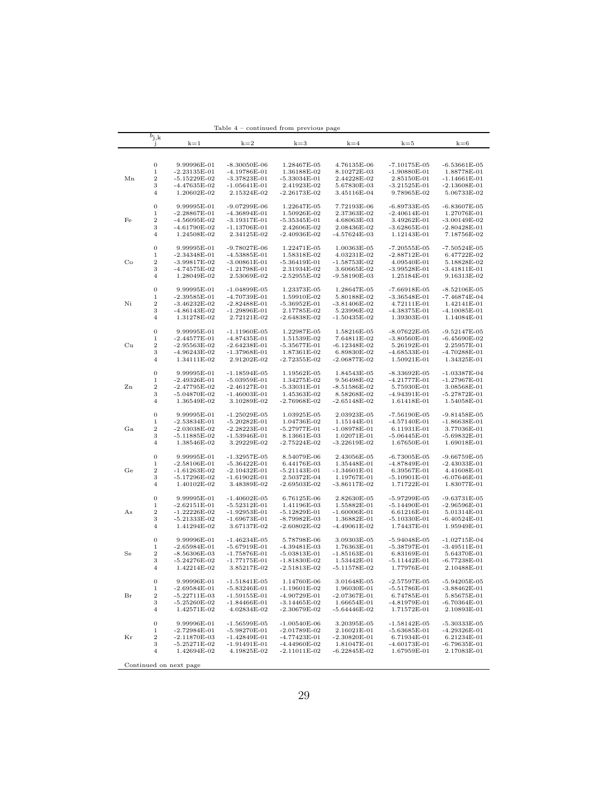|    |                                 |                                  | 1able 4                            | – continued from previous page     |                               |                                  |                                  |
|----|---------------------------------|----------------------------------|------------------------------------|------------------------------------|-------------------------------|----------------------------------|----------------------------------|
|    | $b_{\rm j,k}$<br>J.             | $k=1$                            | $k=2$                              | $k=3$                              | $k=4$                         | $k=5$                            | $k=6$                            |
|    |                                 |                                  |                                    |                                    |                               |                                  |                                  |
|    |                                 |                                  |                                    |                                    |                               |                                  |                                  |
|    | $\boldsymbol{0}$                | 9.99996E-01                      | $-8.30050E-06$                     | 1.28467E-05                        | 4.76135E-06                   | $-7.10175E-05$                   | $-6.53661E-05$                   |
|    | 1                               | $-2.23135E-01$                   | $-4.19786E - 01$                   | 1.36188E-02                        | 8.10272E-03                   | $-1.90880E-01$                   | 1.88778E-01                      |
| Мn | $\,2$                           | $-5.15229E-02$                   | $-3.37823E-01$                     | $-5.33034E-01$                     | 2.44228E-02                   | 2.85150E-01                      | -1.14661E-01                     |
|    | 3                               | $-4.47635E-02$                   | $-1.05641E-01$                     | 2.41923E-02                        | 5.67830E-03                   | $-3.21525E-01$                   | $-2.13608E-01$                   |
|    | 4                               | 1.20602E-02                      | 2.15324E-02                        | $-2.26173E-02$                     | 3.45116E-04                   | 9.78965E-02                      | 5.06733E-02                      |
|    | $\boldsymbol{0}$                | 9.99995E-01                      | $-9.07299E-06$                     | 1.22647E-05                        | 7.72193E-06                   | $-6.89733E-05$                   | $-6.83607E-05$                   |
|    | 1                               | $-2.28867E - 01$                 | $-4.36894E-01$                     | 1.50926E-02                        | 2.37363E-02                   | $-2.40614E-01$                   | 1.27076E-01                      |
| Fe | $\,2$                           | $-4.56095E-02$                   | $-3.19317E-01$                     | -5.35345E-01                       | 4.68063E-03                   | 3.49262E-01                      | -3.00149E-02                     |
|    | 3                               | $-4.61790E-02$                   | $-1.13706E-01$                     | 2.42606E-02                        | 2.08436E-02                   | $-3.62865E-01$                   | $-2.80428E - 01$                 |
|    | 4                               | 1.24508E-02                      | 2.34125E-02                        | $-2.40936E - 02$                   | -4.57624E-03                  | 1.12143E-01                      | 7.18756E-02                      |
|    |                                 |                                  |                                    |                                    |                               |                                  |                                  |
|    | $\boldsymbol{0}$                | 9.99995E-01                      | $-9.78027E-06$                     | 1.22471E-05                        | 1.00363E-05                   | $-7.20555E - 05$                 | $-7.50524E-05$                   |
|    | $\mathbf 1$                     | $-2.34348E-01$                   | $-4.53885E-01$                     | 1.58318E-02                        | 4.03231E-02                   | $-2.88712E-01$                   | 6.47722E-02                      |
| Co | $\,2$                           | $-3.99817E-02$                   | $-3.00861E-01$                     | $-5.36419E-01$                     | $-1.58753E-02$                | 4.09540E-01                      | 5.18828E-02                      |
|    | 3<br>$\overline{4}$             | $-4.74575E-02$<br>1.28049E-02    | $-1.21798E-01$<br>2.53069E-02      | 2.31934E-02<br>$-2.52955E-02$      | 3.60665E-02<br>-9.58190E-03   | $-3.99528E-01$<br>1.25184E-01    | $-3.41811E-01$<br>9.16313E-02    |
|    |                                 |                                  |                                    |                                    |                               |                                  |                                  |
|    | $\mathbf{0}$                    | 9.99995E-01                      | $-1.04899E-05$                     | 1.23373E-05                        | 1.28647E-05                   | $-7.66918E-05$                   | $-8.52106E-05$                   |
|    | $\mathbf 1$                     | $-2.39585E-01$                   | $-4.70739E - 01$                   | 1.59910E-02                        | 5.80188E-02                   | $-3.36548E-01$                   | $-7.46874E-04$                   |
| Ni | $\,2$                           | $-3.46232E-02$                   | $-2.82488E-01$                     | $-5.36952E-01$                     | $-3.81406E-02$                | 4.72111E-01                      | 1.42141E-01                      |
|    | 3                               | $-4.86143E-02$                   | $-1.29896E - 01$                   | 2.17785E-02                        | 5.23996E-02                   | $-4.38375E-01$                   | $-4.10085E - 01$                 |
|    | $\overline{4}$                  | 1.31278E-02                      | 2.72121E-02                        | $-2.64838E-02$                     | -1.50435E-02                  | 1.39303E-01                      | 1.14084E-01                      |
|    |                                 |                                  |                                    |                                    |                               |                                  |                                  |
|    | $\boldsymbol{0}$                | 9.99995E-01                      | $-1.11960E-05$                     | 1.22987E-05                        | 1.58216E-05                   | $-8.07622E - 05$                 | $-9.52147E-05$                   |
| Сu | $\mathbf 1$<br>$\,2$            | $-2.44577E-01$                   | $-4.87435E-01$                     | 1.51539E-02<br>$-5.35677E-01$      | 7.64811E-02                   | $-3.80560E-01$<br>5.26192E-01    | $-6.45690E-02$                   |
|    | 3                               | $-2.95563E-02$<br>$-4.96243E-02$ | $-2.64238E-01$<br>$-1.37968E - 01$ | 1.87361E-02                        | $-6.12348E-02$<br>6.89830E-02 | -4.68533E-01                     | 2.25957E-01<br>$-4.70288E - 01$  |
|    | $\overline{4}$                  | 1.34111E-02                      | 2.91202E-02                        | $-2.72355E-02$                     | $-2.06877E - 02$              | 1.50921E-01                      | 1.34325E-01                      |
|    |                                 |                                  |                                    |                                    |                               |                                  |                                  |
|    | $\boldsymbol{0}$                | 9.99995E-01                      | $-1.18594E-05$                     | 1.19562E-05                        | 1.84543E-05                   | $-8.33692E-05$                   | $-1.03387E-04$                   |
|    | $\mathbf 1$                     | $-2.49326E-01$                   | $-5.03959E-01$                     | 1.34275E-02                        | 9.56498E-02                   | $-4.21777E-01$                   | $-1.27967E-01$                   |
| Zn | $\,2$                           | $-2.47795E-02$                   | $-2.46127E-01$                     | $-5.33031E-01$                     | $-8.51586E-02$                | 5.75930E-01                      | 3.08568E-01                      |
|    | 3                               | $-5.04870E-02$                   | $-1.46003E-01$                     | 1.45363E-02                        | 8.58268E-02                   | $-4.94391E-01$                   | -5.27872E-01                     |
|    | $\overline{4}$                  | 1.36549E-02                      | 3.10289E-02                        | $-2.76968E-02$                     | $-2.65148E-02$                | 1.61418E-01                      | 1.54058E-01                      |
|    | $\boldsymbol{0}$                | 9.99995E-01                      | $-1.25029E - 05$                   |                                    |                               | $-7.56190E-05$                   | $-9.81458E-05$                   |
|    | $\mathbf 1$                     | $-2.53834E-01$                   | $-5.20282E-01$                     | 1.03925E-05<br>1.04736E-02         | 2.03923E-05<br>1.15144E-01    | $-4.57140E-01$                   | $-1.86638E-01$                   |
| Ga | $\boldsymbol{2}$                | $-2.03038E-02$                   | $-2.28223E-01$                     | $-5.27977E-01$                     | $-1.08978E-01$                | 6.11931E-01                      | 3.77036E-01                      |
|    | 3                               | $-5.11885E-02$                   | $-1.53946E-01$                     | 8.13661E-03                        | 1.02071E-01                   | -5.06445E-01                     | -5.69832E-01                     |
|    | $\overline{4}$                  | 1.38546E-02                      | 3.29229E-02                        | $-2.75224E-02$                     | $-3.22619E-02$                | 1.67650E-01                      | 1.69018E-01                      |
|    |                                 |                                  |                                    |                                    |                               |                                  |                                  |
|    | $\boldsymbol{0}$                | 9.99995E-01                      | $-1.32957E-05$                     | 8.54079E-06                        | 2.43056E-05                   | $-6.73005E-05$                   | -9.66759E-05                     |
|    | $\mathbf 1$                     | $-2.58106E-01$                   | $-5.36422E - 01$                   | 6.44176E-03                        | 1.35448E-01                   | $-4.87849E-01$                   | $-2.43033E-01$                   |
| Ge | $\boldsymbol{2}$                | $-1.61263E-02$                   | $-2.10432E-01$                     | $-5.21143E-01$                     | $-1.34601E-01$                | 6.39567E-01                      | 4.41608E-01                      |
|    | 3                               | $-5.17296E-02$                   | $-1.61902E-01$                     | 2.50372E-04                        | 1.19767E-01                   | $-5.10901E-01$                   | -6.07646E-01                     |
|    | $\overline{4}$                  | 1.40102E-02                      | 3.48389E-02                        | $-2.69503E-02$                     | $-3.86117E-02$                | 1.71722E-01                      | 1.83077E-01                      |
|    | $\boldsymbol{0}$                | 9.99995E-01                      | $-1.40602E-05$                     | 6.76125E-06                        | 2.82630E-05                   | $-5.97299E-05$                   | -9.63731E-05                     |
|    | $\mathbf 1$                     | $-2.62151E-01$                   | $-5.52312E-01$                     | 1.41196E-03                        | 1.55882E-01                   | $-5.14490E-01$                   | $-2.96596E-01$                   |
| As | $\boldsymbol{2}$                | $-1.22226E-02$                   | $-1.92953E-01$                     | $-5.12829E-01$                     | $-1.60006E-01$                | 6.61216E-01                      | 5.01314E-01                      |
|    | 3                               | $-5.21333E-02$                   | -1.69673E-01                       | $-8.79982E-03$                     | 1.36882E-01                   | $-5.10330E-01$                   | -6.40524E-01                     |
|    | $\overline{4}$                  | 1.41294E-02                      | 3.67137E-02                        | $-2.60802E-02$                     | $-4.49061E-02$                | 1.74437E-01                      | 1.95949E-01                      |
|    |                                 |                                  |                                    |                                    |                               |                                  |                                  |
|    | $\boldsymbol{0}$                | 9.99996E-01                      | $-1.46234E-05$                     | 5.78798E-06                        | 3.09303E-05                   | $-5.94048E-05$                   | $-1.02715E-04$                   |
|    | 1                               | $-2.65984E-01$                   | $-5.67919E-01$                     | $-4.39481E-03$                     | 1.76363E-01                   | $-5.38797E - 01$                 | $-3.49511E-01$                   |
| Se | $\boldsymbol{2}$<br>3           | $-8.56306E-03$<br>$-5.24276E-02$ | $-1.75876E - 01$<br>$-1.77175E-01$ | $-5.03813E - 01$<br>$-1.81830E-02$ | -1.85163E-01<br>1.53442E-01   | 6.83169E-01<br>$-5.11442E-01$    | 5.64370E-01<br>$-6.77238E-01$    |
|    | 4                               | 1.42214E-02                      | 3.85217E-02                        | $-2.51813E-02$                     | $-5.11578E - 02$              | 1.77976E-01                      | 2.10488E-01                      |
|    |                                 |                                  |                                    |                                    |                               |                                  |                                  |
|    | $\boldsymbol{0}$                | 9.99996E-01                      | $-1.51841E-05$                     | 1.14760E-06                        | 3.01648E-05                   | $-2.57597E-05$                   | $-5.94205E-05$                   |
|    | $\mathbf 1$                     | $-2.69584E-01$                   | $-5.83246E-01$                     | $-1.19601E-02$                     | 1.96030E-01                   | $-5.51786E-01$                   | $-3.88462E-01$                   |
| Br | $\,2$                           | $-5.22711E-03$                   | $-1.59155E-01$                     | $-4.90729E-01$                     | $-2.07367E-01$                | 6.74785E-01                      | 5.85675E-01                      |
|    | 3                               | $-5.25260E-02$                   | $-1.84466E-01$                     | $-3.14465E-02$                     | 1.66654E-01                   | $-4.81979E-01$                   | $-6.70364E-01$                   |
|    | 4                               | 1.42571E-02                      | 4.02834E-02                        | $-2.30679E-02$                     | -5.64446E-02                  | 1.71572E-01                      | 2.10893E-01                      |
|    |                                 |                                  |                                    |                                    |                               |                                  |                                  |
|    | $\boldsymbol{0}$<br>$\mathbf 1$ | 9.99996E-01<br>$-2.72984E-01$    | $-1.56599E-05$<br>$-5.98270E-01$   | $-1.00540E-06$<br>$-2.01789E-02$   | 3.20395E-05<br>2.16021E-01    | $-1.58142E-05$<br>$-5.63685E-01$ | $-5.30333E-05$<br>$-4.29326E-01$ |
| Κr | $\boldsymbol{2}$                | $-2.11870E-03$                   | $-1.42849E-01$                     | $-4.77423E-01$                     | $-2.30820E-01$                | 6.71934E-01                      | 6.21234E-01                      |
|    | 3                               | $-5.25271E-02$                   | $-1.91491E-01$                     | $-4.44960E-02$                     | 1.81047E-01                   | $-4.60173E-01$                   | $-6.79635E-01$                   |
|    | $\overline{4}$                  | 1.42694E-02                      | 4.19825E-02                        | $-2.11011E-02$                     | -6.22845E-02                  | 1.67959E-01                      | 2.17083E-01                      |
|    |                                 |                                  |                                    |                                    |                               |                                  |                                  |
|    |                                 | Continued on next page           |                                    |                                    |                               |                                  |                                  |

Table 4 – continued from previous page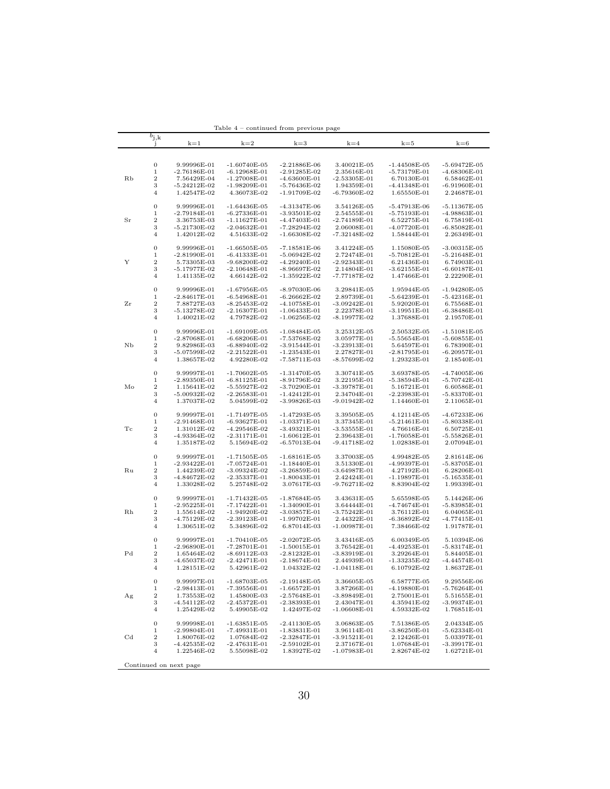|              |                                 |                                 | 1able 4                          | – continued from previous page   |                               |                               |                                  |
|--------------|---------------------------------|---------------------------------|----------------------------------|----------------------------------|-------------------------------|-------------------------------|----------------------------------|
|              | $b_{\rm j,k}$<br>J.             | $k=1$                           | $k=2$                            | $k=3$                            | $k=4$                         | $k=5$                         | $k=6$                            |
|              |                                 |                                 |                                  |                                  |                               |                               |                                  |
|              |                                 |                                 |                                  |                                  |                               |                               |                                  |
|              | $\boldsymbol{0}$                | 9.99996E-01                     | $-1.60740E-05$                   | $-2.21886E-06$                   | 3.40021E-05                   | $-1.44508E-05$                | $-5.69472E-05$                   |
|              | 1                               | $-2.76186E - 01$                | $-6.12968E-01$                   | $-2.91285E-02$                   | 2.35616E-01                   | $-5.73179E - 01$              | $-4.68306E - 01$                 |
| Rb           | $\,2$                           | 7.56429E-04                     | $-1.27008E - 01$                 | $-4.63600E-01$                   | $-2.53305E-01$                | 6.70130E-01                   | 6.58462E-01                      |
|              | 3                               | $-5.24212E-02$                  | $-1.98209E-01$                   | $-5.76436E-02$                   | 1.94359E-01                   | $-4.41348E-01$<br>1.65550E-01 | $-6.91960E-01$                   |
|              | 4                               | 1.42547E-02                     | 4.36073E-02                      | $-1.91709E-02$                   | -6.79360E-02                  |                               | 2.24687E-01                      |
|              | $\boldsymbol{0}$                | 9.99996E-01                     | $-1.64436E-05$                   | $-4.31347E-06$                   | 3.54126E-05                   | $-5.47913E-06$                | $-5.11367E-05$                   |
|              | 1                               | $-2.79184E-01$                  | $-6.27336E - 01$                 | $-3.93501E-02$                   | 2.54555E-01                   | $-5.75193E-01$                | $-4.98863E-01$                   |
| Sr           | $\,2$                           | 3.36753E-03                     | $-1.11627E-01$                   | $-4.47403E-01$                   | -2.74189E-01                  | 6.52275E-01                   | 6.75819E-01                      |
|              | 3                               | $-5.21730E-02$                  | $-2.04632E-01$                   | $-7.28294E-02$                   | 2.06008E-01                   | $-4.07720E-01$                | $-6.85082E-01$                   |
|              | 4                               | 1.42012E-02                     | 4.51633E-02                      | $-1.66308E-02$                   | -7.32148E-02                  | 1.58444E-01                   | 2.26349E-01                      |
|              | $\boldsymbol{0}$                |                                 |                                  |                                  | 3.41224E-05                   |                               |                                  |
|              | $\mathbf 1$                     | 9.99996E-01<br>$-2.81990E-01$   | $-1.66505E-05$<br>$-6.41333E-01$ | $-7.18581E-06$<br>$-5.06942E-02$ | 2.72474E-01                   | 1.15080E-05<br>$-5.70812E-01$ | $-3.00315E-05$<br>$-5.21648E-01$ |
| Υ            | $\,2$                           | 5.73305E-03                     | $-9.68200E-02$                   | $-4.29240E-01$                   | $-2.92343E-01$                | 6.21436E-01                   | 6.74903E-01                      |
|              | 3                               | $-5.17977E-02$                  | $-2.10648E - 01$                 | $-8.96697E-02$                   | 2.14804E-01                   | $-3.62155E-01$                | $-6.60187E-01$                   |
|              | $\overline{4}$                  | 1.41135E-02                     | 4.66142E-02                      | $-1.35922E-02$                   | -7.77187E-02                  | 1.47466E-01                   | 2.22290E-01                      |
|              |                                 |                                 |                                  |                                  |                               |                               |                                  |
|              | $\mathbf{0}$                    | 9.99996E-01                     | $-1.67956E-05$                   | $-8.97030E-06$                   | 3.29841E-05                   | 1.95944E-05                   | $-1.94280E-05$                   |
|              | $\mathbf 1$                     | $-2.84617E-01$                  | $-6.54968E-01$                   | $-6.26662E-02$                   | 2.89739E-01                   | $-5.64239E-01$                | $-5.42316E-01$                   |
| Zr           | $\boldsymbol{2}$<br>3           | 7.88727E-03<br>$-5.13278E-02$   | $-8.25453E-02$<br>$-2.16307E-01$ | $-4.10758E-01$<br>$-1.06433E-01$ | $-3.09242E-01$<br>2.22378E-01 | 5.92020E-01<br>$-3.19951E-01$ | 6.75568E-01<br>$-6.38486E - 01$  |
|              | $\overline{4}$                  | 1.40021E-02                     | 4.79782E-02                      | $-1.06256E-02$                   | -8.19977E-02                  | 1.37688E-01                   | 2.19570E-01                      |
|              |                                 |                                 |                                  |                                  |                               |                               |                                  |
|              | $\boldsymbol{0}$                | 9.99996E-01                     | $-1.69109E-05$                   | $-1.08484E-05$                   | 3.25312E-05                   | 2.50532E-05                   | $-1.51081E-05$                   |
|              | $\mathbf 1$                     | $-2.87068E - 01$                | $-6.68206E - 01$                 | $-7.53768E - 02$                 | 3.05977E-01                   | $-5.55654E-01$                | $-5.60855E - 01$                 |
| NЬ           | $\,2$                           | 9.82986E-03                     | $-6.88940E-02$                   | $-3.91544E-01$                   | $-3.23913E-01$                | 5.64597E-01                   | 6.78390E-01                      |
|              | 3                               | $-5.07599E-02$                  | $-2.21522E-01$                   | $-1.23543E-01$                   | 2.27827E-01                   | $-2.81795E-01$                | $-6.20957E - 01$                 |
|              | $\overline{4}$                  | 1.38657E-02                     | 4.92280E-02                      | $-7.58711E-03$                   | $-8.57699E-02$                | 1.29323E-01                   | 2.18540E-01                      |
|              | $\boldsymbol{0}$                | 9.99997E-01                     | $-1.70602E-05$                   | $-1.31470E-05$                   | 3.30741E-05                   | 3.69378E-05                   | -4.74005E-06                     |
|              | $\mathbf 1$                     | $-2.89350E-01$                  | $-6.81125E-01$                   | $-8.91796E-02$                   | 3.22195E-01                   | $-5.38594E-01$                | $-5.70742E-01$                   |
| Mo           | $\boldsymbol{2}$                | 1.15641E-02                     | $-5.55927E-02$                   | $-3.70290E - 01$                 | $-3.39787E - 01$              | 5.16721E-01                   | 6.60586E-01                      |
|              | 3                               | $-5.00932E-02$                  | $-2.26583E-01$                   | $-1.42412E-01$                   | 2.34704E-01                   | $-2.23983E-01$                | -5.83370E-01                     |
|              | $\overline{4}$                  | 1.37037E-02                     | 5.04599E-02                      | $-3.99826E-03$                   | -9.01942E-02                  | 1.14460E-01                   | 2.11065E-01                      |
|              |                                 |                                 |                                  |                                  |                               |                               |                                  |
|              | $\boldsymbol{0}$                | 9.99997E-01                     | $-1.71497E - 05$                 | $-1.47293E-05$                   | 3.39505E-05                   | 4.12114E-05                   | $-4.67233E-06$                   |
| Tс           | $\mathbf 1$<br>$\boldsymbol{2}$ | $-2.91468E - 01$<br>1.31012E-02 | $-6.93627E-01$<br>$-4.29546E-02$ | $-1.03371E-01$<br>$-3.49321E-01$ | 3.37345E-01<br>$-3.53555E-01$ | $-5.21461E-01$<br>4.76616E-01 | $-5.80338E-01$<br>6.50725E-01    |
|              | 3                               | -4.93364E-02                    | $-2.31171E-01$                   | $-1.60612E-01$                   | 2.39643E-01                   | $-1.76058E-01$                | -5.55826E-01                     |
|              | $\overline{4}$                  | 1.35187E-02                     | $5.15694E-02$                    | $-6.57013E-04$                   | -9.41718E-02                  | 1.02838E-01                   | 2.07094E-01                      |
|              |                                 |                                 |                                  |                                  |                               |                               |                                  |
|              | $\boldsymbol{0}$                | 9.99997E-01                     | $-1.71505E-05$                   | $-1.68161E-05$                   | 3.37003E-05                   | 4.99482E-05                   | 2.81614E-06                      |
|              | $\mathbf 1$                     | $-2.93422E-01$                  | $-7.05724E-01$                   | -1.18440E-01                     | 3.51330E-01                   | $-4.99397E - 01$              | $-5.83705E-01$                   |
| Ru           | $\boldsymbol{2}$                | 1.44239E-02                     | $-3.09324E-02$                   | $-3.26859E-01$                   | $-3.64987E-01$                | 4.27192E-01                   | 6.28206E-01                      |
|              | 3<br>$\overline{4}$             | $-4.84672E-02$                  | $-2.35337E-01$                   | $-1.80043E-01$                   | 2.42424E-01                   | -1.19897E-01                  | -5.16535E-01                     |
|              |                                 | 1.33028E-02                     | 5.25748E-02                      | 3.07617E-03                      | -9.76271E-02                  | 8.83904E-02                   | 1.99339E-01                      |
|              | $\boldsymbol{0}$                | 9.99997E-01                     | $-1.71432E-05$                   | $-1.87684E-05$                   | 3.43631E-05                   | 5.65598E-05                   | 5.14426E-06                      |
|              | $\mathbf 1$                     | $-2.95225E-01$                  | $-7.17422E-01$                   | $-1.34090E-01$                   | 3.64444E-01                   | $-4.74674E-01$                | $-5.83985E-01$                   |
| Rh           | $\boldsymbol{2}$                | 1.55614E-02                     | $-1.94920E-02$                   | $-3.03857E-01$                   | $-3.75242E-01$                | 3.76112E-01                   | 6.04065E-01                      |
|              | 3                               | -4.75129E-02                    | $-2.39123E-01$                   | -1.99702E-01                     | 2.44322E-01                   | -6.36892E-02                  | $-4.77415E-01$                   |
|              | $\overline{4}$                  | 1.30651E-02                     | 5.34896E-02                      | 6.87014E-03                      | $-1.00987E - 01$              | 7.38466E-02                   | 1.91787E-01                      |
|              | $\boldsymbol{0}$                | 9.99997E-01                     | $-1.70410E-05$                   | $-2.02072E-05$                   |                               | 6.00349E-05                   |                                  |
|              | 1                               | $-2.96890E - 01$                | $-7.28701E - 01$                 | $-1.50015E-01$                   | 3.43416E-05<br>3.76542E-01    | $-4.49253E-01$                | 5.10394E-06<br>$-5.83174E-01$    |
| $_{\rm{Pd}}$ | $\boldsymbol{2}$                | 1.65464E-02                     | $-8.69112E-03$                   | $-2.81232E - 01$                 | $-3.83919E-01$                | 3.29264E-01                   | 5.84405E-01                      |
|              | 3                               | $-4.65037E-02$                  | $-2.42471E-01$                   | $-2.18674E-01$                   | 2.44939E-01                   | $-1.33235E-02$                | $-4.44574E-01$                   |
|              | 4                               | 1.28151E-02                     | 5.42961E-02                      | 1.04332E-02                      | $-1.04118E - 01$              | 6.10792E-02                   | 1.86372E-01                      |
|              |                                 |                                 |                                  |                                  |                               |                               |                                  |
|              | $\boldsymbol{0}$                | 9.99997E-01                     | $-1.68703E-05$                   | $-2.19148E-05$                   | 3.36605E-05                   | 6.58777E-05                   | 9.29556E-06                      |
|              | $\mathbf 1$                     | $-2.98413E-01$                  | -7.39556E-01                     | $-1.66572E-01$                   | 3.87266E-01                   | -4.19880E-01                  | $-5.76264E-01$                   |
| Αg           | $\,2$<br>3                      | 1.73553E-02                     | 1.45800E-03                      | $-2.57648E-01$                   | $-3.89849E-01$<br>2.43047E-01 | 2.75001E-01<br>4.35941E-02    | 5.51655E-01                      |
|              | 4                               | -4.54112E-02<br>1.25429E-02     | $-2.45372E-01$<br>5.49905E-02    | $-2.38393E-01$<br>1.42497E-02    | $-1.06608E-01$                | 4.59332E-02                   | $-3.99374E-01$<br>1.76851E-01    |
|              |                                 |                                 |                                  |                                  |                               |                               |                                  |
|              | $\boldsymbol{0}$                | 9.99998E-01                     | $-1.63851E-05$                   | $-2.41130E-05$                   | 3.06863E-05                   | 7.51386E-05                   | 2.04334E-05                      |
|              | $\mathbf 1$                     | $-2.99804E-01$                  | $-7.49931E-01$                   | $-1.83831E-01$                   | 3.96114E-01                   | $-3.86250E-01$                | $-5.62334E-01$                   |
| $_{\rm Cd}$  | $\boldsymbol{2}$                | 1.80076E-02                     | 1.07684E-02                      | $-2.32847E-01$                   | $-3.91521E-01$                | 2.12426E-01                   | 5.03397E-01                      |
|              | 3<br>$\overline{4}$             | $-4.42535E-02$                  | $-2.47631E-01$                   | $-2.59102E-01$                   | 2.37167E-01                   | 1.07684E-01<br>2.82674E-02    | -3.39917E-01                     |
|              |                                 | 1.22546E-02                     | 5.55098E-02                      | 1.83927E-02                      | $-1.07983E-01$                |                               | 1.62721E-01                      |
|              |                                 | Continued on next page          |                                  |                                  |                               |                               |                                  |

Table 4 – continued from previous page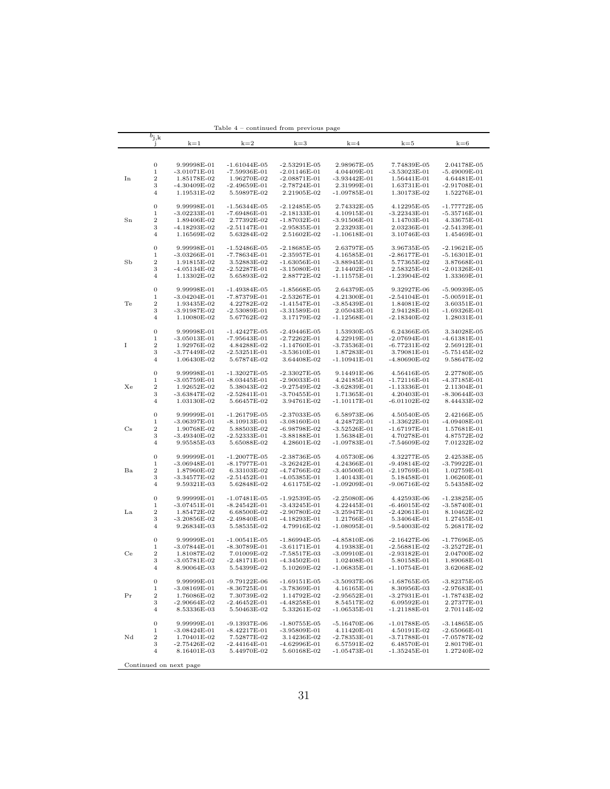|             |                      |                               | Table 4                          | continued from previous page     |                               |                                    |                                 |
|-------------|----------------------|-------------------------------|----------------------------------|----------------------------------|-------------------------------|------------------------------------|---------------------------------|
|             | $\overline{b}_{j,k}$ |                               |                                  |                                  |                               | $k=5$                              | $k=6$                           |
|             | J                    | $k=1$                         | $k=2$                            | $k=3$                            | $k=4$                         |                                    |                                 |
|             |                      |                               |                                  |                                  |                               |                                    |                                 |
|             | $\mathbf{0}$         | 9.99998E-01                   | $-1.61044E-05$                   | $-2.53291E-05$                   | 2.98967E-05                   | 7.74839E-05                        | 2.04178E-05                     |
|             | $\,1$                | $-3.01071E-01$                | -7.59936E-01                     | $-2.01146E-01$                   | 4.04409E-01                   | $-3.53023E-01$                     | $-5.49009E-01$                  |
| In          | $\overline{2}$       | 1.85178E-02                   | 1.96270E-02                      | $-2.08871E-01$                   | $-3.93442E-01$                | 1.56441E-01                        | 4.64481E-01                     |
|             | 3                    | $-4.30409E-02$                | $-2.49659E-01$                   | $-2.78724E-01$                   | 2.31999E-01                   | 1.63731E-01                        | $-2.91708E-01$                  |
|             | $\overline{4}$       | 1.19531E-02                   | 5.59897E-02                      | 2.21905E-02                      | -1.09785E-01                  | 1.30173E-02                        | 1.52276E-01                     |
|             | $\boldsymbol{0}$     |                               |                                  |                                  |                               |                                    |                                 |
|             | $\,1$                | 9.99998E-01<br>$-3.02233E-01$ | $-1.56344E-05$<br>$-7.69486E-01$ | $-2.12485E-05$<br>$-2.18133E-01$ | 2.74332E-05<br>4.10915E-01    | 4.12295E-05<br>$-3.22343E-01$      | $-1.77772E-05$<br>-5.35716E-01  |
| Sn          | $\,2$                | 1.89406E-02                   | 2.77392E-02                      | $-1.87032E-01$                   | $-3.91506E-01$                | 1.14703E-01                        | 4.33675E-01                     |
|             | 3                    | $-4.18293E-02$                | $-2.51147E-01$                   | $-2.95835E-01$                   | 2.23293E-01                   | 2.03236E-01                        | -2.54139E-01                    |
|             | $\overline{4}$       | 1.16569E-02                   | 5.63284E-02                      | 2.51602E-02                      | $-1.10618E-01$                | 3.10746E-03                        | 1.45469E-01                     |
|             |                      |                               |                                  |                                  |                               |                                    |                                 |
|             | $\boldsymbol{0}$     | 9.99998E-01                   | $-1.52486E - 05$                 | $-2.18685E - 05$                 | 2.63797E-05                   | 3.96735E-05                        | $-2.19621E-05$                  |
|             | 1                    | $-3.03266E-01$                | $-7.78634E - 01$                 | $-2.35957E-01$                   | 4.16585E-01                   | $-2.86177E - 01$                   | $-5.16301E-01$                  |
| SЬ          | $\overline{2}$       | 1.91815E-02                   | 3.52883E-02                      | $-1.63056E - 01$                 | $-3.88945E - 01$              | 5.77365E-02                        | 3.87668E-01                     |
|             | 3<br>$\overline{4}$  | $-4.05134E-02$<br>1.13302E-02 | $-2.52287E-01$<br>5.65893E-02    | $-3.15080E-01$<br>2.88772E-02    | 2.14402E-01<br>$-1.11575E-01$ | 2.58325E-01<br>$-1.23904E-02$      | $-2.01326E-01$<br>1.33369E-01   |
|             |                      |                               |                                  |                                  |                               |                                    |                                 |
|             | $\boldsymbol{0}$     | 9.99998E-01                   | $-1.49384E-05$                   | $-1.85668E-05$                   | 2.64379E-05                   | 9.32927E-06                        | -5.90939E-05                    |
|             | $\,1$                | $-3.04204E-01$                | $-7.87379E - 01$                 | $-2.53267E-01$                   | 4.21300E-01                   | $-2.54104E-01$                     | $-5.00591E-01$                  |
| Te          | $\,2$                | 1.93435E-02                   | 4.22782E-02                      | $-1.41547E-01$                   | $-3.85439E-01$                | 1.84081E-02                        | 3.60351E-01                     |
|             | 3                    | $-3.91987E-02$                | $-2.53089E-01$                   | $-3.31589E-01$                   | 2.05043E-01                   | 2.94128E-01                        | -1.69326E-01                    |
| I           | $\overline{4}$       | 1.10080E-02                   | 5.67762E-02                      | 3.17179E-02                      | $-1.12568E-01$                | $-2.18340E-02$                     | 1.28031E-01                     |
|             |                      |                               |                                  |                                  |                               |                                    |                                 |
|             | $\boldsymbol{0}$     | 9.99998E-01<br>$-3.05013E-01$ | $-1.42427E-05$                   | $-2.49446E-05$                   | 1.53930E-05                   | 6.24366E-05<br>$-2.07694E - 01$    | 3.34028E-05                     |
|             | 1<br>$\,2$           | 1.92976E-02                   | $-7.95643E-01$<br>4.84288E-02    | $-2.72262E-01$<br>-1.14760E-01   | 4.22919E-01<br>-3.73536E-01   | $-6.77231E-02$                     | $-4.61381E-01$<br>$2.56912E-01$ |
|             | 3                    | $-3.77449E-02$                | $-2.53251E-01$                   | $-3.53610E-01$                   | 1.87283E-01                   | 3.79081E-01                        | $-5.75145E-02$                  |
|             | 4                    | 1.06430E-02                   | 5.67874E-02                      | 3.64408E-02                      | $-1.10941E-01$                | -4.80690E-02                       | 9.58647E-02                     |
|             |                      |                               |                                  |                                  |                               |                                    |                                 |
|             | $\boldsymbol{0}$     | 9.99998E-01                   | $-1.32027E - 05$                 | $-2.33027E-05$                   | 9.14491E-06                   | 4.56416E-05                        | 2.27780E-05                     |
|             | 1                    | $-3.05759E-01$                | $-8.03445E-01$                   | $-2.90033E-01$                   | 4.24185E-01                   | $-1.72116E-01$                     | $-4.37185E-01$                  |
| Xe          | $\,2$                | 1.92652E-02                   | 5.38043E-02                      | $-9.27549E-02$                   | $-3.62839E-01$                | $-1.13336E-01$                     | 2.11304E-01                     |
|             | 3                    | $-3.63847E-02$                | $-2.52841E-01$                   | $-3.70455E-01$                   | 1.71365E-01                   | 4.20403E-01                        | $-8.30644E-03$                  |
|             | $\overline{4}$       | 1.03130E-02                   | 5.66457E-02                      | 3.94761E-02                      | $-1.10117E-01$                | $-6.01102E-02$                     | 8.44433E-02                     |
|             | $\boldsymbol{0}$     | 9.99999E-01                   | $-1.26179E-05$                   | $-2.37033E-05$                   | 6.58973E-06                   | 4.50540E-05                        | 2.42166E-05                     |
|             | 1                    | $-3.06397E-01$                | $-8.10913E-01$                   | $-3.08160E-01$                   | 4.24872E-01                   | $-1.33622E-01$                     | $-4.09408E-01$                  |
| $_{\rm Cs}$ | $\,2$                | 1.90768E-02                   | 5.88503E-02                      | -6.98798E-02                     | $-3.52526E-01$                | -1.67197E-01                       | 1.57681E-01                     |
|             | 3                    | $-3.49340E-02$                | $-2.52333E-01$                   | $-3.88188E-01$                   | 1.56384E-01                   | 4.70278E-01                        | 4.87572E-02                     |
|             | $\overline{4}$       | 9.95585E-03                   | 5.65088E-02                      | 4.28601E-02                      | $-1.09783E-01$                | $-7.54609E-02$                     | 7.01232E-02                     |
|             |                      |                               |                                  |                                  |                               |                                    |                                 |
|             | $\boldsymbol{0}$     | 9.99999E-01                   | $-1.20077E-05$                   | $-2.38736E - 05$                 | 4.05730E-06                   | 4.32277E-05                        | 2.42538E-05                     |
| Ba          | $\,1$<br>$\,2$       | $-3.06948E-01$<br>1.87960E-02 | $-8.17977E-01$<br>6.33103E-02    | $-3.26242E-01$<br>-4.74766E-02   | 4.24366E-01<br>$-3.40500E-01$ | $-9.49814E-02$<br>$-2.19769E - 01$ | $-3.79922E-01$<br>1.02759E-01   |
|             | 3                    | $-3.34577E-02$                | $-2.51452E-01$                   | $-4.05385E - 01$                 | 1.40143E-01                   | 5.18458E-01                        | 1.06260E-01                     |
|             | $\overline{4}$       | 9.59321E-03                   | 5.62848E-02                      | 4.61175E-02                      | -1.09209E-01                  | -9.06716E-02                       | 5.54358E-02                     |
|             |                      |                               |                                  |                                  |                               |                                    |                                 |
|             | $\mathbf{0}$         | 9.99999E-01                   | $-1.07481E-05$                   | $-1.92539E-05$                   | $-2.25080E-06$                | 4.42593E-06                        | $-1.23825E-05$                  |
|             | $\,1$                | $-3.07451E-01$                | $-8.24542E-01$                   | $-3.43245E-01$                   | 4.22445E-01                   | $-6.46015E-02$                     | $-3.58740E-01$                  |
| La          | $\,2$                | 1.85472E-02                   | 6.68500E-02                      | $-2.90780E-02$                   | $-3.25947E-01$                | $-2.42061E-01$                     | 8.10462E-02                     |
|             | 3                    | $-3.20856E-02$                | $-2.49840E-01$<br>5.58535E-02    | $-4.18293E-01$                   | 1.21766E-01                   | 5.34064E-01                        | 1.27455E-01<br>5.26817E-02      |
|             | $\overline{4}$       | 9.26834E-03                   |                                  | 4.79916E-02                      | $-1.08095E-01$                | $-9.54003E-02$                     |                                 |
|             | $\mathbf{0}$         | 9.99999E-01                   | $-1.00541E-05$                   | $-1.86994E-05$                   | $-4.85810E-06$                | $-2.16427E-06$                     | $-1.77696E-05$                  |
|             | $\,1$                | $-3.07844E-01$                | $-8.30789E - 01$                 | $-3.61171E-01$                   | 4.19383E-01                   | $-2.56881E-02$                     | $-3.25272E-01$                  |
| Сe          | $\,2$                | 1.81087E-02                   | 7.01009E-02                      | $-7.58517E-03$                   | $-3.09910E - 01$              | $-2.93182E-01$                     | 2.04700E-02                     |
|             | 3                    | $-3.05781E-02$                | $-2.48171E-01$                   | $-4.34502E-01$                   | 1.02408E-01                   | 5.80158E-01                        | 1.89068E-01                     |
|             | $\overline{4}$       | 8.90064E-03                   | 5.54399E-02                      | 5.10269E-02                      | $-1.06835E-01$                | $-1.10754E-01$                     | 3.62068E-02                     |
|             |                      |                               |                                  |                                  |                               |                                    |                                 |
|             | 0                    | 9.99999E-01                   | $-9.79122E-06$                   | $-1.69151E-05$                   | -3.50937E-06                  | $-1.68765E-05$                     | $-3.82375E-05$                  |
|             | $\,1$<br>$\,2$       | $-3.08169E-01$                | $-8.36725E - 01$<br>7.30739E-02  | $-3.78369E-01$                   | 4.16165E-01<br>$-2.95652E-01$ | 8.30956E-03                        | $-2.97683E-01$                  |
| Pr          | 3                    | 1.76086E-02<br>$-2.90664E-02$ | $-2.46452E-01$                   | 1.14792E-02<br>-4.48258E-01      | 8.54517E-02                   | $-3.27931E-01$<br>6.09592E-01      | -1.78743E-02<br>2.27377E-01     |
|             | $\overline{4}$       | 8.53336E-03                   | 5.50463E-02                      | 5.33261E-02                      | $-1.06535E-01$                | $-1.21188E-01$                     | 2.70114E-02                     |
|             |                      |                               |                                  |                                  |                               |                                    |                                 |
|             | $\boldsymbol{0}$     | 9.99999E-01                   | $-9.13937E-06$                   | $-1.80755E-05$                   | $-5.16470E-06$                | $-1.01788E-05$                     | $-3.14865E-05$                  |
|             | $\,1$                | $-3.08424E-01$                | $-8.42217E-01$                   | $-3.95809E-01$                   | 4.11420E-01                   | 4.50191E-02                        | $-2.65066E-01$                  |
| Nd          | $\boldsymbol{2}$     | 1.70401E-02                   | 7.52877E-02                      | 3.14236E-02                      | -2.78353E-01                  | $-3.71788E-01$                     | -7.05787E-02                    |
|             | 3<br>$\overline{4}$  | $-2.75426E-02$                | $-2.44164E-01$<br>5.44970E-02    | $-4.62996E - 01$                 | 6.57591E-02                   | 6.48570E-01                        | 2.80179E-01                     |
|             |                      | 8.16401E-03                   |                                  | 5.60168E-02                      | $-1.05473E-01$                | $-1.35245E-01$                     | 1.27240E-02                     |
|             |                      | Continued on next page        |                                  |                                  |                               |                                    |                                 |

Table 4 – continued from previous page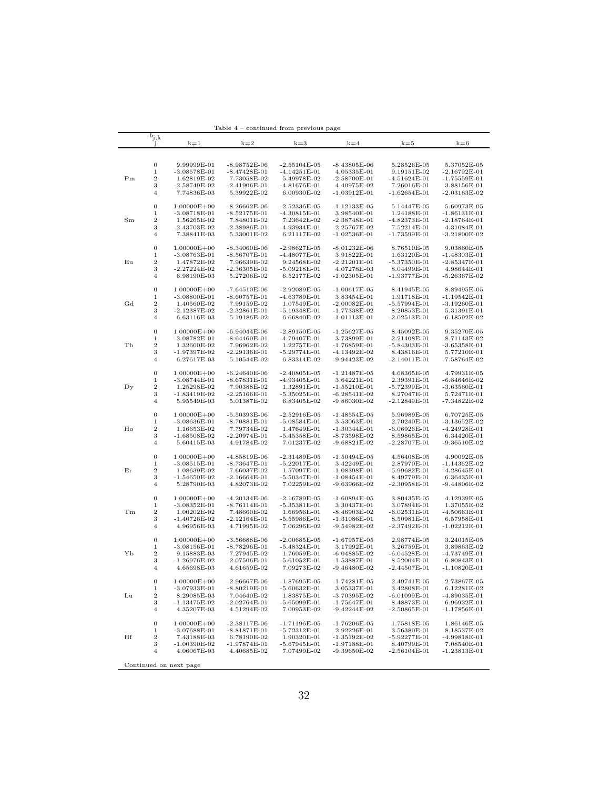|             | $b_{j,k}$<br>J.                 | $k=1$                             | $k=2$                            | $k=3$                            | $k=4$                            | $k = 5$                       | $k = 6$                        |
|-------------|---------------------------------|-----------------------------------|----------------------------------|----------------------------------|----------------------------------|-------------------------------|--------------------------------|
|             |                                 |                                   |                                  |                                  |                                  |                               |                                |
|             |                                 |                                   |                                  |                                  |                                  |                               |                                |
|             | $\boldsymbol{0}$<br>$\mathbf 1$ | 9.99999E-01                       | -8.98752E-06                     | $-2.55104E-05$                   | $-8.43805E-06$                   | 5.28526E-05                   | 5.37052E-05                    |
| Pm          | $\overline{2}$                  | $-3.08578E-01$<br>1.62819E-02     | $-8.47428E-01$<br>7.73058E-02    | $-4.14251E-01$<br>5.49978E-02    | 4.05335E-01<br>$-2.58700E - 01$  | 9.19151E-02<br>$-4.51624E-01$ | $-2.16792E-01$<br>-1.75559E-01 |
|             | 3                               | -2.58749E-02                      | -2.41906E-01                     | -4.81676E-01                     | 4.40975E-02                      | 7.26016E-01                   | 3.88156E-01                    |
|             | $\overline{4}$                  | 7.74836E-03                       | 5.39922E-02                      | 6.00930E-02                      | $-1.03912E-01$                   | $-1.62654E-01$                | $-2.03163E-02$                 |
|             |                                 |                                   |                                  |                                  |                                  |                               |                                |
|             | $\boldsymbol{0}$                | $1.00000E + 00$                   | -8.26662E-06                     | -2.52336E-05                     | $-1.12133E-05$                   | 5.14447E-05                   | 5.60973E-05                    |
|             | $\mathbf 1$                     | $-3.08718E-01$                    | $-8.52175E-01$                   | $-4.30815E-01$                   | 3.98540E-01                      | 1.24188E-01                   | $-1.86131E-01$                 |
| Sm          | $\overline{2}$                  | 1.56265E-02                       | 7.84801E-02                      | 7.23642E-02                      | $-2.38748E - 01$                 | -4.82373E-01                  | $-2.18764E-01$                 |
|             | 3                               | -2.43703E-02                      | $-2.38986E - 01$                 | -4.93934E-01                     | 2.25767E-02                      | 7.52214E-01                   | 4.31084E-01                    |
|             | $\overline{4}$                  | 7.38841E-03                       | 5.33001E-02                      | 6.21117E-02                      | $-1.02536E-01$                   | $-1.73599E - 01$              | $-3.21800E-02$                 |
|             |                                 |                                   |                                  |                                  |                                  |                               |                                |
|             | $\boldsymbol{0}$<br>1           | $1.00000E + 00$                   | $-8.34060E-06$                   | $-2.98627E-05$                   | $-8.01232E-06$                   | 8.76510E-05                   | 9.03860E-05                    |
| Eu          | $\boldsymbol{2}$                | -3.08763E-01<br>1.47872E-02       | -8.56707E-01<br>7.96639E-02      | -4.48077E-01<br>9.24568E-02      | 3.91822E-01<br>$-2.21201E-01$    | 1.63120E-01<br>-5.37350E-01   | -1.48303E-01<br>$-2.85347E-01$ |
|             | 3                               | $-2.27224E-02$                    | $-2.36305E-01$                   | $-5.09218E-01$                   | 4.07278E-03                      | 8.04499E-01                   | 4.98644E-01                    |
|             | 4                               | 6.98190E-03                       | 5.27206E-02                      | 6.52177E-02                      | -1.02305E-01                     | $-1.93777E-01$                | $-5.26367E-02$                 |
|             |                                 |                                   |                                  |                                  |                                  |                               |                                |
|             | $\boldsymbol{0}$                | $1.00000E + 00$                   | -7.64510E-06                     | $-2.92089E-05$                   | $-1.00617E-05$                   | 8.41945E-05                   | 8.89495E-05                    |
|             | 1                               | $-3.08800E-01$                    | $-8.60757E-01$                   | $-4.63789E-01$                   | 3.83454E-01                      | 1.91718E-01                   | -1.19542E-01                   |
| Gd          | $\boldsymbol{2}$                | 1.40560E-02                       | 7.99159E-02                      | 1.07549E-01                      | $-2.00082E-01$                   | -5.57994E-01                  | $-3.19260E-01$                 |
|             | 3                               | $-2.12387E-02$                    | $-2.32861E-01$                   | $-5.19348E-01$                   | $-1.77338E-02$                   | 8.20853E-01                   | 5.31391E-01                    |
|             | $\overline{4}$                  | 6.63116E-03                       | 5.19186E-02                      | 6.66840E-02                      | -1.01113E-01                     | $-2.02513E-01$                | $-6.18592E-02$                 |
|             |                                 |                                   | $-6.94044E-06$                   |                                  |                                  | 8.45092E-05                   |                                |
|             | $\boldsymbol{0}$<br>1           | $1.00000E + 00$<br>$-3.08782E-01$ | $-8.64460E-01$                   | $-2.89150E-05$<br>-4.79407E-01   | $-1.25627E-05$<br>3.73899E-01    | 2.21408E-01                   | 9.35270E-05<br>$-8.71143E-02$  |
| TЬ          | $\boldsymbol{2}$                | 1.32660E-02                       | 7.96962E-02                      | 1.22757E-01                      | $-1.76859E - 01$                 | -5.84303E-01                  | $-3.65358E-01$                 |
|             | 3                               | $-1.97397E-02$                    | $-2.29136E-01$                   | $-5.29774E-01$                   | $-4.13492E-02$                   | 8.43816E-01                   | 5.77210E-01                    |
|             | $\overline{4}$                  | 6.27617E-03                       | 5.10544E-02                      | 6.83314E-02                      | -9.94423E-02                     | $-2.14011E-01$                | $-7.58764E-02$                 |
|             |                                 |                                   |                                  |                                  |                                  |                               |                                |
|             | 0                               | $1.00000E + 00$                   | $-6.24640E-06$                   | $-2.40805E-05$                   | $-1.21487E-05$                   | 4.68365E-05                   | 4.79931E-05                    |
|             | $\mathbf 1$                     | $-3.08744E-01$                    | -8.67831E-01                     | $-4.93405E-01$                   | 3.64221E-01                      | 2.39391E-01                   | $-6.84646E-02$                 |
| $_{\rm Dy}$ | $\boldsymbol{2}$                | 1.25298E-02                       | 7.90388E-02                      | 1.32891E-01                      | $-1.55210E-01$                   | $-5.72399E-01$                | $-3.63560E-01$                 |
|             | 3<br>$\overline{4}$             | -1.83419E-02                      | $-2.25166E-01$                   | $-5.35025E-01$                   | -6.28541E-02<br>$-9.86030E - 02$ | 8.27047E-01                   | 5.72471E-01                    |
|             |                                 | 5.95549E-03                       | 5.01387E-02                      | 6.83405E-02                      |                                  | -2.12849E-01                  | -7.34822E-02                   |
|             | 0                               | $1.00000E + 00$                   | $-5.50393E-06$                   | $-2.52916E-05$                   | $-1.48554E-05$                   | 5.96989E-05                   | 6.70725E-05                    |
|             | $\mathbf 1$                     | -3.08636E-01                      | -8.70881E-01                     | $-5.08584E-01$                   | 3.53063E-01                      | 2.70240E-01                   | $-3.13652E-02$                 |
| Ho          | $\boldsymbol{2}$                | 1.16653E-02                       | 7.79734E-02                      | 1.47649E-01                      | $-1.30344E-01$                   | $-6.06926E-01$                | $-4.24928E-01$                 |
|             | 3                               | -1.68508E-02                      | -2.20974E-01                     | -5.45358E-01                     | -8.73598E-02                     | 8.59865E-01                   | 6.34420E-01                    |
|             | $\overline{4}$                  | 5.60415E-03                       | 4.91784E-02                      | 7.01237E-02                      | -9.68821E-02                     | $-2.28707E-01$                | $-9.36510E-02$                 |
|             |                                 |                                   |                                  |                                  |                                  |                               |                                |
|             | 0<br>$\mathbf 1$                | $1.00000E + 00$                   | $-4.85819E-06$                   | $-2.31489E-05$                   | $-1.50494E-05$                   | 4.56408E-05                   | 4.90092E-05                    |
| Εr          | $\boldsymbol{2}$                | -3.08515E-01<br>1.08639E-02       | -8.73647E-01<br>7.66037E-02      | $-5.22017E-01$<br>1.57097E-01    | 3.42249E-01<br>$-1.08398E-01$    | 2.87970E-01<br>$-5.99682E-01$ | -1.14362E-02<br>$-4.28645E-01$ |
|             | 3                               | -1.54650E-02                      | $-2.16664E-01$                   | -5.50347E-01                     | -1.08454E-01                     | 8.49779E-01                   | 6.36435E-01                    |
|             | $\overline{4}$                  | 5.28790E-03                       | 4.82073E-02                      | 7.02259E-02                      | -9.63966E-02                     | $-2.30958E-01$                | $-9.44806E-02$                 |
|             |                                 |                                   |                                  |                                  |                                  |                               |                                |
|             | $\boldsymbol{0}$                | $1.00000E + 00$                   | -4.20134E-06                     | $-2.16789E-05$                   | $-1.60894E-05$                   | 3.80435E-05                   | 4.12939E-05                    |
|             | $\mathbf 1$                     | -3.08352E-01                      | $-8.76114E-01$                   | $-5.35381E-01$                   | 3.30437E-01                      | 3.07894E-01                   | 1.37055E-02                    |
| Tm          | $\overline{2}$                  | 1.00202E-02                       | 7.48660E-02                      | 1.66956E-01                      | $-8.46903E-02$                   | $-6.02531E-01$                | $-4.50663E-01$                 |
|             | 3                               | -1.40726E-02                      | -2.12164E-01                     | -5.55986E-01                     | $-1.31086E-01$                   | 8.50981E-01                   | 6.57958E-01                    |
|             | $\overline{4}$                  | 4.96956E-03                       | 4.71995E-02                      | 7.06296E-02                      | -9.54982E-02                     | $-2.37492E - 01$              | $-1.02212E-01$                 |
|             | $\boldsymbol{0}$                | $1.00000E + 00$                   | $-3.56688E-06$                   | $-2.00685E-05$                   | $-1.67957E-05$                   | 2.98774E-05                   | 3.24015E-05                    |
|             | 1                               | $-3.08156E-01$                    | $-8.78296E-01$                   | $-5.48324E-01$                   | 3.17992E-01                      | 3.26759E-01                   | 3.89863E-02                    |
| YЬ          | $\overline{2}$                  | 9.15883E-03                       | 7.27945E-02                      | 1.76059E-01                      | -6.04885E-02                     | $-6.04528E-01$                | -4.73749E-01                   |
|             | 3                               | $-1.26976E-02$                    | $-2.07506E - 01$                 | -5.61052E-01                     | -1.53887E-01                     | 8.52004E-01                   | 6.80843E-01                    |
|             | 4                               | 4.65698E-03                       | 4.61659E-02                      | 7.09273E-02                      | $-9.46480E - 02$                 | $-2.44507E-01$                | $-1.10820E-01$                 |
|             |                                 |                                   |                                  |                                  |                                  |                               |                                |
|             | 0<br>1                          | $1.00000E + 00$<br>$-3.07933E-01$ | $-2.96667E-06$<br>$-8.80219E-01$ | $-1.87695E-05$<br>$-5.60632E-01$ | $-1.74281E-05$<br>3.05337E-01    | 2.49741E-05<br>3.42808E-01    | 2.73867E-05<br>6.12281E-02     |
|             | $\boldsymbol{2}$                | 8.29085E-03                       | 7.04640E-02                      | 1.83875E-01                      | $-3.70395E-02$                   | $-6.01099E-01$                | -4.89035E-01                   |
| Lu          | 3                               | $-1.13475E-02$                    | $-2.02764E-01$                   | $-5.65099E-01$                   | $-1.75647E-01$                   | 8.48873E-01                   | 6.96932E-01                    |
|             | $\overline{4}$                  | 4.35207E-03                       | 4.51294E-02                      | 7.09953E-02                      | $-9.42244E-02$                   | $-2.50865E-01$                | $-1.17856E-01$                 |
|             |                                 |                                   |                                  |                                  |                                  |                               |                                |
|             | 0                               | $1.00000E + 00$                   | $-2.38117E-06$                   | $-1.71196E-05$                   | $-1.76206E-05$                   | 1.75818E-05                   | 1.86146E-05                    |
|             | $\mathbf 1$                     | $-3.07688E - 01$                  | $-8.81871E-01$                   | $-5.72312E-01$                   | 2.92226E-01                      | 3.56380E-01                   | 8.18537E-02                    |
| Hf          | $\,2$<br>3                      | 7.43188E-03<br>$-1.00390E-02$     | 6.78190E-02<br>$-1.97874E-01$    | 1.90320E-01<br>$-5.67945E-01$    | $-1.35192E-02$<br>$-1.97188E-01$ | $-5.92277E-01$<br>8.40799E-01 | $-4.99818E-01$                 |
|             | 4                               | 4.06067E-03                       | 4.40685E-02                      | 7.07499E-02                      | $-9.39650E-02$                   | $-2.56104E-01$                | 7.08540E-01<br>$-1.23813E-01$  |
|             |                                 |                                   |                                  |                                  |                                  |                               |                                |
|             |                                 | Continued on next page            |                                  |                                  |                                  |                               |                                |

Table 4 – continued from previous page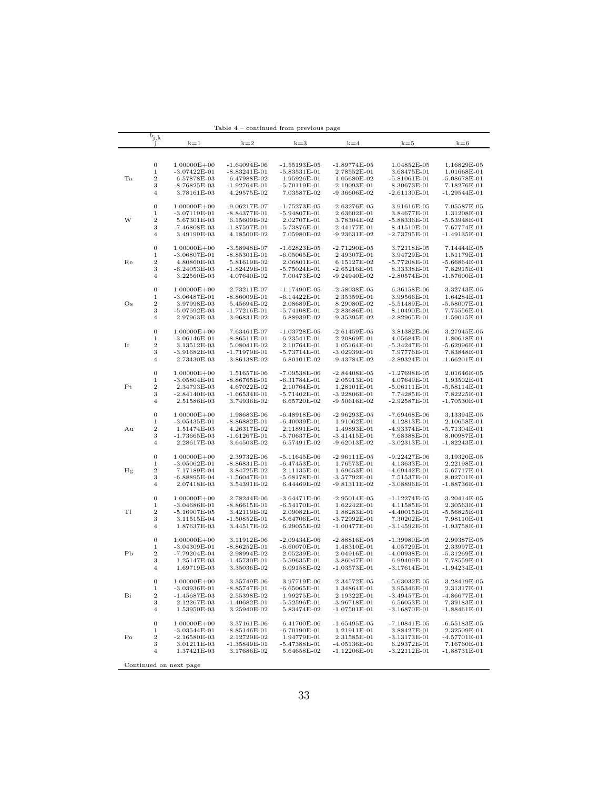|                     | $b_{j,k}$<br>$\mathbf{J}$ | $k=1$                               | $k=2$                            | $k=3$                            | $k=4$                              | $k=5$                           | $k=6$                         |
|---------------------|---------------------------|-------------------------------------|----------------------------------|----------------------------------|------------------------------------|---------------------------------|-------------------------------|
|                     |                           |                                     |                                  |                                  |                                    |                                 |                               |
|                     |                           |                                     |                                  |                                  |                                    |                                 |                               |
|                     | $\boldsymbol{0}$<br>$\,1$ | $1.00000E + 00$<br>$-3.07422E-01$   | $-1.64094E-06$<br>$-8.83241E-01$ | $-1.55193E-05$<br>$-5.83531E-01$ | $-1.89774E-05$<br>2.78552E-01      | 1.04852E-05<br>3.68475E-01      | 1.16829E-05<br>1.01668E-01    |
| Ta                  | $\,2$                     | 6.57878E-03                         | 6.47988E-02                      | 1.95926E-01                      | 1.05680E-02                        | $-5.81061E-01$                  | $-5.08678E-01$                |
| W<br>Re<br>Os<br>Ir | 3                         | -8.76825E-03                        | -1.92764E-01                     | $-5.70119E-01$                   | -2.19093E-01                       | 8.30673E-01                     | 7.18276E-01                   |
|                     | $\overline{4}$            | 3.78161E-03                         | 4.29575E-02                      | 7.03587E-02                      | -9.36606E-02                       | $-2.61130E-01$                  | $-1.29544E-01$                |
|                     |                           |                                     |                                  |                                  |                                    |                                 |                               |
|                     | $\boldsymbol{0}$          | $1.00000E + 00$                     | $-9.06217E-07$                   | -1.75273E-05                     | $-2.63276E-05$                     | 3.91616E-05                     | 7.05587E-05                   |
|                     | $\mathbf{1}$              | $-3.07119E-01$                      | -8.84377E-01                     | -5.94807E-01                     | 2.63602E-01                        | 3.84677E-01                     | 1.31208E-01                   |
|                     | $\,2$<br>3                | 5.67301E-03<br>-7.46868E-03         | 6.15609E-02<br>-1.87597E-01      | 2.02707E-01<br>-5.73876E-01      | 3.78304E-02<br>-2.44177E-01        | $-5.88336E - 01$<br>8.41510E-01 | $-5.53948E-01$<br>7.67774E-01 |
|                     | $\overline{4}$            | 3.49199E-03                         | 4.18500E-02                      | 7.05980E-02                      | $-9.23631E-02$                     | $-2.73795E-01$                  | $-1.49135E-01$                |
|                     |                           |                                     |                                  |                                  |                                    |                                 |                               |
|                     | $\boldsymbol{0}$          | $1.00000E + 00$                     | $-3.58948E-07$                   | $-1.62823E-05$                   | $-2.71290E-05$                     | 3.72118E-05                     | 7.14444E-05                   |
|                     | $\mathbf{1}$              | $-3.06807E - 01$                    | $-8.85301E-01$                   | $-6.05065E-01$                   | 2.49307E-01                        | 3.94729E-01                     | 1.51179E-01                   |
|                     | $\,2$<br>3                | 4.80860E-03<br>-6.24053E-03         | 5.81619E-02<br>$-1.82429E-01$    | 2.06801E-01                      | 6.15127E-02<br>$-2.65216E-01$      | $-5.77208E - 01$<br>8.33338E-01 | $-5.66864E-01$<br>7.82915E-01 |
|                     | 4                         | 3.22560E-03                         | 4.07640E-02                      | -5.75024E-01<br>7.00473E-02      | $-9.24940E-02$                     | $-2.80574E-01$                  | $-1.57600E-01$                |
|                     |                           |                                     |                                  |                                  |                                    |                                 |                               |
|                     | $\boldsymbol{0}$          | $1.00000E + 00$                     | 2.73211E-07                      | -1.17490E-05                     | $-2.58038E-05$                     | 6.36158E-06                     | 3.32743E-05                   |
|                     | $\,1$                     | $-3.06487E-01$                      | $-8.86009E-01$                   | $-6.14422E-01$                   | 2.35359E-01                        | 3.99566E-01                     | 1.64284E-01                   |
|                     | $\,2$                     | 3.97998E-03                         | 5.45694E-02                      | 2.08689E-01                      | 8.29080E-02                        | $-5.51489E-01$                  | $-5.58007E-01$                |
|                     | 3<br>$\overline{4}$       | -5.07592E-03<br>2.97963E-03         | -1.77216E-01<br>3.96831E-02      | -5.74108E-01<br>6.88939E-02      | $-2.83686E - 01$<br>$-9.35395E-02$ | 8.10490E-01<br>$-2.82965E-01$   | 7.75556E-01<br>$-1.59015E-01$ |
|                     |                           |                                     |                                  |                                  |                                    |                                 |                               |
|                     | $\boldsymbol{0}$          | $1.00000E + 00$                     | 7.63461E-07                      | $-1.03728E-05$                   | $-2.61459E-05$                     | 3.81382E-06                     | 3.27945E-05                   |
|                     | $\mathbf{1}$              | $-3.06146E - 01$                    | $-8.86511E-01$                   | $-6.23541E-01$                   | 2.20869E-01                        | 4.05684E-01                     | 1.80618E-01                   |
|                     | $\,2$                     | 3.13512E-03                         | 5.08041E-02                      | 2.10764E-01                      | 1.05164E-01                        | -5.34247E-01                    | -5.62996E-01                  |
|                     | 3                         | $-3.91682E-03$                      | -1.71979E-01                     | -5.73714E-01                     | $-3.02939E-01$                     | 7.97776E-01                     | 7.83848E-01                   |
|                     | 4                         | 2.73430E-03                         | 3.86138E-02                      | 6.80101E-02                      | $-9.43784E-02$                     | $-2.89324E-01$                  | $-1.66201E-01$                |
|                     | $\boldsymbol{0}$          | $1.00000E + 00$                     | 1.51657E-06                      | -7.09538E-06                     | $-2.84408E-05$                     | $-1.27698E-05$                  | 2.01646E-05                   |
|                     | 1                         | $-3.05804E - 01$                    | $-8.86765E-01$                   | $-6.31784E-01$                   | 2.05913E-01                        | 4.07649E-01                     | 1.93502E-01                   |
| Pt                  | $\,2$                     | 2.34793E-03                         | 4.67022E-02                      | 2.10764E-01                      | 1.28101E-01                        | -5.06111E-01                    | $-5.58114E-01$                |
|                     | 3                         | $-2.84140E-03$                      | $-1.66534E-01$                   | $-5.71402E-01$                   | $-3.22806E - 01$                   | 7.74285E-01                     | 7.82225E-01                   |
|                     | 4                         | 2.51586E-03                         | 3.74936E-02                      | 6.65720E-02                      | $-9.50616E - 02$                   | $-2.92587E - 01$                | $-1.70530E - 01$              |
|                     | $\boldsymbol{0}$          | $1.00000E + 00$                     | 1.98683E-06                      | $-6.48918E-06$                   | $-2.96293E-05$                     | -7.69468E-06                    | 3.13394E-05                   |
|                     | 1                         | $-3.05435E - 01$                    | $-8.86882E-01$                   | $-6.40039E-01$                   | 1.91062E-01                        | 4.12813E-01                     | 2.10658E-01                   |
| Αu                  | $\,2$                     | 1.51474E-03                         | 4.26317E-02                      | 2.11891E-01                      | 1.49893E-01                        | -4.93374E-01                    | -5.71304E-01                  |
|                     | 3                         | $-1.73665E-03$                      | $-1.61267E-01$                   | $-5.70637E-01$                   | $-3.41415E-01$                     | 7.68388E-01                     | 8.00987E-01                   |
|                     | $\overline{4}$            | 2.28617E-03                         | 3.64503E-02                      | 6.57491E-02                      | $-9.62013E-02$                     | $-3.02313E-01$                  | $-1.82243E-01$                |
|                     | $\boldsymbol{0}$          | $1.00000E + 00$                     | 2.39732E-06                      | $-5.11645E-06$                   | $-2.96111E-05$                     | $-9.22427E-06$                  | 3.19320E-05                   |
|                     | 1                         | $-3.05062E-01$                      | $-8.86831E-01$                   | -6.47453E-01                     | 1.76573E-01                        | 4.13633E-01                     | 2.22198E-01                   |
| Hg                  | $\,2$                     | 7.17189E-04                         | 3.84725E-02                      | 2.11135E-01                      | 1.69653E-01                        | -4.69442E-01                    | -5.67717E-01                  |
|                     | 3                         | $-6.88895E-04$                      | $-1.56047E-01$                   | $-5.68178E-01$                   | $-3.57792E-01$                     | 7.51537E-01                     | 8.02701E-01                   |
|                     | $\overline{4}$            | 2.07418E-03                         | 3.54391E-02                      | 6.44469E-02                      | -9.81311E-02                       | -3.08896E-01                    | -1.88736E-01                  |
|                     | $\boldsymbol{0}$          | $1.00000E + 00$                     | 2.78244E-06                      | $-3.64471E-06$                   | $-2.95014E-05$                     | $-1.12274E-05$                  | 3.20414E-05                   |
|                     | $\,1$                     | $-3.04686E - 01$                    | $-8.86615E-01$                   | $-6.54170E-01$                   | 1.62242E-01                        | 4.11585E-01                     | 2.30563E-01                   |
| Tl                  | $\boldsymbol{2}$          | $-5.16907E-05$                      | 3.42119E-02                      | 2.09082E-01                      | 1.88283E-01                        | $-4.40015E-01$                  | $-5.56825E-01$                |
|                     | 3                         | 3.11515E-04                         | $-1.50852E-01$                   | $-5.64706E-01$                   | $-3.72992E-01$                     | 7.30202E-01                     | 7.98110E-01                   |
|                     | $\overline{4}$            | 1.87637E-03                         | 3.44517E-02                      | 6.29055E-02                      | -1.00477E-01                       | -3.14592E-01                    | -1.93758E-01                  |
|                     | $\boldsymbol{0}$          | $1.00000E + 00$                     | 3.11912E-06                      | $-2.09434E-06$                   | $-2.88816E-05$                     | $-1.39980E-05$                  | 2.99387E-05                   |
|                     | $\,1$                     | $-3.04309E-01$                      | $-8.86252E-01$                   | $-6.60070E-01$                   | 1.48310E-01                        | 4.05729E-01                     | 2.33997E-01                   |
| РЬ                  | $\boldsymbol{2}$          | $-7.79204E-04$                      | 2.98994E-02                      | 2.05239E-01                      | 2.04916E-01                        | $-4.00938E-01$                  | $-5.31269E - 01$              |
|                     | 3                         | 1.25147E-03                         | $-1.45730E-01$                   | $-5.59635E-01$                   | $-3.86047E - 01$                   | 6.99409E-01                     | 7.78559E-01                   |
|                     | $\overline{4}$            | 1.69719E-03                         | 3.35036E-02                      | 6.09158E-02                      | $-1.03573E-01$                     | -3.17614E-01                    | $-1.94234E-01$                |
|                     | 0                         | $1.00000E + 00$                     | 3.35749E-06                      | 3.97719E-06                      | -2.34572E-05                       | -5.63032E-05                    | $-3.28419E-05$                |
|                     | 1                         | $-3.03936E - 01$                    | $-8.85747E-01$                   | $-6.65065E-01$                   | 1.34864E-01                        | 3.95346E-01                     | 2.31317E-01                   |
| Bi                  | $\,2$                     | $-1.45687E-03$                      | 2.55398E-02                      | 1.99275E-01                      | 2.19322E-01                        | $-3.49457E-01$                  | $-4.86677E - 01$              |
|                     | 3                         | 2.12267E-03                         | $-1.40682E-01$                   | $-5.52596E-01$                   | $-3.96718E-01$                     | 6.56053E-01                     | 7.39183E-01                   |
|                     | $\,4\,$                   | 1.53950E-03                         | 3.25940E-02                      | 5.83474E-02                      | $-1.07501E-01$                     | $-3.16870E - 01$                | $-1.88461E-01$                |
|                     | $\boldsymbol{0}$          |                                     |                                  |                                  |                                    |                                 | $-6.55183E-05$                |
|                     | $\,1$                     | $1.00000E + 00$<br>$-3.03544E - 01$ | 3.37161E-06<br>$-8.85146E-01$    | 6.41700E-06<br>$-6.70190E-01$    | $-1.65495E-05$<br>1.21911E-01      | $-7.10841E-05$<br>3.88427E-01   | 2.32509E-01                   |
| P <sub>O</sub>      | $\,2$                     | $-2.16580E-03$                      | 2.12729E-02                      | 1.94779E-01                      | 2.31585E-01                        | $-3.13173E-01$                  | $-4.57701E-01$                |
|                     | 3                         | 3.01211E-03                         | $-1.35849E-01$                   | $-5.47388E - 01$                 | $-4.05136E-01$                     | 6.29372E-01                     | 7.16760E-01                   |
|                     | $\overline{4}$            | 1.37421E-03                         | $3.17686{\rm E}\mbox{-}02$       | 5.64658E-02                      | $-1.12206E-01$                     | $-3.22112E-01$                  | $-1.88731E-01$                |
|                     |                           | Continued on next page              |                                  |                                  |                                    |                                 |                               |
|                     |                           |                                     |                                  |                                  |                                    |                                 |                               |

Table 4 – continued from previous page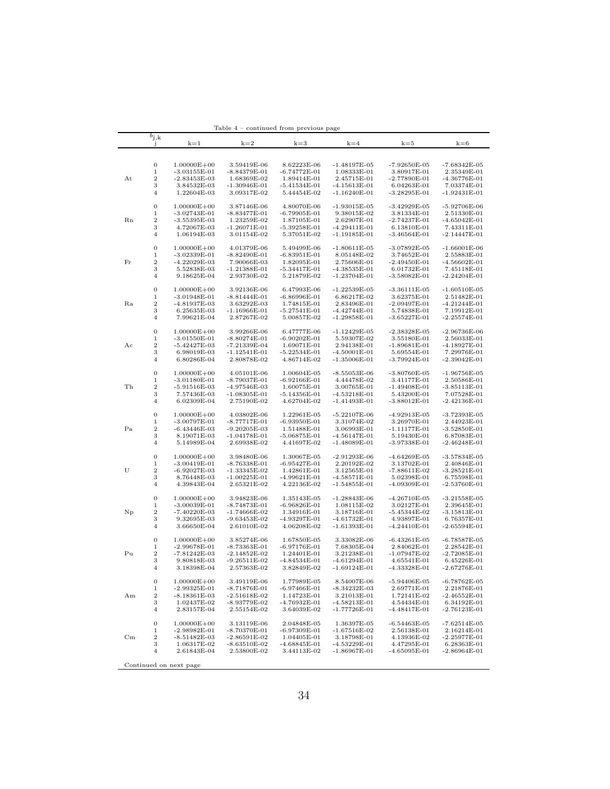|             |                     |                                   | lable 4                         | - continued from previous page |                                  |                                 |                               |
|-------------|---------------------|-----------------------------------|---------------------------------|--------------------------------|----------------------------------|---------------------------------|-------------------------------|
|             | $b_{\rm j,k}$<br>J  | $k=1$                             | $k=2$                           | $k=3$                          | $k=4$                            | $k=5$                           | $k=6$                         |
|             |                     |                                   |                                 |                                |                                  |                                 |                               |
|             |                     |                                   |                                 |                                |                                  |                                 |                               |
|             | $\boldsymbol{0}$    | $1.00000E + 00$                   | 3.59419E-06                     | 8.62223E-06                    | $-1.48197E-05$                   | $-7.92650E-05$                  | $-7.68342E - 05$              |
|             | 1                   | $-3.03155E-01$                    | $-8.84379E-01$                  | $-6.74772E-01$                 | 1.08333E-01                      | 3.80917E-01                     | 2.35349E-01                   |
| At          | $\,2$               | $-2.83453E-03$                    | 1.68369E-02                     | 1.89414E-01                    | 2.45715E-01                      | $-2.77890E-01$                  | -4.36776E-01                  |
|             | 3<br>4              | 3.84532E-03<br>1.22604E-03        | $-1.30946E - 01$<br>3.09317E-02 | $-5.41534E-01$<br>5.44454E-02  | -4.15613E-01<br>$-1.16240E-01$   | 6.04263E-01<br>$-3.28295E-01$   | 7.03374E-01<br>$-1.92431E-01$ |
|             |                     |                                   |                                 |                                |                                  |                                 |                               |
|             | $\boldsymbol{0}$    | $1.00000E + 00$                   | 3.87146E-06                     | 4.80070E-06                    | $-1.93015E-05$                   | $-3.42929E-05$                  | $-5.92706E-06$                |
|             | 1                   | $-3.02743E-01$                    | $-8.83477E-01$                  | $-6.79905E-01$                 | 9.38015E-02                      | 3.81334E-01                     | 2.51330E-01                   |
| Rn          | $\,2$               | $-3.55395E-03$                    | 1.23259E-02                     | 1.87105E-01                    | 2.62907E-01                      | $-2.74237E-01$                  | $-4.65042E-01$                |
|             | 3                   | 4.72067E-03                       | $-1.26071E-01$                  | $-5.39258E-01$                 | -4.29411E-01                     | 6.13810E-01                     | 7.43311E-01                   |
|             | 4                   | 1.06194E-03                       | 3.01154E-02                     | 5.37051E-02                    | $-1.19185E-01$                   | $-3.46564E-01$                  | $-2.14447E - 01$              |
|             | $\boldsymbol{0}$    | $1.00000E + 00$                   | 4.01379E-06                     | 5.49499E-06                    | $-1.80611E-05$                   | $-3.07892E-05$                  | $-1.66001E-06$                |
|             | $\,1$               | $-3.02339E - 01$                  | $-8.82490E-01$                  | $-6.83951E-01$                 | 8.05148E-02                      | 3.74652E-01                     | 2.55883E-01                   |
| Fr          | $\,2$               | $-4.22029E-03$                    | 7.90066E-03                     | 1.82095E-01                    | 2.75606E-01                      | -2.49450E-01                    | -4.56602E-01                  |
|             | 3                   | 5.52838E-03                       | $-1.21388E-01$                  | $-5.34417E-01$                 | $-4.38535E-01$                   | 6.01732E-01                     | 7.45118E-01                   |
|             | $\overline{4}$      | 9.18625E-04                       | 2.93730E-02                     | 5.21879E-02                    | -1.23704E-01                     | -3.58082E-01                    | -2.24204E-01                  |
|             |                     |                                   |                                 |                                |                                  |                                 |                               |
|             | $\boldsymbol{0}$    | $1.00000E + 00$                   | 3.92136E-06                     | 6.47993E-06                    | $-1.22539E-05$                   | $-3.36111E-05$                  | $-1.60510E-05$                |
|             | $\,1\,$             | $-3.01948E-01$                    | $-8.81444E-01$                  | $-6.86996E-01$                 | 6.86217E-02                      | 3.62375E-01                     | 2.51482E-01                   |
| Ra          | $\,2$<br>3          | -4.81937E-03                      | 3.63292E-03                     | 1.74815E-01                    | 2.83496E-01<br>-4.42744E-01      | $-2.09497E-01$<br>5.74838E-01   | -4.21244E-01<br>7.19912E-01   |
|             | $\overline{4}$      | 6.25635E-03<br>7.99621E-04        | -1.16966E-01<br>2.87267E-02     | -5.27541E-01<br>5.00857E-02    | $-1.29858E-01$                   | -3.65227E-01                    | -2.25574E-01                  |
|             |                     |                                   |                                 |                                |                                  |                                 |                               |
|             | $\mathbf{0}$        | $1.00000E + 00$                   | 3.99266E-06                     | 6.47777E-06                    | $-1.12429E-05$                   | $-2.38328E-05$                  | $-2.96736E-06$                |
|             | $\,1$               | $-3.01550E-01$                    | $-8.80274E-01$                  | $-6.90202E-01$                 | 5.59307E-02                      | 3.55180E-01                     | 2.56033E-01                   |
| Aс          | $\,2$               | $-5.42427E-03$                    | $-7.21339E-04$                  | 1.69071E-01                    | 2.94138E-01                      | $-1.89681E-01$                  | $-4.18927E-01$                |
|             | 3                   | 6.98019E-03                       | $-1.12541E-01$                  | $-5.22534E-01$                 | $-4.50001E-01$                   | 5.69554E-01                     | 7.29976E-01                   |
|             | $\overline{4}$      | 6.80286E-04                       | 2.80878E-02                     | 4.86714E-02                    | $-1.35006E - 01$                 | -3.79924E-01                    | $-2.39042E-01$                |
|             | $\boldsymbol{0}$    |                                   | 4.05101E-06                     |                                |                                  | $-3.80760E-05$                  |                               |
|             | $\,1$               | $1.00000E + 00$<br>$-3.01180E-01$ | $-8.79037E-01$                  | 1.00604E-05<br>$-6.92166E-01$  | -8.55053E-06<br>4.44478E-02      | 3.41177E-01                     | $-1.96756E-05$<br>2.50586E-01 |
| Th          | $\,2$               | $-5.91516E-03$                    | -4.97546E-03                    | 1.60075E-01                    | 3.00765E-01                      | $-1.49408E-01$                  | $-3.85113E-01$                |
|             | 3                   | 7.57436E-03                       | $-1.08305E-01$                  | $-5.14356E - 01$               | -4.53218E-01                     | 5.43200E-01                     | 7.07528E-01                   |
|             | $\overline{4}$      | 6.02309E-04                       | 2.75190E-02                     | 4.62704E-02                    | $-1.41493E-01$                   | $-3.88012E-01$                  | $-2.42136E-01$                |
|             |                     |                                   |                                 |                                |                                  |                                 |                               |
|             | $\boldsymbol{0}$    | $1.00000E + 00$                   | 4.03802E-06                     | 1.22961E-05                    | $-5.22107E-06$                   | $-4.92913E-05$                  | $-3.72393E-05$                |
|             | $\,1$               | $-3.00797E-01$                    | $-8.77717E-01$                  | $-6.93950E-01$                 | 3.31074E-02                      | 3.26970E-01                     | 2.44923E-01                   |
| Pa          | $\boldsymbol{2}$    | $-6.43446E-03$                    | -9.20205E-03                    | 1.51488E-01                    | 3.06993E-01                      | $-1.11177E-01$                  | -3.52850E-01                  |
|             | 3<br>$\overline{4}$ | 8.19071E-03                       | $-1.04178E-01$<br>2.69938E-02   | -5.06875E-01                   | -4.56147E-01                     | 5.19430E-01                     | 6.87083E-01                   |
|             |                     | 5.14989E-04                       |                                 | 4.41697E-02                    | -1.48089E-01                     | -3.97338E-01                    | $-2.46248E-01$                |
|             | $\boldsymbol{0}$    | $1.00000E + 00$                   | 3.98480E-06                     | 1.30067E-05                    | $-2.91293E-06$                   | $-4.64269E-05$                  | -3.57834E-05                  |
|             | $\,1$               | $-3.00419E-01$                    | $-8.76338E-01$                  | $-6.95427E-01$                 | 2.20192E-02                      | 3.13702E-01                     | 2.40846E-01                   |
| U           | $\,2$               | $-6.92027E-03$                    | $-1.33345E-02$                  | 1.42861E-01                    | 3.12565E-01                      | $-7.88611E-02$                  | $-3.28521E-01$                |
|             | 3                   | 8.76448E-03                       | $-1.00225E-01$                  | $-4.99621E-01$                 | -4.58571E-01                     | 5.02398E-01                     | 6.75598E-01                   |
|             | $\overline{4}$      | 4.39843E-04                       | 2.65321E-02                     | 4.22136E-02                    | $-1.54855E-01$                   | -4.09309E-01                    | $-2.53760E-01$                |
|             | $\boldsymbol{0}$    | $1.00000E + 00$                   | 3.94823E-06                     | 1.35143E-05                    | -1.28843E-06                     | $-4.26710E-05$                  | $-3.21558E-05$                |
|             | $\,1$               | $-3.00039E-01$                    | $-8.74873E-01$                  | $-6.96826E-01$                 | 1.08115E-02                      | 3.02127E-01                     | 2.39645E-01                   |
| $_{\rm Np}$ | $\boldsymbol{2}$    | $-7.40220E-03$                    | -1.74666E-02                    | 1.34916E-01                    | 3.18716E-01                      | -5.45344E-02                    | $-3.15813E-01$                |
|             | 3                   | 9.32695E-03                       | -9.63453E-02                    | -4.93297E-01                   | -4.61732E-01                     | 4.93897E-01                     | 6.76357E-01                   |
|             | $\overline{4}$      | 3.66650E-04                       | 2.61010E-02                     | 4.06208E-02                    | $-1.61393E-01$                   | $-4.24410E-01$                  | $-2.65594E-01$                |
|             |                     |                                   |                                 |                                |                                  |                                 |                               |
|             | $\boldsymbol{0}$    | $1.00000E + 00$                   | 3.85274E-06                     | 1.67850E-05                    | 3.33082E-06                      | $-6.43261E-05$                  | -6.78587E-05                  |
|             | 1                   | $-2.99678E - 01$                  | $-8.73363E-01$                  | $-6.97176E-01$                 | 7.68305E-04                      | 2.84062E-01                     | 2.28542E-01                   |
| Pu          | $\,2$               | $-7.81242E-03$                    | $-2.14852E-02$                  | 1.24401E-01                    | 3.21238E-01                      | $-1.07947E-02$                  | -2.72085E-01                  |
|             | 3<br>$\overline{4}$ | 9.80818E-03<br>3.18398E-04        | $-9.26511E-02$<br>2.57363E-02   | -4.84534E-01<br>3.82849E-02    | $-4.61294E-01$<br>$-1.69124E-01$ | 4.65541E-01<br>$-4.33328E - 01$ | 6.45226E-01<br>$-2.67276E-01$ |
|             |                     |                                   |                                 |                                |                                  |                                 |                               |
|             | $\boldsymbol{0}$    | $1.00000E + 00$                   | 3.49119E-06                     | 1.77989E-05                    | 8.54007E-06                      | $-5.94406E-05$                  | $-6.78762E-05$                |
|             | 1                   | $-2.99325E-01$                    | $-8.71876E-01$                  | $-6.97466E-01$                 | -8.34232E-03                     | 2.69771E-01                     | 2.21876E-01                   |
| Αm          | $\,2$               | $-8.18361E-03$                    | $-2.51618E-02$                  | 1.14723E-01                    | 3.21013E-01                      | 1.72141E-02                     | $-2.46552E-01$                |
|             | 3                   | 1.02437E-02                       | -8.93779E-02                    | -4.76932E-01                   | $-4.58213E-01$                   | 4.54434E-01                     | 6.34192E-01                   |
|             | $\overline{4}$      | 2.83157E-04                       | 2.55154E-02                     | 3.64039E-02                    | -1.77726E-01                     | -4.48417E-01                    | $-2.76123E-01$                |
|             | $\boldsymbol{0}$    |                                   |                                 |                                |                                  |                                 | $-7.62514E-05$                |
|             | $\,1$               | $1.00000E + 00$<br>$-2.98982E-01$ | 3.13119E-06<br>$-8.70370E-01$   | 2.04848E-05<br>-6.97309E-01    | 1.36397E-05<br>-1.67516E-02      | -6.54463E-05<br>2.56138E-01     | 2.16214E-01                   |
| $_{\rm Cm}$ | $\,2$               | $-8.51482E-03$                    | $-2.86591E-02$                  | 1.04405E-01                    | 3.18798E-01                      | 4.13936E-02                     | -2.25977E-01                  |
|             | 3                   | 1.06317E-02                       | $-8.63510E-02$                  | $-4.68845E-01$                 | $-4.53229E-01$                   | 4.47295E-01                     | 6.28363E-01                   |
|             | $\overline{4}$      | 2.61843E-04                       | 2.53800E-02                     | 3.44113E-02                    | -1.86967E-01                     | -4.65095E-01                    | $-2.86964E-01$                |
|             |                     |                                   |                                 |                                |                                  |                                 |                               |
|             |                     | Continued on next page            |                                 |                                |                                  |                                 |                               |

Table 4 – continued from previous page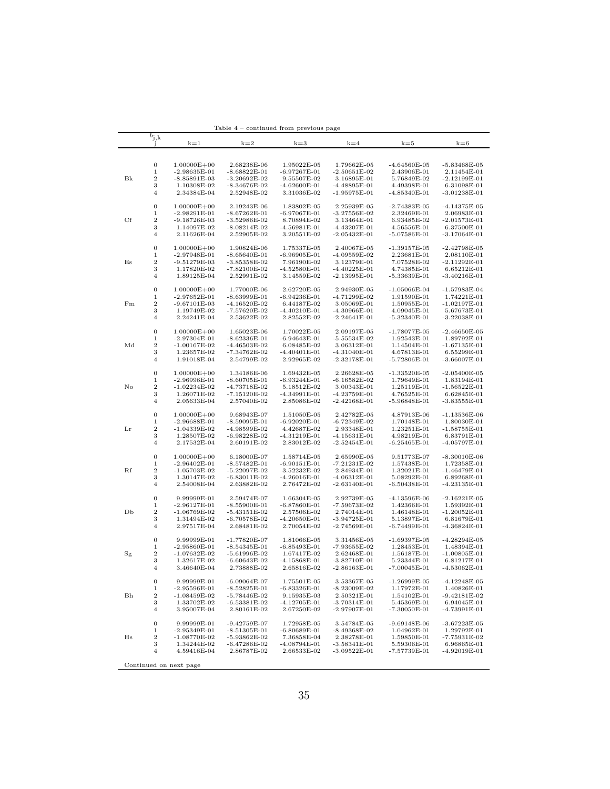|           |                                 |                                     | 1able 4                          | – continued from previous page |                                |                                 |                               |
|-----------|---------------------------------|-------------------------------------|----------------------------------|--------------------------------|--------------------------------|---------------------------------|-------------------------------|
|           | $b_{\rm j,k}$<br>J              | $k=1$                               | $k=2$                            | $k=3$                          | $k=4$                          | $k=5$                           | $k=6$                         |
|           |                                 |                                     |                                  |                                |                                |                                 |                               |
|           |                                 |                                     |                                  |                                |                                |                                 |                               |
|           | $\boldsymbol{0}$                | $1.00000E + 00$                     | 2.68238E-06                      | 1.95022E-05                    | 1.79662E-05                    | $-4.64560E-05$                  | $-5.83468E-05$                |
|           | 1                               | $-2.98635E-01$                      | $-8.68822E-01$                   | $-6.97267E-01$                 | $-2.50651E-02$                 | 2.43906E-01                     | 2.11454E-01                   |
| Bk        | $\,2$                           | $-8.85891E-03$                      | $-3.20692E-02$                   | 9.55507E-02                    | 3.16895E-01                    | 5.76849E-02                     | $-2.12199E-01$                |
|           | 3                               | 1.10308E-02<br>2.34384E-04          | $-8.34676E-02$                   | $-4.62600E-01$<br>3.31036E-02  | $-4.48895E-01$                 | 4.49398E-01<br>$-4.85340E - 01$ | 6.31098E-01                   |
|           | 4                               |                                     | 2.52948E-02                      |                                | $-1.95975E-01$                 |                                 | $-3.01238E-01$                |
|           | $\boldsymbol{0}$                | $1.00000E + 00$                     | 2.19243E-06                      | 1.83802E-05                    | 2.25939E-05                    | $-2.74383E-05$                  | $-4.14375E-05$                |
|           | 1                               | $-2.98291E-01$                      | $-8.67262E-01$                   | $-6.97067E-01$                 | $-3.27556E-02$                 | 2.32469E-01                     | 2.06983E-01                   |
| Cf        | $\,2$                           | $-9.18726E - 03$                    | $-3.52986E - 02$                 | 8.70894E-02                    | 3.13464E-01                    | 6.93485E-02                     | -2.01573E-01                  |
|           | 3                               | 1.14097E-02                         | $-8.08214E-02$                   | $-4.56981E-01$                 | $-4.43207E-01$                 | 4.56556E-01                     | 6.37500E-01                   |
|           | 4                               | 2.11626E-04                         | 2.52905E-02                      | 3.20551E-02                    | $-2.05432E - 01$               | $-5.07586E - 01$                | $-3.17064E-01$                |
|           |                                 |                                     |                                  |                                |                                |                                 |                               |
|           | $\boldsymbol{0}$<br>$\mathbf 1$ | $1.00000E + 00$<br>$-2.97948E - 01$ | 1.90824E-06<br>$-8.65640E-01$    | 1.75337E-05<br>$-6.96905E-01$  | 2.40067E-05<br>$-4.09559E-02$  | $-1.39157E-05$<br>2.23681E-01   | $-2.42798E-05$<br>2.08110E-01 |
| Es        | $\,2$                           | $-9.51279E-03$                      | $-3.85358E-02$                   | 7.96190E-02                    | 3.12379E-01                    | 7.07528E-02                     | $-2.11292E-01$                |
|           | 3                               | 1.17820E-02                         | $-7.82100E-02$                   | $-4.52580E - 01$               | $-4.40225E - 01$               | 4.74385E-01                     | 6.65212E-01                   |
|           | $\overline{4}$                  | 1.89125E-04                         | 2.52991E-02                      | 3.14559E-02                    | -2.13995E-01                   | -5.33639E-01                    | -3.40216E-01                  |
|           |                                 |                                     |                                  |                                |                                |                                 |                               |
|           | $\boldsymbol{0}$                | $1.00000E + 00$                     | 1.77000E-06                      | 2.62720E-05                    | 2.94930E-05                    | $-1.05066E-04$                  | $-1.57983E-04$                |
|           | $\mathbf 1$                     | $-2.97652E-01$                      | $-8.63999E-01$                   | $-6.94236E-01$                 | -4.71299E-02                   | 1.91590E-01                     | 1.74221E-01                   |
| $\rm{Fm}$ | $\boldsymbol{2}$<br>3           | $-9.67101E-03$<br>1.19749E-02       | $-4.16520E-02$<br>$-7.57620E-02$ | 6.44187E-02<br>$-4.40210E-01$  | 3.05069E-01<br>-4.30966E-01    | 1.50955E-01                     | $-1.02197E-01$<br>5.67673E-01 |
|           | $\overline{4}$                  | 2.24241E-04                         | 2.53622E-02                      | 2.82552E-02                    | $-2.24641E-01$                 | 4.09045E-01<br>-5.32340E-01     | -3.22038E-01                  |
|           |                                 |                                     |                                  |                                |                                |                                 |                               |
|           | $\boldsymbol{0}$                | $1.00000E + 00$                     | 1.65023E-06                      | 1.70022E-05                    | 2.09197E-05                    | $-1.78077E-05$                  | $-2.46650E-05$                |
|           | $\mathbf 1$                     | $-2.97304E-01$                      | $-8.62336E-01$                   | $-6.94643E-01$                 | $-5.55534E-02$                 | 1.92543E-01                     | 1.89792E-01                   |
| Md        | $\,2$                           | $-1.00167E-02$                      | $-4.46503E-02$                   | 6.08485E-02                    | 3.06312E-01                    | 1.14504E-01                     | $-1.67135E-01$                |
|           | 3                               | 1.23657E-02                         | -7.34762E-02                     | $-4.40401E-01$                 | $-4.31040E - 01$               | 4.67813E-01                     | 6.55299E-01                   |
|           | $\overline{4}$                  | 1.91018E-04                         | 2.54799E-02                      | 2.92965E-02                    | $-2.32178E-01$                 | $-5.72806E - 01$                | -3.66007E-01                  |
|           | $\boldsymbol{0}$                | $1.00000E + 00$                     | 1.34186E-06                      | 1.69432E-05                    | 2.26628E-05                    | $-1.33520E-05$                  | $-2.05400E-05$                |
|           | $\mathbf 1$                     | $-2.96996E-01$                      | $-8.60705E-01$                   | -6.93244E-01                   | $-6.16582E-02$                 | 1.79649E-01                     | 1.83194E-01                   |
| No        | $\,2$                           | $-1.02234E-02$                      | $-4.73718E-02$                   | 5.18512E-02                    | 3.00343E-01                    | 1.25119E-01                     | $-1.56522E-01$                |
|           | 3                               | 1.26071E-02                         | $-7.15120E-02$                   | -4.34991E-01                   | -4.23759E-01                   | 4.76525E-01                     | 6.62845E-01                   |
|           | $\overline{4}$                  | 2.05633E-04                         | 2.57040E-02                      | 2.85086E-02                    | $-2.42168E-01$                 | $-5.96848E-01$                  | $-3.83555E-01$                |
|           |                                 |                                     |                                  |                                |                                |                                 |                               |
|           | $\boldsymbol{0}$                | $1.00000E + 00$                     | 9.68943E-07                      | 1.51050E-05                    | 2.42782E-05                    | 4.87913E-06                     | $-1.13536E-06$                |
| Lr        | $\mathbf 1$<br>$\boldsymbol{2}$ | $-2.96688E-01$<br>$-1.04339E-02$    | -8.59095E-01<br>-4.98599E-02     | $-6.92020E-01$<br>4.42687E-02  | $-6.72349E-02$<br>2.93348E-01  | 1.70148E-01<br>1.23251E-01      | 1.80030E-01<br>-1.58755E-01   |
|           | 3                               | 1.28507E-02                         | -6.98228E-02                     | $-4.31219E-01$                 | -4.15631E-01                   | 4.98219E-01                     | 6.83791E-01                   |
|           | $\overline{4}$                  | 2.17532E-04                         | 2.60191E-02                      | 2.83012E-02                    | $-2.52454E-01$                 | $-6.25465E-01$                  | -4.05797E-01                  |
|           |                                 |                                     |                                  |                                |                                |                                 |                               |
|           | $\boldsymbol{0}$                | $1.00000E + 00$                     | 6.18000E-07                      | 1.58714E-05                    | 2.65990E-05                    | 9.51773E-07                     | $-8.30010E-06$                |
|           | $\mathbf 1$                     | $-2.96402E-01$                      | $-8.57482E-01$                   | $-6.90151E-01$                 | $-7.21231E-02$                 | 1.57438E-01                     | 1.72358E-01                   |
| Rf        | $\overline{2}$                  | $-1.05703E-02$                      | $-5.22097E-02$                   | 3.52232E-02                    | 2.84934E-01                    | 1.32021E-01                     | $-1.46479E-01$                |
|           | 3<br>$\overline{4}$             | 1.30147E-02<br>2.54008E-04          | $-6.83011E-02$<br>2.63882E-02    | $-4.26016E-01$<br>2.76472E-02  | -4.06312E-01<br>$-2.63140E-01$ | 5.08292E-01<br>$-6.50438E-01$   | 6.89268E-01<br>$-4.23135E-01$ |
|           |                                 |                                     |                                  |                                |                                |                                 |                               |
|           | $\boldsymbol{0}$                | 9.99999E-01                         | 2.59474E-07                      | 1.66304E-05                    | 2.92739E-05                    | $-4.13596E-06$                  | $-2.16221E-05$                |
|           | $\mathbf 1$                     | $-2.96127E-01$                      | $-8.55900E-01$                   | $-6.87860E-01$                 | -7.59673E-02                   | 1.42366E-01                     | 1.59392E-01                   |
| Db        | $\boldsymbol{2}$                | $-1.06769E-02$                      | $-5.43151E-02$                   | 2.57506E-02                    | 2.74014E-01                    | 1.46148E-01                     | $-1.20052E-01$                |
|           | 3                               | 1.31494E-02                         | -6.70578E-02                     | -4.20650E-01                   | -3.94725E-01                   | 5.13897E-01                     | 6.81679E-01                   |
|           | $\overline{4}$                  | 2.97517E-04                         | 2.68481E-02                      | 2.70054E-02                    | $-2.74569E - 01$               | $-6.74499E-01$                  | $-4.36824E-01$                |
|           | $\boldsymbol{0}$                | 9.99999E-01                         | $-1.77820E-07$                   | 1.81066E-05                    | 3.31456E-05                    | $-1.69397E-05$                  | $-4.28294E-05$                |
|           | 1                               | $-2.95860E-01$                      | $-8.54345E - 01$                 | $-6.85493E-01$                 | -7.93655E-02                   | 1.28453E-01                     | 1.48394E-01                   |
| Sg        | $\boldsymbol{2}$                | $-1.07632E-02$                      | -5.61996E-02                     | 1.67417E-02                    | 2.62468E-01                    | 1.56187E-01                     | -1.00805E-01                  |
|           | 3                               | 1.32617E-02                         | $-6.60643E-02$                   | $-4.15868E - 01$               | $-3.82710E-01$                 | 5.23344E-01                     | 6.81217E-01                   |
|           | 4                               | 3.46640E-04                         | 2.73888E-02                      | 2.65816E-02                    | $-2.86163E-01$                 | $-7.00045E-01$                  | $-4.53062E-01$                |
|           |                                 | 9.99999E-01                         |                                  |                                | 3.53367E-05                    |                                 | $-4.12248E-05$                |
|           | $\boldsymbol{0}$<br>$\mathbf 1$ | $-2.95596E-01$                      | $-6.09064E-07$<br>$-8.52825E-01$ | 1.75501E-05<br>$-6.83326E-01$  | -8.23009E-02                   | $-1.26999E-05$<br>1.17972E-01   | 1.40826E-01                   |
| Bh        | $\,2$                           | $-1.08459E-02$                      | -5.78446E-02                     | 9.15935E-03                    | 2.50321E-01                    | 1.54102E-01                     | $-9.42181E-02$                |
|           | 3                               | 1.33702E-02                         | $-6.53381E-02$                   | $-4.12705E-01$                 | $-3.70314E-01$                 | 5.45369E-01                     | 6.94045E-01                   |
|           | 4                               | 3.95007E-04                         | 2.80161E-02                      | 2.67250E-02                    | $-2.97907E-01$                 | $-7.30050E-01$                  | -4.73991E-01                  |
|           |                                 |                                     |                                  |                                |                                |                                 |                               |
|           | $\boldsymbol{0}$                | 9.99999E-01                         | $-9.42759E-07$                   | 1.72958E-05                    | 3.54784E-05                    | $-9.69148E-06$                  | $-3.67223E-05$                |
|           | $\mathbf 1$                     | $-2.95349E-01$                      | $-8.51305E-01$                   | $-6.80689E-01$                 | $-8.49368E-02$                 | 1.04962E-01                     | 1.29792E-01                   |
| Hs        | $\boldsymbol{2}$<br>3           | $-1.08770E-02$<br>1.34244E-02       | $-5.93862E-02$<br>$-6.47286E-02$ | 7.36858E-04<br>$-4.08794E-01$  | 2.38278E-01<br>$-3.58341E-01$  | 1.59850E-01<br>5.59306E-01      | -7.75931E-02<br>6.96865E-01   |
|           | $\overline{4}$                  | 4.59416E-04                         | 2.86787E-02                      | 2.66533E-02                    | $-3.09522E-01$                 | -7.57739E-01                    | -4.92019E-01                  |
|           |                                 |                                     |                                  |                                |                                |                                 |                               |
|           |                                 | Continued on next page              |                                  |                                |                                |                                 |                               |

Table 4 – continued from previous page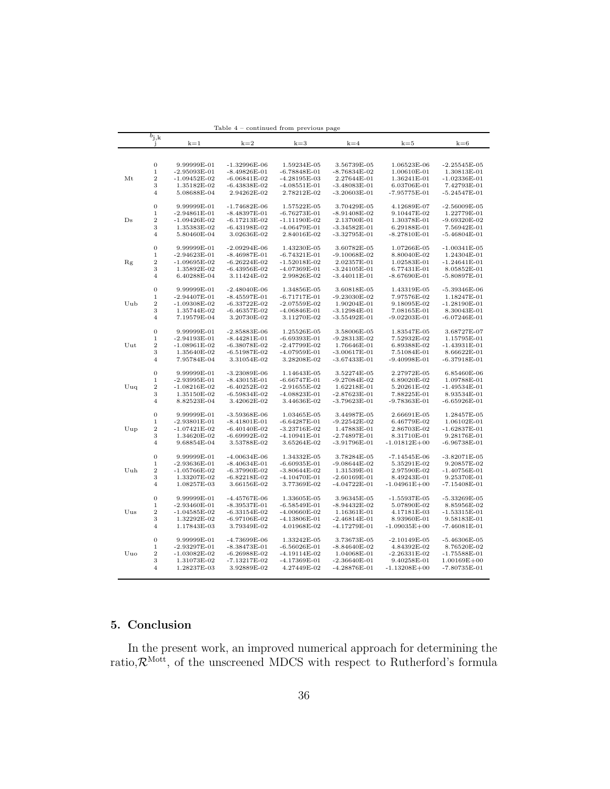|                                                    | $b_{j,k}$<br>Ĵ      | $k=1$                              | $k=2$                              | $k=3$                            | $k=4$                         | $k=5$                      | $k=6$                         |
|----------------------------------------------------|---------------------|------------------------------------|------------------------------------|----------------------------------|-------------------------------|----------------------------|-------------------------------|
|                                                    |                     |                                    |                                    |                                  |                               |                            |                               |
|                                                    |                     |                                    |                                    |                                  |                               |                            |                               |
|                                                    | $\mathbf{0}$        | 9.99999E-01                        | $-1.32996E-06$                     | 1.59234E-05                      | 3.56739E-05                   | 1.06523E-06                | $-2.25545E-05$                |
|                                                    | $\,1$               | $-2.95093E-01$                     | $-8.49826E - 01$                   | $-6.78848E - 01$                 | $-8.76834E-02$                | 1.00610E-01                | 1.30813E-01                   |
| Mt                                                 | $\overline{2}$      | $-1.09452E-02$                     | $-6.06841E-02$                     | $-4.28195E-03$                   | 2.27644E-01                   | 1.36241E-01                | $-1.02336E-01$                |
|                                                    | 3                   | 1.35182E-02                        | $-6.43838E-02$                     | $-4.08551E-01$                   | $-3.48083E-01$                | 6.03706E-01                | 7.42793E-01                   |
| Ds<br>Rg<br>Uub<br>Uut<br>Uuq<br>Uup<br>Uuh<br>Uus | $\overline{4}$      | 5.08688E-04                        | 2.94262E-02                        | 2.78212E-02                      | $-3.20603E-01$                | $-7.95775E-01$             | $-5.24547E-01$                |
|                                                    |                     |                                    |                                    |                                  |                               |                            |                               |
|                                                    | $\overline{0}$      | 9.99999E-01                        | $-1.74682E-06$                     | 1.57522E-05                      | 3.70429E-05                   | 4.12689E-07                | $-2.56009E-05$                |
|                                                    | $\mathbf 1$         | $-2.94861E-01$                     | $-8.48397E-01$                     | $-6.76273E-01$                   | $-8.91408E-02$                | 9.10447E-02                | 1.22779E-01                   |
|                                                    | $\,2$               | $-1.09426E-02$                     | $-6.17213E-02$                     | $-1.11190E-02$                   | 2.13700E-01                   | 1.30378E-01                | $-9.69320E-02$                |
|                                                    | 3                   | 1.35383E-02                        | -6.43198E-02                       | $-4.06479E-01$                   | $-3.34582E - 01$              | 6.29188E-01                | 7.56942E-01                   |
|                                                    | $\overline{4}$      | 5.80460E-04                        | 3.02636E-02                        | 2.84016E-02                      | $-3.32795E - 01$              | $-8.27810E-01$             | $-5.46804E-01$                |
|                                                    |                     |                                    |                                    |                                  |                               |                            |                               |
|                                                    | $\mathbf 0$         | 9.99999E-01                        | $-2.09294E-06$                     | 1.43230E-05                      | 3.60782E-05                   | 1.07266E-05                | $-1.00341E-05$                |
|                                                    | $\,1$               | $-2.94623E-01$                     | $-8.46987E-01$                     | $-6.74321E-01$                   | $-9.10068E - 02$              | 8.80040E-02                | 1.24304E-01                   |
|                                                    | $\,2$               | $-1.09695E-02$                     | $-6.26224E-02$                     | $-1.52018E-02$                   | 2.02357E-01                   | 1.02583E-01                | $-1.24641E-01$                |
|                                                    | 3                   | 1.35892E-02                        | $-6.43956E - 02$                   | $-4.07369E - 01$                 | $-3.24105E - 01$              | 6.77431E-01                | 8.05852E-01                   |
|                                                    | $\overline{4}$      | 6.40288E-04                        | 3.11424E-02                        | 2.99826E-02                      | $-3.44011E-01$                | $-8.67690E-01$             | $-5.80897E-01$                |
|                                                    |                     |                                    |                                    |                                  |                               |                            |                               |
|                                                    | $\mathbf{0}$        | 9.99999E-01                        | $-2.48040E-06$                     | 1.34856E-05                      | 3.60818E-05                   | 1.43319E-05                | $-5.39346E-06$                |
|                                                    | $\mathbf{1}$        | $-2.94407E - 01$                   | $-8.45597E - 01$                   | $-6.71717E-01$                   | $-9.23030E - 02$              | 7.97576E-02                | 1.18247E-01                   |
|                                                    | $\overline{2}$      | $-1.09308E - 02$                   | $-6.33722E-02$                     | $-2.07559E-02$                   | 1.90204E-01                   | 9.18095E-02                | $-1.28190E-01$                |
|                                                    | 3<br>$\overline{4}$ | 1.35744E-02                        | $-6.46357E-02$                     | $-4.06846E - 01$                 | $-3.12984E-01$                | 7.08165E-01                | 8.30043E-01                   |
|                                                    |                     | 7.19579E-04                        | 3.20730E-02                        | 3.11270E-02                      | $-3.55492E-01$                | $-9.02203E-01$             | $-6.07246E-01$                |
|                                                    | $\overline{0}$      | 9.99999E-01                        | $-2.85883E-06$                     | 1.25526E-05                      | 3.58006E-05                   | 1.83547E-05                | 3.68727E-07                   |
|                                                    | $\,1$               | $-2.94193E-01$                     | $-8.44281E-01$                     | $-6.69393E-01$                   | $-9.28313E-02$                | 7.52932E-02                | 1.15795E-01                   |
|                                                    | $\overline{2}$      | $-1.08961E-02$                     | $-6.38078E-02$                     | $-2.47799E-02$                   | 1.76646E-01                   | 6.89388E-02                | $-1.43931E-01$                |
|                                                    | 3                   | 1.35640E-02                        | -6.51987E-02                       | -4.07959E-01                     | $-3.00617E-01$                | 7.51084E-01                | 8.66622E-01                   |
|                                                    | $\overline{4}$      | 7.95784E-04                        | 3.31054E-02                        | 3.28208E-02                      | $-3.67433E-01$                | $-9.40998E - 01$           | $-6.37918E - 01$              |
|                                                    |                     |                                    |                                    |                                  |                               |                            |                               |
|                                                    | $\mathbf 0$         | 9.99999E-01                        | $-3.23089E-06$                     | 1.14643E-05                      | 3.52274E-05                   | 2.27972E-05                | 6.85460E-06                   |
|                                                    | $\,1$               | $-2.93995E-01$                     | $-8.43015E-01$                     | $-6.66747E-01$                   | $-9.27084E-02$                | 6.89020E-02                | 1.09788E-01                   |
|                                                    | $\,2$               | $-1.08216E-02$                     | $-6.40252E-02$                     | $-2.91655E-02$                   | 1.62218E-01                   | 5.20261E-02                | $-1.49534E-01$                |
|                                                    | 3                   | 1.35150E-02                        | $-6.59834E-02$                     | $-4.08823E-01$                   | $-2.87623E - 01$              | 7.88225E-01                | 8.93534E-01                   |
|                                                    | $\overline{4}$      | 8.82523E-04                        | 3.42062E-02                        | 3.44636E-02                      | $-3.79623E - 01$              | $-9.78363E - 01$           | $-6.65926E-01$                |
|                                                    |                     |                                    |                                    |                                  |                               |                            |                               |
|                                                    | $\mathbf 0$         | 9.99999E-01                        | $-3.59368E-06$                     | 1.03465E-05                      | 3.44987E-05                   | 2.66691E-05                | 1.28457E-05                   |
|                                                    | $\,1\,$             | $-2.93801E - 01$                   | $-8.41801E-01$                     | $-6.64287E-01$                   | $-9.22542E-02$                | 6.46779E-02                | 1.06102E-01                   |
|                                                    | $\overline{2}$      | $-1.07421E-02$                     | $-6.40140E-02$                     | $-3.23716E-02$                   | 1.47883E-01                   | 2.86703E-02                | $-1.62837E-01$                |
|                                                    | 3                   | 1.34620E-02                        | $-6.69992E-02$                     | $-4.10941E-01$                   | $-2.74897E - 01$              | 8.31710E-01                | 9.28176E-01                   |
|                                                    | $\overline{4}$      | 9.68854E-04                        | 3.53788E-02                        | 3.65264E-02                      | $-3.91796E - 01$              | $-1.01812E + 00$           | $-6.96738E-01$                |
|                                                    |                     |                                    |                                    |                                  |                               |                            |                               |
|                                                    | $\overline{0}$      | 9.99999E-01                        | $-4.00634E-06$                     | 1.34332E-05                      | 3.78284E-05                   | $-7.14545E-06$             | $-3.82071E-05$                |
|                                                    | $\,1$               | $-2.93636E - 01$                   | $-8.40634E-01$                     | $-6.60935E-01$                   | $-9.08644E-02$                | 5.35291E-02                | 9.20857E-02                   |
|                                                    | $\overline{2}$      | $-1.05766E - 02$                   | $-6.37990E-02$                     | $-3.80644E-02$                   | 1.31539E-01                   | 2.97590E-02                | $-1.40756E-01$                |
|                                                    | 3                   | 1.33207E-02                        | $-6.82218E-02$                     | $-4.10470E-01$                   | $-2.60169E-01$                | 8.49243E-01                | 9.25370E-01                   |
|                                                    | $\overline{4}$      | 1.08257E-03                        | 3.66156E-02                        | 3.77369E-02                      | $-4.04722E-01$                | $-1.04961E + 00$           | $-7.15408E-01$                |
|                                                    | $\overline{0}$      |                                    | $-4.45767E-06$                     |                                  |                               |                            | $-5.33269E-05$                |
|                                                    | $\mathbf{1}$        | 9.99999E-01                        |                                    | 1.33605E-05                      | 3.96345E-05                   | $-1.55937E-05$             |                               |
|                                                    | $\overline{2}$      | $-2.93460E - 01$<br>$-1.04585E-02$ | $-8.39537E - 01$<br>$-6.33154E-02$ | $-6.58549E-01$<br>$-4.00660E-02$ | $-8.94432E-02$<br>1.16361E-01 | 5.07890E-02<br>4.17181E-03 | 8.85956E-02<br>$-1.53315E-01$ |
|                                                    | 3                   | 1.32292E-02                        | $-6.97106E-02$                     | $-4.13806E - 01$                 | $-2.46814E-01$                | 8.93960E-01                | 9.58183E-01                   |
|                                                    | $\overline{4}$      | 1.17843E-03                        | 3.79349E-02                        | 4.01968E-02                      | $-4.17279E - 01$              | $-1.09035E + 00$           | $-7.46081E-01$                |
|                                                    |                     |                                    |                                    |                                  |                               |                            |                               |
|                                                    | $\mathbf{0}$        | 9.99999E-01                        | $-4.73699E-06$                     | 1.33242E-05                      | 3.73673E-05                   | $-2.10149E-05$             | $-5.46306E-05$                |
|                                                    | $\,1$               | $-2.93297E-01$                     | $-8.38473E-01$                     | $-6.56026E-01$                   | $-8.84640E-02$                | 4.84392E-02                | 8.76520E-02                   |
| Uuo                                                | $\sqrt{2}$          | $-1.03082E - 02$                   | $-6.26988E-02$                     | $-4.19114E-02$                   | 1.04068E-01                   | $-2.26331E-02$             | $-1.75588E-01$                |
|                                                    | 3                   | 1.31073E-02                        | $-7.13217E-02$                     | $-4.17369E - 01$                 | $-2.36640E - 01$              | 9.40258E-01                | $1.00169E + 00$               |
|                                                    | $\overline{4}$      | 1.28237E-03                        | 3.92889E-02                        | 4.27449E-02                      | $-4.28876E - 01$              | $-1.13208E + 00$           | $-7.80735E-01$                |
|                                                    |                     |                                    |                                    |                                  |                               |                            |                               |

Table 4 – continued from previous page

## 5. Conclusion

In the present work, an improved numerical approach for determining the ratio, $\mathcal{R}^{\text{Mott}}$ , of the unscreened MDCS with respect to Rutherford's formula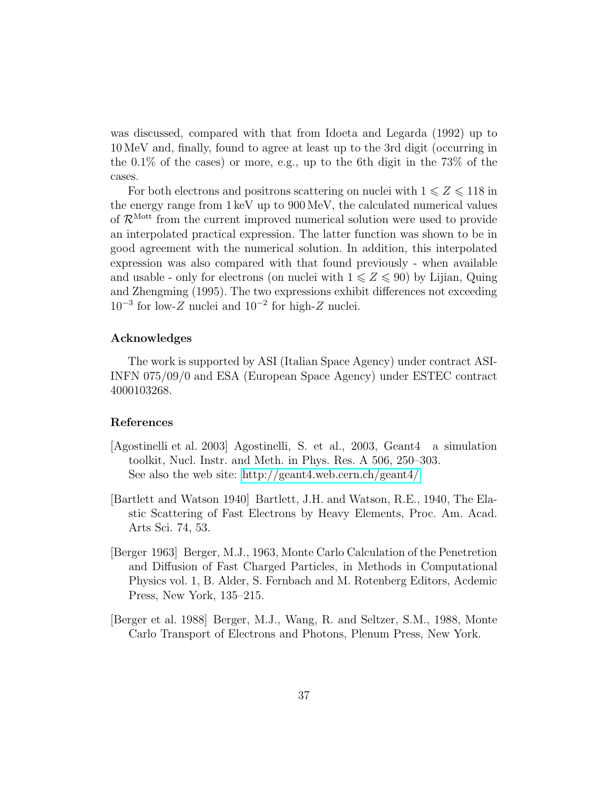was discussed, compared with that from Idoeta and Legarda (1992) up to 10 MeV and, finally, found to agree at least up to the 3rd digit (occurring in the 0.1% of the cases) or more, e.g., up to the 6th digit in the 73% of the cases.

For both electrons and positrons scattering on nuclei with  $1 \leq Z \leq 118$  in the energy range from 1 keV up to 900 MeV, the calculated numerical values of  $\mathcal{R}^{\text{Mott}}$  from the current improved numerical solution were used to provide an interpolated practical expression. The latter function was shown to be in good agreement with the numerical solution. In addition, this interpolated expression was also compared with that found previously - when available and usable - only for electrons (on nuclei with  $1 \leq Z \leq 90$ ) by Lijian, Quing and Zhengming (1995). The two expressions exhibit differences not exceeding 10<sup>−</sup><sup>3</sup> for low-Z nuclei and 10<sup>−</sup><sup>2</sup> for high-Z nuclei.

## Acknowledges

The work is supported by ASI (Italian Space Agency) under contract ASI-INFN 075/09/0 and ESA (European Space Agency) under ESTEC contract 4000103268.

## References

- <span id="page-36-0"></span>[Agostinelli et al. 2003] Agostinelli, S. et al., 2003, Geant4 a simulation toolkit, Nucl. Instr. and Meth. in Phys. Res. A 506, 250–303. See also the web site:<http://geant4.web.cern.ch/geant4/>
- <span id="page-36-3"></span>[Bartlett and Watson 1940] Bartlett, J.H. and Watson, R.E., 1940, The Elastic Scattering of Fast Electrons by Heavy Elements, Proc. Am. Acad. Arts Sci. 74, 53.
- <span id="page-36-1"></span>[Berger 1963] Berger, M.J., 1963, Monte Carlo Calculation of the Penetretion and Diffusion of Fast Charged Particles, in Methods in Computational Physics vol. 1, B. Alder, S. Fernbach and M. Rotenberg Editors, Acdemic Press, New York, 135–215.
- <span id="page-36-2"></span>[Berger et al. 1988] Berger, M.J., Wang, R. and Seltzer, S.M., 1988, Monte Carlo Transport of Electrons and Photons, Plenum Press, New York.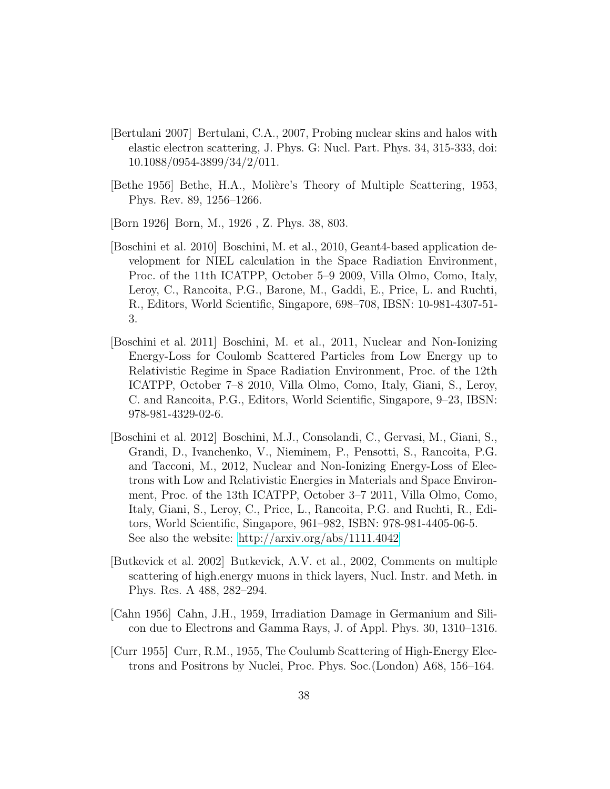- <span id="page-37-7"></span>[Bertulani 2007] Bertulani, C.A., 2007, Probing nuclear skins and halos with elastic electron scattering, J. Phys. G: Nucl. Part. Phys. 34, 315-333, doi: 10.1088/0954-3899/34/2/011.
- <span id="page-37-4"></span>[Bethe 1956] Bethe, H.A., Molière's Theory of Multiple Scattering, 1953, Phys. Rev. 89, 1256–1266.
- <span id="page-37-0"></span>[Born 1926] Born, M., 1926 , Z. Phys. 38, 803.
- <span id="page-37-5"></span>[Boschini et al. 2010] Boschini, M. et al., 2010, Geant4-based application development for NIEL calculation in the Space Radiation Environment, Proc. of the 11th ICATPP, October 5–9 2009, Villa Olmo, Como, Italy, Leroy, C., Rancoita, P.G., Barone, M., Gaddi, E., Price, L. and Ruchti, R., Editors, World Scientific, Singapore, 698–708, IBSN: 10-981-4307-51- 3.
- <span id="page-37-6"></span>[Boschini et al. 2011] Boschini, M. et al., 2011, Nuclear and Non-Ionizing Energy-Loss for Coulomb Scattered Particles from Low Energy up to Relativistic Regime in Space Radiation Environment, Proc. of the 12th ICATPP, October 7–8 2010, Villa Olmo, Como, Italy, Giani, S., Leroy, C. and Rancoita, P.G., Editors, World Scientific, Singapore, 9–23, IBSN: 978-981-4329-02-6.
- <span id="page-37-1"></span>[Boschini et al. 2012] Boschini, M.J., Consolandi, C., Gervasi, M., Giani, S., Grandi, D., Ivanchenko, V., Nieminem, P., Pensotti, S., Rancoita, P.G. and Tacconi, M., 2012, Nuclear and Non-Ionizing Energy-Loss of Electrons with Low and Relativistic Energies in Materials and Space Environment, Proc. of the 13th ICATPP, October 3–7 2011, Villa Olmo, Como, Italy, Giani, S., Leroy, C., Price, L., Rancoita, P.G. and Ruchti, R., Editors, World Scientific, Singapore, 961–982, ISBN: 978-981-4405-06-5. See also the website:<http://arxiv.org/abs/1111.4042>
- <span id="page-37-3"></span>[Butkevick et al. 2002] Butkevick, A.V. et al., 2002, Comments on multiple scattering of high.energy muons in thick layers, Nucl. Instr. and Meth. in Phys. Res. A 488, 282–294.
- <span id="page-37-2"></span>[Cahn 1956] Cahn, J.H., 1959, Irradiation Damage in Germanium and Silicon due to Electrons and Gamma Rays, J. of Appl. Phys. 30, 1310–1316.
- <span id="page-37-8"></span>[Curr 1955] Curr, R.M., 1955, The Coulumb Scattering of High-Energy Electrons and Positrons by Nuclei, Proc. Phys. Soc.(London) A68, 156–164.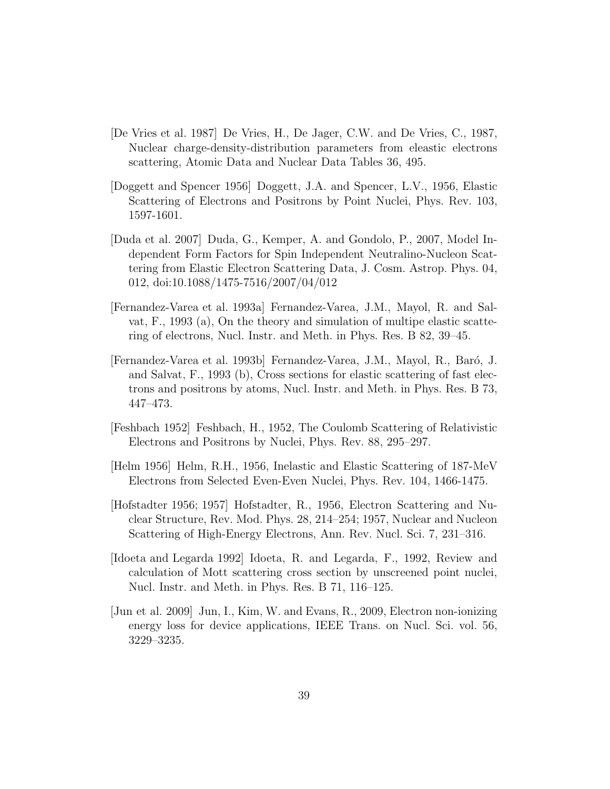- <span id="page-38-6"></span>[De Vries et al. 1987] De Vries, H., De Jager, C.W. and De Vries, C., 1987, Nuclear charge-density-distribution parameters from eleastic electrons scattering, Atomic Data and Nuclear Data Tables 36, 495.
- <span id="page-38-9"></span>[Doggett and Spencer 1956] Doggett, J.A. and Spencer, L.V., 1956, Elastic Scattering of Electrons and Positrons by Point Nuclei, Phys. Rev. 103, 1597-1601.
- <span id="page-38-7"></span>[Duda et al. 2007] Duda, G., Kemper, A. and Gondolo, P., 2007, Model Independent Form Factors for Spin Independent Neutralino-Nucleon Scattering from Elastic Electron Scattering Data, J. Cosm. Astrop. Phys. 04, 012, doi:10.1088/1475-7516/2007/04/012
- <span id="page-38-1"></span>[Fernandez-Varea et al. 1993a] Fernandez-Varea, J.M., Mayol, R. and Salvat, F., 1993 (a), On the theory and simulation of multipe elastic scattering of electrons, Nucl. Instr. and Meth. in Phys. Res. B 82, 39–45.
- <span id="page-38-3"></span>[Fernandez-Varea et al. 1993b] Fernandez-Varea, J.M., Mayol, R., Baró, J. and Salvat, F., 1993 (b), Cross sections for elastic scattering of fast electrons and positrons by atoms, Nucl. Instr. and Meth. in Phys. Res. B 73, 447–473.
- <span id="page-38-8"></span>[Feshbach 1952] Feshbach, H., 1952, The Coulomb Scattering of Relativistic Electrons and Positrons by Nuclei, Phys. Rev. 88, 295–297.
- <span id="page-38-4"></span>[Helm 1956] Helm, R.H., 1956, Inelastic and Elastic Scattering of 187-MeV Electrons from Selected Even-Even Nuclei, Phys. Rev. 104, 1466-1475.
- <span id="page-38-5"></span>[Hofstadter 1956; 1957] Hofstadter, R., 1956, Electron Scattering and Nuclear Structure, Rev. Mod. Phys. 28, 214–254; 1957, Nuclear and Nucleon Scattering of High-Energy Electrons, Ann. Rev. Nucl. Sci. 7, 231–316.
- <span id="page-38-0"></span>[Idoeta and Legarda 1992] Idoeta, R. and Legarda, F., 1992, Review and calculation of Mott scattering cross section by unscreened point nuclei, Nucl. Instr. and Meth. in Phys. Res. B 71, 116–125.
- <span id="page-38-2"></span>[Jun et al. 2009] Jun, I., Kim, W. and Evans, R., 2009, Electron non-ionizing energy loss for device applications, IEEE Trans. on Nucl. Sci. vol. 56, 3229–3235.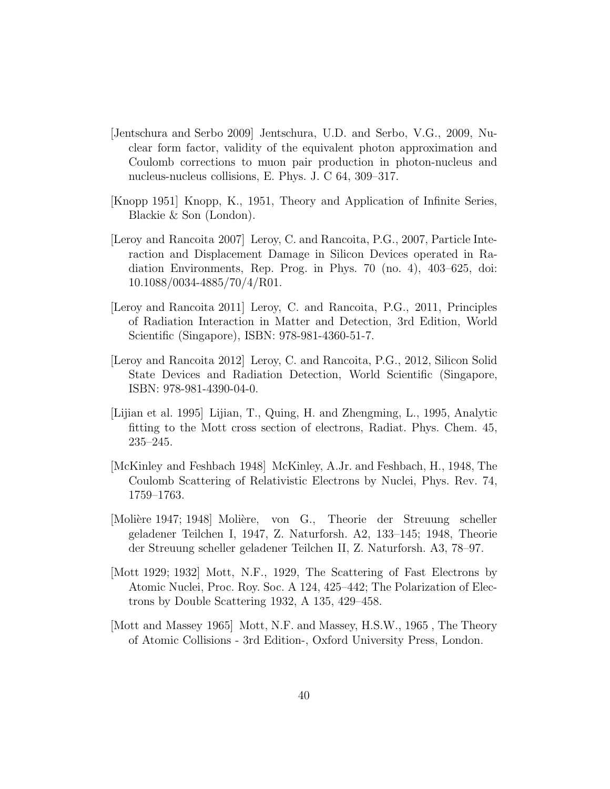- <span id="page-39-6"></span>[Jentschura and Serbo 2009] Jentschura, U.D. and Serbo, V.G., 2009, Nuclear form factor, validity of the equivalent photon approximation and Coulomb corrections to muon pair production in photon-nucleus and nucleus-nucleus collisions, E. Phys. J. C 64, 309–317.
- <span id="page-39-8"></span>[Knopp 1951] Knopp, K., 1951, Theory and Application of Infinite Series, Blackie & Son (London).
- <span id="page-39-2"></span>[Leroy and Rancoita 2007] Leroy, C. and Rancoita, P.G., 2007, Particle Interaction and Displacement Damage in Silicon Devices operated in Radiation Environments, Rep. Prog. in Phys. 70 (no. 4), 403–625, doi: 10.1088/0034-4885/70/4/R01.
- <span id="page-39-3"></span>[Leroy and Rancoita 2011] Leroy, C. and Rancoita, P.G., 2011, Principles of Radiation Interaction in Matter and Detection, 3rd Edition, World Scientific (Singapore), ISBN: 978-981-4360-51-7.
- <span id="page-39-4"></span>[Leroy and Rancoita 2012] Leroy, C. and Rancoita, P.G., 2012, Silicon Solid State Devices and Radiation Detection, World Scientific (Singapore, ISBN: 978-981-4390-04-0.
- <span id="page-39-1"></span>[Lijian et al. 1995] Lijian, T., Quing, H. and Zhengming, L., 1995, Analytic fitting to the Mott cross section of electrons, Radiat. Phys. Chem. 45, 235–245.
- <span id="page-39-7"></span>[McKinley and Feshbach 1948] McKinley, A.Jr. and Feshbach, H., 1948, The Coulomb Scattering of Relativistic Electrons by Nuclei, Phys. Rev. 74, 1759–1763.
- <span id="page-39-5"></span>[Molière 1947; 1948] Molière, von G., Theorie der Streuung scheller geladener Teilchen I, 1947, Z. Naturforsh. A2, 133–145; 1948, Theorie der Streuung scheller geladener Teilchen II, Z. Naturforsh. A3, 78–97.
- [Mott 1929; 1932] Mott, N.F., 1929, The Scattering of Fast Electrons by Atomic Nuclei, Proc. Roy. Soc. A 124, 425–442; The Polarization of Electrons by Double Scattering 1932, A 135, 429–458.
- <span id="page-39-0"></span>[Mott and Massey 1965] Mott, N.F. and Massey, H.S.W., 1965 , The Theory of Atomic Collisions - 3rd Edition-, Oxford University Press, London.